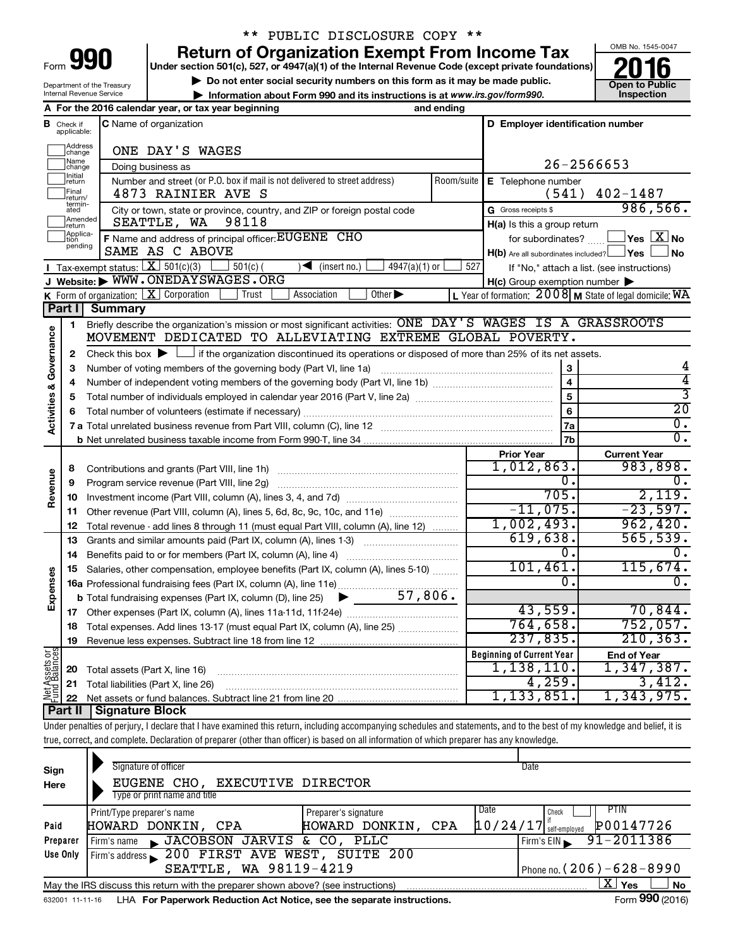| Form |  |
|------|--|

# \*\* PUBLIC DISCLOSURE COPY \*\*

**Under section 501(c), 527, or 4947(a)(1) of the Internal Revenue Code (except private foundations) Return of Organization Exempt From Income Tax**<br>Under section 501(c), 527, or 4947(a)(1) of the Internal Revenue Code (except private foundations)<br> **2016** 

▶ Do not enter social security numbers on this form as it may be made public. **Open to Public**<br>▶ Information about Form 990 and its instructions is at www.irs.gov/form990. Inspection **• Information about Form 990 and its instructions is at www.irs.gov/form990. and inspection** 



Department of the Treasury Internal Revenue Service

|                         |                               | A For the 2016 calendar year, or tax year beginning                                                                                                                        | and ending |                                                     |                                                         |
|-------------------------|-------------------------------|----------------------------------------------------------------------------------------------------------------------------------------------------------------------------|------------|-----------------------------------------------------|---------------------------------------------------------|
|                         | <b>B</b> Check if applicable: | C Name of organization                                                                                                                                                     |            | D Employer identification number                    |                                                         |
|                         |                               |                                                                                                                                                                            |            |                                                     |                                                         |
|                         | Address<br>change             | ONE DAY'S WAGES                                                                                                                                                            |            |                                                     |                                                         |
|                         | Name<br>change                | Doing business as                                                                                                                                                          |            |                                                     | 26-2566653                                              |
|                         | Initial<br>return             | Number and street (or P.O. box if mail is not delivered to street address)                                                                                                 | Room/suite | E Telephone number                                  |                                                         |
|                         | Final<br>return/              | 4873 RAINIER AVE S                                                                                                                                                         |            |                                                     | $(541)$ 402-1487                                        |
|                         | termin-<br>ated               | City or town, state or province, country, and ZIP or foreign postal code                                                                                                   |            | G Gross receipts \$                                 | 986,566.                                                |
|                         | Amended<br>Ireturn            | SEATTLE, WA<br>98118                                                                                                                                                       |            | H(a) Is this a group return                         |                                                         |
|                         | Applica-<br>tion              | F Name and address of principal officer: EUGENE CHO                                                                                                                        |            | for subordinates?                                   | $\blacksquare$ Yes $\boxtimes$ No                       |
|                         | pending                       | SAME AS C ABOVE                                                                                                                                                            |            | $H(b)$ Are all subordinates included? $\Box$ Yes    | ⊿No                                                     |
|                         |                               | <b>I</b> Tax-exempt status: $X \ 501(c)(3)$<br>$\Box$ 501(c) (<br>$4947(a)(1)$ or<br>$\sqrt{\frac{1}{1}}$ (insert no.)                                                     | 527        |                                                     | If "No," attach a list. (see instructions)              |
|                         |                               | J Website: WWW.ONEDAYSWAGES.ORG                                                                                                                                            |            | $H(c)$ Group exemption number $\blacktriangleright$ |                                                         |
|                         |                               | <b>K</b> Form of organization: $\boxed{\mathbf{X}}$ Corporation<br>Trust<br>Association<br>Other $\blacktriangleright$                                                     |            |                                                     | L Year of formation: 2008 M State of legal domicile: WA |
|                         | Part I                        | <b>Summary</b>                                                                                                                                                             |            |                                                     |                                                         |
|                         | 1                             | Briefly describe the organization's mission or most significant activities: ONE DAY'S WAGES IS A GRASSROOTS                                                                |            |                                                     |                                                         |
| Governance              |                               | MOVEMENT DEDICATED TO ALLEVIATING EXTREME GLOBAL POVERTY.                                                                                                                  |            |                                                     |                                                         |
|                         | 2                             | Check this box $\blacktriangleright$ $\Box$ if the organization discontinued its operations or disposed of more than 25% of its net assets.                                |            |                                                     |                                                         |
|                         | 3                             | Number of voting members of the governing body (Part VI, line 1a)                                                                                                          |            | 3                                                   |                                                         |
|                         | 4                             |                                                                                                                                                                            |            | $\overline{4}$                                      | $\overline{4}$                                          |
|                         | 5                             |                                                                                                                                                                            |            | $\overline{5}$                                      | 3                                                       |
|                         | 6                             |                                                                                                                                                                            |            | 6                                                   | $\overline{20}$                                         |
| <b>Activities &amp;</b> |                               |                                                                                                                                                                            |            | 7a                                                  | $\overline{0}$ .                                        |
|                         |                               |                                                                                                                                                                            |            | 7b                                                  | $\overline{0}$ .                                        |
|                         |                               |                                                                                                                                                                            |            | <b>Prior Year</b>                                   | <b>Current Year</b>                                     |
|                         | 8                             |                                                                                                                                                                            |            | 1,012,863.                                          | 983,898.                                                |
| Revenue                 | 9                             | Program service revenue (Part VIII, line 2g)                                                                                                                               |            | $\overline{0}$ .                                    | 0.                                                      |
|                         | 10                            |                                                                                                                                                                            |            | 705.                                                | 2,119.                                                  |
|                         | 11                            | Other revenue (Part VIII, column (A), lines 5, 6d, 8c, 9c, 10c, and 11e)                                                                                                   |            | $-11,075.$                                          | $-23,597.$                                              |
|                         | 12                            | Total revenue - add lines 8 through 11 (must equal Part VIII, column (A), line 12)                                                                                         |            | 1,002,493.                                          | 962,420.                                                |
|                         | 13                            | Grants and similar amounts paid (Part IX, column (A), lines 1-3) <i></i>                                                                                                   |            | 619,638.                                            | 565,539.                                                |
|                         | 14                            |                                                                                                                                                                            |            | 0.                                                  | 0.                                                      |
|                         | 15                            | Salaries, other compensation, employee benefits (Part IX, column (A), lines 5-10)                                                                                          |            | 101,461.                                            | 115,674.                                                |
| Expenses                |                               | 16a Professional fundraising fees (Part IX, column (A), line 11e)                                                                                                          |            | 0.                                                  | $\overline{0}$ .                                        |
|                         |                               | $\blacktriangleright$ 57,806.<br><b>b</b> Total fundraising expenses (Part IX, column (D), line 25)                                                                        |            |                                                     |                                                         |
|                         |                               |                                                                                                                                                                            |            | 43,559.                                             | 70,844.                                                 |
|                         |                               | 18 Total expenses. Add lines 13-17 (must equal Part IX, column (A), line 25)                                                                                               |            | 764,658.                                            | 752,057.                                                |
|                         | 19                            |                                                                                                                                                                            |            | 237,835.                                            | $210, 363$ .                                            |
|                         |                               |                                                                                                                                                                            |            | <b>Beginning of Current Year</b>                    | <b>End of Year</b>                                      |
|                         | 20                            | Total assets (Part X, line 16)                                                                                                                                             |            | $1,138,110$ .                                       | 1,347,387.                                              |
| Net Assets or           | 21                            | Total liabilities (Part X, line 26)                                                                                                                                        |            | 4,259.                                              | 3,412.                                                  |
|                         | 22                            |                                                                                                                                                                            |            | 1,133,851。                                          | 1,343,975.                                              |
|                         | <b>Part II</b>                | <b>Signature Block</b>                                                                                                                                                     |            |                                                     |                                                         |
|                         |                               | Under penalties of perjury, I declare that I have examined this return, including accompanying schedules and statements, and to the best of my knowledge and belief, it is |            |                                                     |                                                         |
|                         |                               | true, correct, and complete. Declaration of preparer (other than officer) is based on all information of which preparer has any knowledge.                                 |            |                                                     |                                                         |

| Sign     | Signature of officer                                                              |                              | Date                                             |
|----------|-----------------------------------------------------------------------------------|------------------------------|--------------------------------------------------|
| Here     | EUGENE CHO, EXECUTIVE DIRECTOR                                                    |                              |                                                  |
|          | Type or print name and title                                                      |                              |                                                  |
|          | Print/Type preparer's name                                                        | Date<br>Preparer's signature | PTIN<br>Check                                    |
| Paid     | HOWARD DONKIN, CPA                                                                | HOWARD DONKIN,<br>CPA        | P00147726<br>$10/24/17$ self-employed            |
| Preparer | JACOBSON JARVIS & CO, PLLC<br>Firm's name                                         |                              | $91 - 2011386$<br>Firm's EIN                     |
| Use Only | Firm's address 200 FIRST AVE WEST, SUITE 200                                      |                              |                                                  |
|          | SEATTLE, WA 98119-4219                                                            |                              | Phone no. $(206) - 628 - 8990$                   |
|          | May the IRS discuss this return with the preparer shown above? (see instructions) |                              | ΧI<br>Yes<br>No                                  |
|          |                                                                                   |                              | $000 \times 10^{-1}$<br>$\overline{\phantom{0}}$ |

632001 11-11-16 **For Paperwork Reduction Act Notice, see the separate instructions.** LHA Form (2016)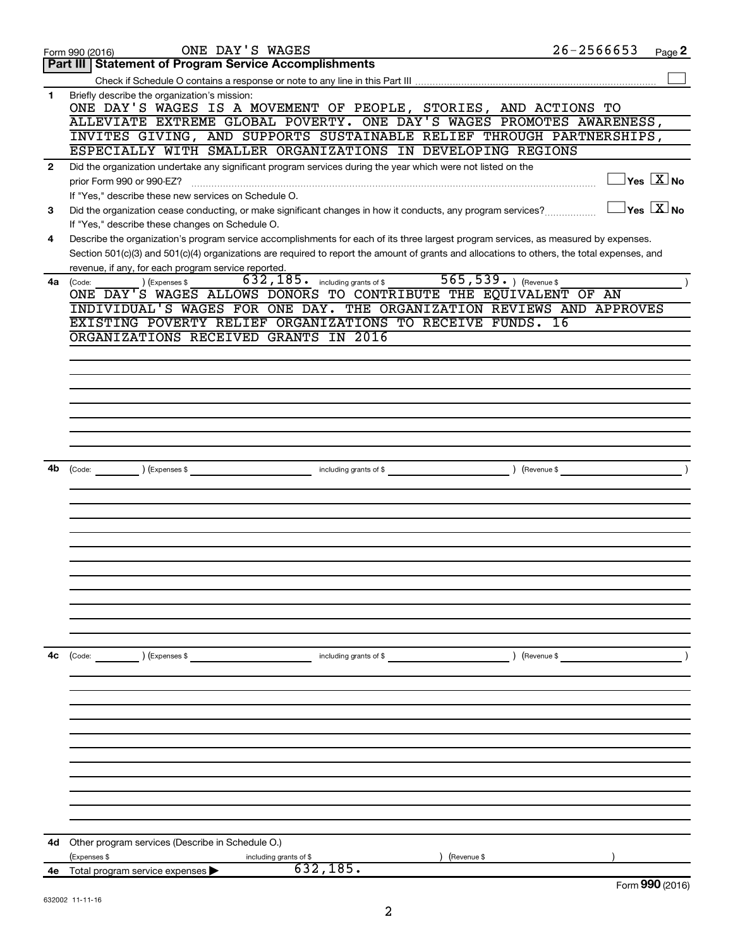|              | ONE DAY'S WAGES<br>Form 990 (2016)                                                                                                                                                                                                                                                   | $26 - 2566653$ | Page 2                                  |
|--------------|--------------------------------------------------------------------------------------------------------------------------------------------------------------------------------------------------------------------------------------------------------------------------------------|----------------|-----------------------------------------|
|              | <b>Part III   Statement of Program Service Accomplishments</b>                                                                                                                                                                                                                       |                |                                         |
|              |                                                                                                                                                                                                                                                                                      |                |                                         |
| 1            | Briefly describe the organization's mission:<br>ONE DAY'S WAGES IS A MOVEMENT OF PEOPLE, STORIES, AND ACTIONS TO                                                                                                                                                                     |                |                                         |
|              | ALLEVIATE EXTREME GLOBAL POVERTY. ONE DAY'S WAGES PROMOTES AWARENESS,                                                                                                                                                                                                                |                |                                         |
|              | INVITES GIVING, AND SUPPORTS SUSTAINABLE RELIEF THROUGH PARTNERSHIPS,                                                                                                                                                                                                                |                |                                         |
|              | ESPECIALLY WITH SMALLER ORGANIZATIONS IN DEVELOPING REGIONS                                                                                                                                                                                                                          |                |                                         |
| $\mathbf{2}$ | Did the organization undertake any significant program services during the year which were not listed on the<br>prior Form 990 or 990-EZ?                                                                                                                                            |                | $\Box$ Yes $[\overline{\mathrm{X}}]$ No |
|              | If "Yes," describe these new services on Schedule O.                                                                                                                                                                                                                                 |                | $\Box$ Yes $[\overline{\mathrm{X}}]$ No |
| 3            | Did the organization cease conducting, or make significant changes in how it conducts, any program services?<br>If "Yes," describe these changes on Schedule O.                                                                                                                      |                |                                         |
| 4            | Describe the organization's program service accomplishments for each of its three largest program services, as measured by expenses.<br>Section 501(c)(3) and 501(c)(4) organizations are required to report the amount of grants and allocations to others, the total expenses, and |                |                                         |
|              | revenue, if any, for each program service reported.                                                                                                                                                                                                                                  |                |                                         |
| 4a           | 632, 185. including grants of \$565, 539. ) (Revenue \$<br>(Expenses \$<br>(Code:                                                                                                                                                                                                    |                |                                         |
|              | ONE DAY'S WAGES ALLOWS DONORS TO CONTRIBUTE THE EQUIVALENT OF AN                                                                                                                                                                                                                     |                |                                         |
|              | INDIVIDUAL'S WAGES FOR ONE DAY. THE ORGANIZATION REVIEWS AND APPROVES                                                                                                                                                                                                                |                |                                         |
|              | EXISTING POVERTY RELIEF ORGANIZATIONS TO RECEIVE FUNDS. 16                                                                                                                                                                                                                           |                |                                         |
|              | ORGANIZATIONS RECEIVED GRANTS IN 2016                                                                                                                                                                                                                                                |                |                                         |
|              |                                                                                                                                                                                                                                                                                      |                |                                         |
|              |                                                                                                                                                                                                                                                                                      |                |                                         |
|              |                                                                                                                                                                                                                                                                                      |                |                                         |
|              |                                                                                                                                                                                                                                                                                      |                |                                         |
|              |                                                                                                                                                                                                                                                                                      |                |                                         |
|              |                                                                                                                                                                                                                                                                                      |                |                                         |
|              |                                                                                                                                                                                                                                                                                      |                |                                         |
|              |                                                                                                                                                                                                                                                                                      |                |                                         |
| 4b           | (Code: (Compared to the contract of the code: 1) (Expenses \$                                                                                                                                                                                                                        |                |                                         |
|              |                                                                                                                                                                                                                                                                                      |                |                                         |
|              |                                                                                                                                                                                                                                                                                      |                |                                         |
|              |                                                                                                                                                                                                                                                                                      |                |                                         |
|              |                                                                                                                                                                                                                                                                                      |                |                                         |
|              |                                                                                                                                                                                                                                                                                      |                |                                         |
|              |                                                                                                                                                                                                                                                                                      |                |                                         |
|              |                                                                                                                                                                                                                                                                                      |                |                                         |
|              |                                                                                                                                                                                                                                                                                      |                |                                         |
|              |                                                                                                                                                                                                                                                                                      |                |                                         |
|              |                                                                                                                                                                                                                                                                                      |                |                                         |
|              |                                                                                                                                                                                                                                                                                      |                |                                         |
| 4c           | (Code: ) (Expenses \$<br>including grants of \$                                                                                                                                                                                                                                      | ) (Revenue \$  |                                         |
|              |                                                                                                                                                                                                                                                                                      |                |                                         |
|              |                                                                                                                                                                                                                                                                                      |                |                                         |
|              |                                                                                                                                                                                                                                                                                      |                |                                         |
|              |                                                                                                                                                                                                                                                                                      |                |                                         |
|              |                                                                                                                                                                                                                                                                                      |                |                                         |
|              |                                                                                                                                                                                                                                                                                      |                |                                         |
|              |                                                                                                                                                                                                                                                                                      |                |                                         |
|              |                                                                                                                                                                                                                                                                                      |                |                                         |
|              |                                                                                                                                                                                                                                                                                      |                |                                         |
|              |                                                                                                                                                                                                                                                                                      |                |                                         |
|              |                                                                                                                                                                                                                                                                                      |                |                                         |
|              |                                                                                                                                                                                                                                                                                      |                |                                         |
| 4d           | Other program services (Describe in Schedule O.)                                                                                                                                                                                                                                     |                |                                         |
|              | (Expenses \$<br>Revenue \$<br>including grants of \$                                                                                                                                                                                                                                 |                |                                         |
| 4e           | 632,185.<br>Total program service expenses                                                                                                                                                                                                                                           |                |                                         |
|              |                                                                                                                                                                                                                                                                                      |                | Form 990 (2016)                         |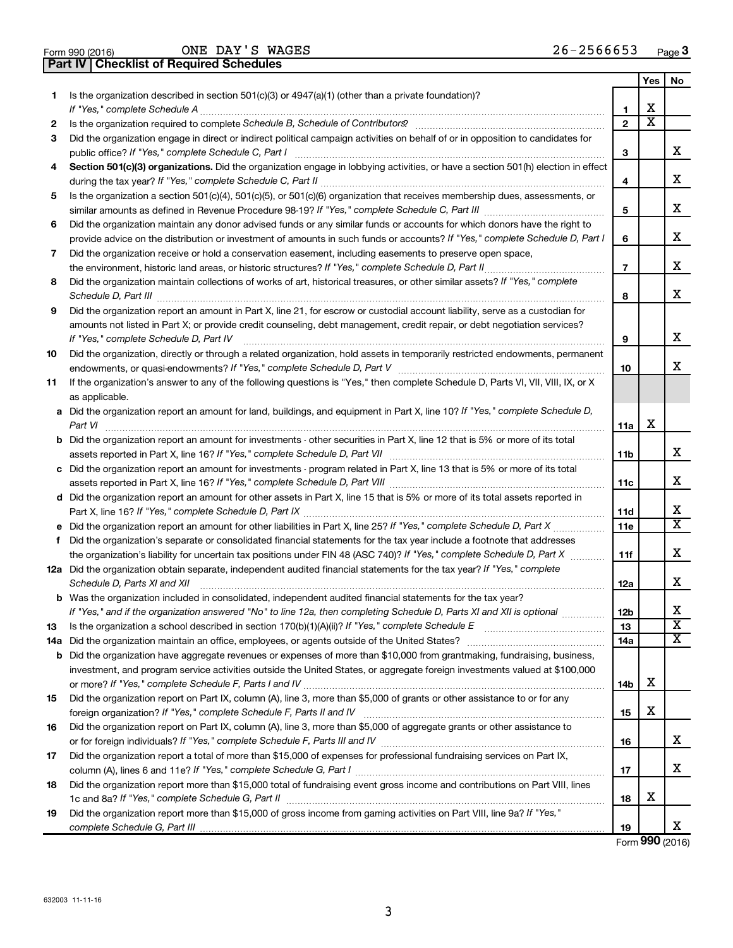| Form 990 (2016) |  |  |
|-----------------|--|--|

ONE DAY'S WAGES 26-2566653

**Part IV Checklist of Required Schedules**

|    |                                                                                                                                                                                         |                 | Yes | No                      |
|----|-----------------------------------------------------------------------------------------------------------------------------------------------------------------------------------------|-----------------|-----|-------------------------|
| 1  | Is the organization described in section $501(c)(3)$ or $4947(a)(1)$ (other than a private foundation)?                                                                                 |                 |     |                         |
|    | If "Yes," complete Schedule A                                                                                                                                                           | 1               | х   |                         |
| 2  |                                                                                                                                                                                         | $\mathbf{2}$    | х   |                         |
| 3  | Did the organization engage in direct or indirect political campaign activities on behalf of or in opposition to candidates for<br>public office? If "Yes," complete Schedule C, Part I | з               |     | х                       |
| 4  | Section 501(c)(3) organizations. Did the organization engage in lobbying activities, or have a section 501(h) election in effect                                                        |                 |     |                         |
|    | during the tax year? If "Yes," complete Schedule C, Part II                                                                                                                             | 4               |     | x.                      |
| 5  | Is the organization a section 501(c)(4), 501(c)(5), or 501(c)(6) organization that receives membership dues, assessments, or                                                            |                 |     |                         |
|    |                                                                                                                                                                                         | 5               |     | x                       |
| 6  | Did the organization maintain any donor advised funds or any similar funds or accounts for which donors have the right to                                                               |                 |     |                         |
|    | provide advice on the distribution or investment of amounts in such funds or accounts? If "Yes," complete Schedule D, Part I                                                            | 6               |     | х                       |
| 7  | Did the organization receive or hold a conservation easement, including easements to preserve open space,                                                                               |                 |     |                         |
|    | the environment, historic land areas, or historic structures? If "Yes," complete Schedule D, Part II                                                                                    | $\overline{7}$  |     | x                       |
| 8  | Did the organization maintain collections of works of art, historical treasures, or other similar assets? If "Yes," complete<br>Schedule D, Part III                                    | 8               |     | x                       |
| 9  | Did the organization report an amount in Part X, line 21, for escrow or custodial account liability, serve as a custodian for                                                           |                 |     |                         |
|    | amounts not listed in Part X; or provide credit counseling, debt management, credit repair, or debt negotiation services?                                                               |                 |     |                         |
|    | If "Yes," complete Schedule D, Part IV                                                                                                                                                  | 9               |     | х                       |
| 10 | Did the organization, directly or through a related organization, hold assets in temporarily restricted endowments, permanent                                                           |                 |     |                         |
|    |                                                                                                                                                                                         | 10              |     | X.                      |
| 11 | If the organization's answer to any of the following questions is "Yes," then complete Schedule D, Parts VI, VII, VIII, IX, or X                                                        |                 |     |                         |
|    | as applicable.                                                                                                                                                                          |                 |     |                         |
|    | a Did the organization report an amount for land, buildings, and equipment in Part X, line 10? If "Yes," complete Schedule D,<br>Part VI                                                | 11a             | х   |                         |
|    | <b>b</b> Did the organization report an amount for investments - other securities in Part X, line 12 that is 5% or more of its total                                                    |                 |     |                         |
|    |                                                                                                                                                                                         | 11b             |     | x.                      |
|    | c Did the organization report an amount for investments - program related in Part X, line 13 that is 5% or more of its total                                                            |                 |     |                         |
|    |                                                                                                                                                                                         | 11c             |     | х                       |
|    | d Did the organization report an amount for other assets in Part X, line 15 that is 5% or more of its total assets reported in                                                          |                 |     |                         |
|    |                                                                                                                                                                                         | 11d             |     | x.                      |
|    | e Did the organization report an amount for other liabilities in Part X, line 25? If "Yes," complete Schedule D, Part X                                                                 | 11e             |     | х                       |
| f. | Did the organization's separate or consolidated financial statements for the tax year include a footnote that addresses                                                                 |                 |     |                         |
|    | the organization's liability for uncertain tax positions under FIN 48 (ASC 740)? If "Yes," complete Schedule D, Part X                                                                  | 11f             |     | x.                      |
|    | 12a Did the organization obtain separate, independent audited financial statements for the tax year? If "Yes," complete<br>Schedule D, Parts XI and XII                                 | 12a             |     | x.                      |
|    | <b>b</b> Was the organization included in consolidated, independent audited financial statements for the tax year?                                                                      |                 |     |                         |
|    | If "Yes," and if the organization answered "No" to line 12a, then completing Schedule D, Parts XI and XII is optional <i>www</i>                                                        | 12 <sub>b</sub> |     | х                       |
| 13 | Is the organization a school described in section 170(b)(1)(A)(ii)? If "Yes," complete Schedule E [[[[[[[[[[[[                                                                          | 13              |     | $\overline{\texttt{x}}$ |
|    |                                                                                                                                                                                         | 14a             |     | х                       |
|    | <b>b</b> Did the organization have aggregate revenues or expenses of more than \$10,000 from grantmaking, fundraising, business,                                                        |                 |     |                         |
|    | investment, and program service activities outside the United States, or aggregate foreign investments valued at \$100,000                                                              |                 |     |                         |
|    |                                                                                                                                                                                         | 14b             | X   |                         |
| 15 | Did the organization report on Part IX, column (A), line 3, more than \$5,000 of grants or other assistance to or for any                                                               |                 |     |                         |
|    |                                                                                                                                                                                         | 15              | X   |                         |
| 16 | Did the organization report on Part IX, column (A), line 3, more than \$5,000 of aggregate grants or other assistance to                                                                |                 |     | X.                      |
|    |                                                                                                                                                                                         | 16              |     |                         |
| 17 | Did the organization report a total of more than \$15,000 of expenses for professional fundraising services on Part IX,                                                                 | 17              |     | x                       |
| 18 | Did the organization report more than \$15,000 total of fundraising event gross income and contributions on Part VIII, lines                                                            |                 |     |                         |
|    |                                                                                                                                                                                         | 18              | X   |                         |
| 19 | Did the organization report more than \$15,000 of gross income from gaming activities on Part VIII, line 9a? If "Yes,"                                                                  |                 |     |                         |
|    |                                                                                                                                                                                         | 19              |     | x                       |

Form (2016) **990**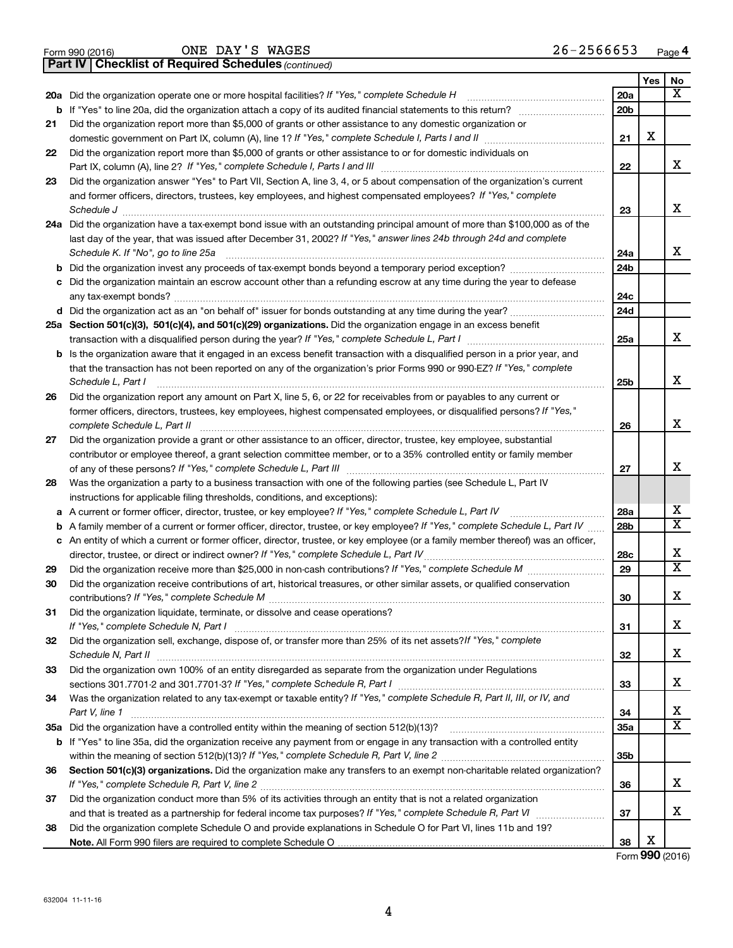|  | Form 990 (2016) |
|--|-----------------|
|  |                 |

ONE DAY'S WAGES 26-2566653

**Part IV Checklist of Required Schedules**

*(continued)*

|    |                                                                                                                                                                                                                                                                 |                        | Yes | No                      |
|----|-----------------------------------------------------------------------------------------------------------------------------------------------------------------------------------------------------------------------------------------------------------------|------------------------|-----|-------------------------|
|    | 20a Did the organization operate one or more hospital facilities? If "Yes," complete Schedule H                                                                                                                                                                 | 20a                    |     | $\overline{\mathbf{x}}$ |
|    | <b>b</b> If "Yes" to line 20a, did the organization attach a copy of its audited financial statements to this return?                                                                                                                                           | 20 <sub>b</sub>        |     |                         |
| 21 | Did the organization report more than \$5,000 of grants or other assistance to any domestic organization or                                                                                                                                                     |                        |     |                         |
|    | domestic government on Part IX, column (A), line 1? If "Yes," complete Schedule I, Parts I and II                                                                                                                                                               | 21                     | X   |                         |
| 22 | Did the organization report more than \$5,000 of grants or other assistance to or for domestic individuals on                                                                                                                                                   |                        |     |                         |
|    | Part IX, column (A), line 2? If "Yes," complete Schedule I, Parts I and III                                                                                                                                                                                     | 22                     |     | X                       |
| 23 | Did the organization answer "Yes" to Part VII, Section A, line 3, 4, or 5 about compensation of the organization's current                                                                                                                                      |                        |     |                         |
|    | and former officers, directors, trustees, key employees, and highest compensated employees? If "Yes," complete                                                                                                                                                  |                        |     | X                       |
|    |                                                                                                                                                                                                                                                                 | 23                     |     |                         |
|    | 24a Did the organization have a tax-exempt bond issue with an outstanding principal amount of more than \$100,000 as of the<br>last day of the year, that was issued after December 31, 2002? If "Yes," answer lines 24b through 24d and complete               |                        |     |                         |
|    | Schedule K. If "No", go to line 25a                                                                                                                                                                                                                             | 24a                    |     | x                       |
| b  | Did the organization invest any proceeds of tax-exempt bonds beyond a temporary period exception?                                                                                                                                                               | 24 <sub>b</sub>        |     |                         |
| с  | Did the organization maintain an escrow account other than a refunding escrow at any time during the year to defease                                                                                                                                            |                        |     |                         |
|    | any tax-exempt bonds?                                                                                                                                                                                                                                           | 24c                    |     |                         |
|    |                                                                                                                                                                                                                                                                 | 24d                    |     |                         |
|    | 25a Section 501(c)(3), 501(c)(4), and 501(c)(29) organizations. Did the organization engage in an excess benefit                                                                                                                                                |                        |     |                         |
|    |                                                                                                                                                                                                                                                                 | 25a                    |     | X                       |
| b  | Is the organization aware that it engaged in an excess benefit transaction with a disqualified person in a prior year, and                                                                                                                                      |                        |     |                         |
|    | that the transaction has not been reported on any of the organization's prior Forms 990 or 990-EZ? If "Yes," complete                                                                                                                                           |                        |     |                         |
|    | Schedule L, Part I                                                                                                                                                                                                                                              | 25b                    |     | X                       |
| 26 | Did the organization report any amount on Part X, line 5, 6, or 22 for receivables from or payables to any current or                                                                                                                                           |                        |     |                         |
|    | former officers, directors, trustees, key employees, highest compensated employees, or disqualified persons? If "Yes,"                                                                                                                                          |                        |     |                         |
|    | complete Schedule L, Part II                                                                                                                                                                                                                                    | 26                     |     | х                       |
| 27 | Did the organization provide a grant or other assistance to an officer, director, trustee, key employee, substantial                                                                                                                                            |                        |     |                         |
|    | contributor or employee thereof, a grant selection committee member, or to a 35% controlled entity or family member                                                                                                                                             |                        |     |                         |
|    |                                                                                                                                                                                                                                                                 | 27                     |     | х                       |
| 28 | Was the organization a party to a business transaction with one of the following parties (see Schedule L, Part IV                                                                                                                                               |                        |     |                         |
|    | instructions for applicable filing thresholds, conditions, and exceptions):                                                                                                                                                                                     |                        |     | х                       |
| а  | A current or former officer, director, trustee, or key employee? If "Yes," complete Schedule L, Part IV                                                                                                                                                         | 28a<br>28 <sub>b</sub> |     | $\overline{\mathbf{x}}$ |
| b  | A family member of a current or former officer, director, trustee, or key employee? If "Yes," complete Schedule L, Part IV<br>c An entity of which a current or former officer, director, trustee, or key employee (or a family member thereof) was an officer, |                        |     |                         |
|    | director, trustee, or direct or indirect owner? If "Yes," complete Schedule L, Part IV                                                                                                                                                                          | 28c                    |     | X                       |
| 29 |                                                                                                                                                                                                                                                                 | 29                     |     | $\overline{\mathbf{x}}$ |
| 30 | Did the organization receive contributions of art, historical treasures, or other similar assets, or qualified conservation                                                                                                                                     |                        |     |                         |
|    |                                                                                                                                                                                                                                                                 | 30                     |     | X                       |
| 31 | Did the organization liquidate, terminate, or dissolve and cease operations?                                                                                                                                                                                    |                        |     |                         |
|    | If "Yes," complete Schedule N, Part I                                                                                                                                                                                                                           | 31                     |     | X                       |
| 32 | Did the organization sell, exchange, dispose of, or transfer more than 25% of its net assets? If "Yes," complete                                                                                                                                                |                        |     |                         |
|    |                                                                                                                                                                                                                                                                 | 32                     |     | x                       |
| 33 | Did the organization own 100% of an entity disregarded as separate from the organization under Regulations                                                                                                                                                      |                        |     |                         |
|    |                                                                                                                                                                                                                                                                 | 33                     |     | x                       |
| 34 | Was the organization related to any tax-exempt or taxable entity? If "Yes," complete Schedule R, Part II, III, or IV, and                                                                                                                                       |                        |     |                         |
|    | Part V, line 1                                                                                                                                                                                                                                                  | 34                     |     | x                       |
|    |                                                                                                                                                                                                                                                                 | 35a                    |     | $\overline{\mathbf{X}}$ |
|    | b If "Yes" to line 35a, did the organization receive any payment from or engage in any transaction with a controlled entity                                                                                                                                     |                        |     |                         |
|    |                                                                                                                                                                                                                                                                 | 35b                    |     |                         |
| 36 | Section 501(c)(3) organizations. Did the organization make any transfers to an exempt non-charitable related organization?                                                                                                                                      | 36                     |     | x                       |
| 37 | Did the organization conduct more than 5% of its activities through an entity that is not a related organization                                                                                                                                                |                        |     |                         |
|    |                                                                                                                                                                                                                                                                 | 37                     |     | x                       |
| 38 | Did the organization complete Schedule O and provide explanations in Schedule O for Part VI, lines 11b and 19?                                                                                                                                                  |                        |     |                         |
|    |                                                                                                                                                                                                                                                                 | 38                     | х   |                         |

Form (2016) **990**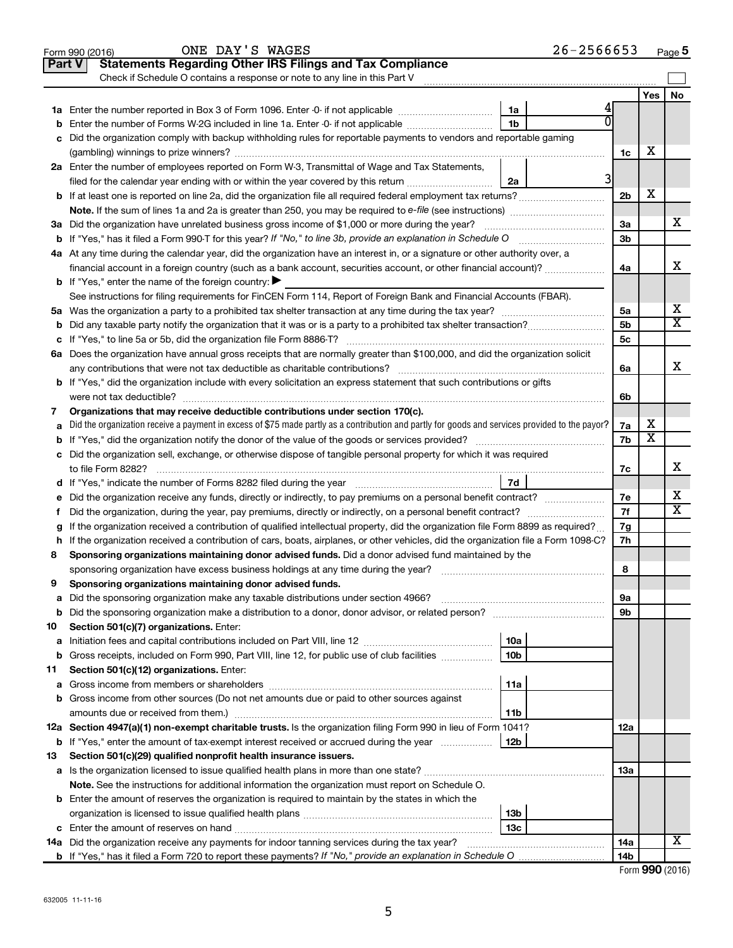|        | ONE DAY'S WAGES<br>Form 990 (2016)                                                                                                                                                                                            |                 | $26 - 2566653$ |                |                         | Page 5                  |
|--------|-------------------------------------------------------------------------------------------------------------------------------------------------------------------------------------------------------------------------------|-----------------|----------------|----------------|-------------------------|-------------------------|
| Part V | <b>Statements Regarding Other IRS Filings and Tax Compliance</b>                                                                                                                                                              |                 |                |                |                         |                         |
|        | Check if Schedule O contains a response or note to any line in this Part V                                                                                                                                                    |                 |                |                |                         |                         |
|        |                                                                                                                                                                                                                               |                 |                |                | Yes                     | No                      |
|        |                                                                                                                                                                                                                               | 1a              |                |                |                         |                         |
| b      | Enter the number of Forms W-2G included in line 1a. Enter -0- if not applicable                                                                                                                                               | 1b              |                |                |                         |                         |
| с      | Did the organization comply with backup withholding rules for reportable payments to vendors and reportable gaming                                                                                                            |                 |                |                |                         |                         |
|        |                                                                                                                                                                                                                               |                 |                | 1c             | х                       |                         |
|        | 2a Enter the number of employees reported on Form W-3, Transmittal of Wage and Tax Statements,                                                                                                                                |                 |                |                |                         |                         |
|        | filed for the calendar year ending with or within the year covered by this return <i>manumumumum</i>                                                                                                                          | 2a              | 3              |                |                         |                         |
|        |                                                                                                                                                                                                                               |                 |                | 2 <sub>b</sub> | X                       |                         |
|        |                                                                                                                                                                                                                               |                 |                |                |                         |                         |
|        | 3a Did the organization have unrelated business gross income of \$1,000 or more during the year?                                                                                                                              |                 |                | 3a             |                         | х                       |
|        |                                                                                                                                                                                                                               |                 |                | 3 <sub>b</sub> |                         |                         |
|        | 4a At any time during the calendar year, did the organization have an interest in, or a signature or other authority over, a                                                                                                  |                 |                |                |                         |                         |
|        | financial account in a foreign country (such as a bank account, securities account, or other financial account)?                                                                                                              |                 |                | 4a             |                         | X                       |
|        | <b>b</b> If "Yes," enter the name of the foreign country:                                                                                                                                                                     |                 |                |                |                         |                         |
|        | See instructions for filing requirements for FinCEN Form 114, Report of Foreign Bank and Financial Accounts (FBAR).                                                                                                           |                 |                |                |                         |                         |
|        |                                                                                                                                                                                                                               |                 |                | 5a             |                         | х                       |
| b      |                                                                                                                                                                                                                               |                 |                | 5 <sub>b</sub> |                         | $\overline{\textbf{x}}$ |
|        |                                                                                                                                                                                                                               |                 |                | 5 <sub>c</sub> |                         |                         |
|        | 6a Does the organization have annual gross receipts that are normally greater than \$100,000, and did the organization solicit                                                                                                |                 |                |                |                         |                         |
|        | any contributions that were not tax deductible as charitable contributions?                                                                                                                                                   |                 |                | 6a             |                         | Х                       |
|        | <b>b</b> If "Yes," did the organization include with every solicitation an express statement that such contributions or gifts                                                                                                 |                 |                |                |                         |                         |
|        | were not tax deductible?                                                                                                                                                                                                      |                 |                | 6b             |                         |                         |
| 7      | Organizations that may receive deductible contributions under section 170(c).                                                                                                                                                 |                 |                |                |                         |                         |
| a      | Did the organization receive a payment in excess of \$75 made partly as a contribution and partly for goods and services provided to the payor?                                                                               |                 |                | 7a             | х                       |                         |
|        |                                                                                                                                                                                                                               |                 |                | 7b             | $\overline{\texttt{x}}$ |                         |
|        | c Did the organization sell, exchange, or otherwise dispose of tangible personal property for which it was required                                                                                                           |                 |                |                |                         |                         |
|        | to file Form 8282?                                                                                                                                                                                                            |                 |                | 7c             |                         | х                       |
|        | d If "Yes," indicate the number of Forms 8282 filed during the year [11] [11] The Sear [11] The Sear [11] The Sear [11] The Sear [11] The Sear [11] The Sear [11] The Sear [11] The Sear [11] The Sear [11] The Sear [11] The | 7d              |                |                |                         |                         |
| е      | Did the organization receive any funds, directly or indirectly, to pay premiums on a personal benefit contract?                                                                                                               |                 |                | 7e             |                         | х                       |
| f.     | Did the organization, during the year, pay premiums, directly or indirectly, on a personal benefit contract?                                                                                                                  |                 |                | 7f             |                         | $\overline{\mathbf{X}}$ |
| g      | If the organization received a contribution of qualified intellectual property, did the organization file Form 8899 as required?                                                                                              |                 |                | 7g             |                         |                         |
|        | h If the organization received a contribution of cars, boats, airplanes, or other vehicles, did the organization file a Form 1098-C?                                                                                          |                 |                | 7h             |                         |                         |
| 8      | Sponsoring organizations maintaining donor advised funds. Did a donor advised fund maintained by the                                                                                                                          |                 |                |                |                         |                         |
|        | sponsoring organization have excess business holdings at any time during the year?                                                                                                                                            |                 |                | 8              |                         |                         |
| 9      | Sponsoring organizations maintaining donor advised funds.                                                                                                                                                                     |                 |                |                |                         |                         |
| а      | Did the sponsoring organization make any taxable distributions under section 4966?                                                                                                                                            |                 |                | 9а             |                         |                         |
| b      | Did the sponsoring organization make a distribution to a donor, donor advisor, or related person? [[[[[[[[[[[                                                                                                                 |                 |                | 9b             |                         |                         |
| 10     | Section 501(c)(7) organizations. Enter:                                                                                                                                                                                       |                 |                |                |                         |                         |
| a      |                                                                                                                                                                                                                               | 10a             |                |                |                         |                         |
| b      | Gross receipts, included on Form 990, Part VIII, line 12, for public use of club facilities                                                                                                                                   | 10b             |                |                |                         |                         |
| 11     | Section 501(c)(12) organizations. Enter:                                                                                                                                                                                      |                 |                |                |                         |                         |
| а      |                                                                                                                                                                                                                               | 11a             |                |                |                         |                         |
| b      | Gross income from other sources (Do not net amounts due or paid to other sources against                                                                                                                                      |                 |                |                |                         |                         |
|        |                                                                                                                                                                                                                               | 11b             |                |                |                         |                         |
|        | 12a Section 4947(a)(1) non-exempt charitable trusts. Is the organization filing Form 990 in lieu of Form 1041?                                                                                                                |                 |                | 12a            |                         |                         |
| b      | If "Yes," enter the amount of tax-exempt interest received or accrued during the year                                                                                                                                         | 12 <sub>b</sub> |                |                |                         |                         |
| 13     | Section 501(c)(29) qualified nonprofit health insurance issuers.                                                                                                                                                              |                 |                |                |                         |                         |
| а      |                                                                                                                                                                                                                               |                 |                | 13a            |                         |                         |
|        | Note. See the instructions for additional information the organization must report on Schedule O.                                                                                                                             |                 |                |                |                         |                         |
|        | <b>b</b> Enter the amount of reserves the organization is required to maintain by the states in which the                                                                                                                     |                 |                |                |                         |                         |
|        |                                                                                                                                                                                                                               | 13 <sub>b</sub> |                |                |                         |                         |
|        |                                                                                                                                                                                                                               | 13с             |                |                |                         |                         |
|        | 14a Did the organization receive any payments for indoor tanning services during the tax year?                                                                                                                                |                 |                | 14a            |                         | х                       |
|        |                                                                                                                                                                                                                               |                 |                | 14b            |                         |                         |
|        |                                                                                                                                                                                                                               |                 |                |                |                         |                         |

| Form 990 (2016) |  |
|-----------------|--|
|-----------------|--|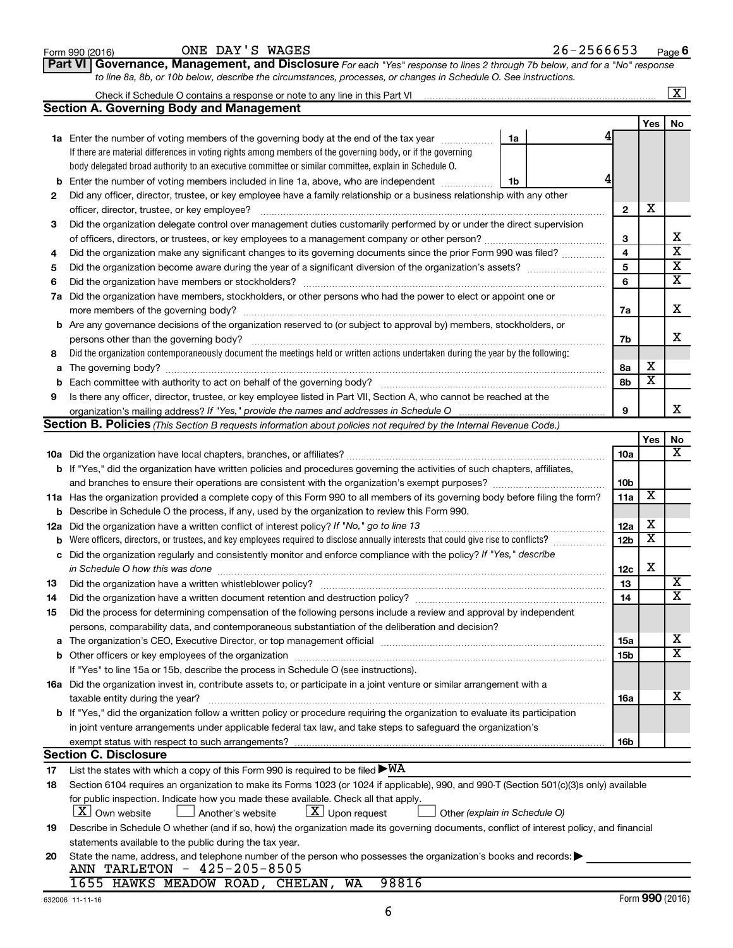|     | Check if Schedule O contains a response or note to any line in this Part VI                                                                                                                              |                         |                         | $\overline{\mathbf{X}}$ |
|-----|----------------------------------------------------------------------------------------------------------------------------------------------------------------------------------------------------------|-------------------------|-------------------------|-------------------------|
|     | <b>Section A. Governing Body and Management</b>                                                                                                                                                          |                         |                         |                         |
|     |                                                                                                                                                                                                          |                         | Yes                     | No                      |
|     | 1a Enter the number of voting members of the governing body at the end of the tax year <i>manument</i><br>1a                                                                                             |                         |                         |                         |
|     | If there are material differences in voting rights among members of the governing body, or if the governing                                                                                              |                         |                         |                         |
|     | body delegated broad authority to an executive committee or similar committee, explain in Schedule O.                                                                                                    |                         |                         |                         |
| b   | Enter the number of voting members included in line 1a, above, who are independent<br>1b                                                                                                                 |                         |                         |                         |
| 2   | Did any officer, director, trustee, or key employee have a family relationship or a business relationship with any other                                                                                 |                         |                         |                         |
|     | officer, director, trustee, or key employee?                                                                                                                                                             | $\mathbf{2}$            | х                       |                         |
| З   | Did the organization delegate control over management duties customarily performed by or under the direct supervision                                                                                    |                         |                         |                         |
|     |                                                                                                                                                                                                          | 3                       |                         | х                       |
| 4   | Did the organization make any significant changes to its governing documents since the prior Form 990 was filed?                                                                                         | $\overline{\mathbf{4}}$ |                         | $\overline{\mathbf{x}}$ |
| 5   |                                                                                                                                                                                                          | 5                       |                         | $\overline{\mathbf{X}}$ |
| 6   |                                                                                                                                                                                                          | 6                       |                         | $\overline{\mathbf{x}}$ |
|     | 7a Did the organization have members, stockholders, or other persons who had the power to elect or appoint one or                                                                                        |                         |                         |                         |
|     |                                                                                                                                                                                                          | 7a                      |                         | х                       |
|     | <b>b</b> Are any governance decisions of the organization reserved to (or subject to approval by) members, stockholders, or                                                                              |                         |                         |                         |
|     | persons other than the governing body?                                                                                                                                                                   | 7b                      |                         | х                       |
| 8   | Did the organization contemporaneously document the meetings held or written actions undertaken during the year by the following:                                                                        |                         |                         |                         |
| а   |                                                                                                                                                                                                          | 8а                      | х                       |                         |
|     |                                                                                                                                                                                                          | 8b                      | $\overline{\textbf{x}}$ |                         |
| 9   | Is there any officer, director, trustee, or key employee listed in Part VII, Section A, who cannot be reached at the                                                                                     |                         |                         |                         |
|     | organization's mailing address? If "Yes," provide the names and addresses in Schedule O                                                                                                                  | 9                       |                         | x                       |
|     | Section B. Policies (This Section B requests information about policies not required by the Internal Revenue Code.)                                                                                      |                         |                         |                         |
|     |                                                                                                                                                                                                          |                         | Yes                     | No                      |
|     |                                                                                                                                                                                                          | <b>10a</b>              |                         | х                       |
|     | <b>b</b> If "Yes," did the organization have written policies and procedures governing the activities of such chapters, affiliates,                                                                      |                         |                         |                         |
|     | and branches to ensure their operations are consistent with the organization's exempt purposes? www.www.www.www.                                                                                         | 10 <sub>b</sub>         |                         |                         |
|     | 11a Has the organization provided a complete copy of this Form 990 to all members of its governing body before filing the form?                                                                          | 11a                     | х                       |                         |
|     | <b>b</b> Describe in Schedule O the process, if any, used by the organization to review this Form 990.                                                                                                   |                         |                         |                         |
| 12a | Did the organization have a written conflict of interest policy? If "No," go to line 13                                                                                                                  | 12a                     | х                       |                         |
| b   | Were officers, directors, or trustees, and key employees required to disclose annually interests that could give rise to conflicts?                                                                      | 12 <sub>b</sub>         | $\overline{\texttt{x}}$ |                         |
| с   | Did the organization regularly and consistently monitor and enforce compliance with the policy? If "Yes," describe                                                                                       |                         |                         |                         |
|     | in Schedule O how this was done                                                                                                                                                                          | 12c                     | Х                       |                         |
| 13  |                                                                                                                                                                                                          | 13                      |                         | X                       |
| 14  | Did the organization have a written document retention and destruction policy? [11] manuscription manuscription materials and the organization have a written document retention and destruction policy? | 14                      |                         | $\overline{\textbf{x}}$ |
| 15  | Did the process for determining compensation of the following persons include a review and approval by independent                                                                                       |                         |                         |                         |
|     | persons, comparability data, and contemporaneous substantiation of the deliberation and decision?                                                                                                        |                         |                         |                         |
| а   |                                                                                                                                                                                                          | 15a                     |                         | х                       |
|     |                                                                                                                                                                                                          | 15b                     |                         | $\overline{\mathbf{X}}$ |
|     | If "Yes" to line 15a or 15b, describe the process in Schedule O (see instructions).                                                                                                                      |                         |                         |                         |
|     | 16a Did the organization invest in, contribute assets to, or participate in a joint venture or similar arrangement with a                                                                                |                         |                         |                         |
|     | taxable entity during the year?                                                                                                                                                                          | 16a                     |                         | X                       |
|     | b If "Yes," did the organization follow a written policy or procedure requiring the organization to evaluate its participation                                                                           |                         |                         |                         |
|     | in joint venture arrangements under applicable federal tax law, and take steps to safeguard the organization's                                                                                           |                         |                         |                         |
|     | exempt status with respect to such arrangements?                                                                                                                                                         | 16b                     |                         |                         |
|     | <b>Section C. Disclosure</b>                                                                                                                                                                             |                         |                         |                         |
| 17  | List the states with which a copy of this Form 990 is required to be filed $\blacktriangleright\texttt{WA}$                                                                                              |                         |                         |                         |
| 18  | Section 6104 requires an organization to make its Forms 1023 (or 1024 if applicable), 990, and 990-T (Section 501(c)(3)s only) available                                                                 |                         |                         |                         |
|     | for public inspection. Indicate how you made these available. Check all that apply.                                                                                                                      |                         |                         |                         |
|     | X Own website<br>$ \underline{X} $ Upon request<br>Another's website<br>Other (explain in Schedule O)                                                                                                    |                         |                         |                         |
| 19  | Describe in Schedule O whether (and if so, how) the organization made its governing documents, conflict of interest policy, and financial                                                                |                         |                         |                         |
|     | statements available to the public during the tax year.                                                                                                                                                  |                         |                         |                         |
| 20  | State the name, address, and telephone number of the person who possesses the organization's books and records:                                                                                          |                         |                         |                         |
|     | ANN TARLETON - 425-205-8505                                                                                                                                                                              |                         |                         |                         |
|     | 1655 HAWKS MEADOW ROAD, CHELAN, WA<br>98816                                                                                                                                                              |                         |                         |                         |

| 2566653<br><b>WAGES</b><br>DAY'<br>י י<br>ONE<br>26–<br>-<br>Form 990 (2016)<br>Page <b>o</b><br>ັ |
|----------------------------------------------------------------------------------------------------|
|----------------------------------------------------------------------------------------------------|

*to line 8a, 8b, or 10b below, describe the circumstances, processes, or changes in Schedule O. See instructions.*

**Part VI** Governance, Management, and Disclosure For each "Yes" response to lines 2 through 7b below, and for a "No" response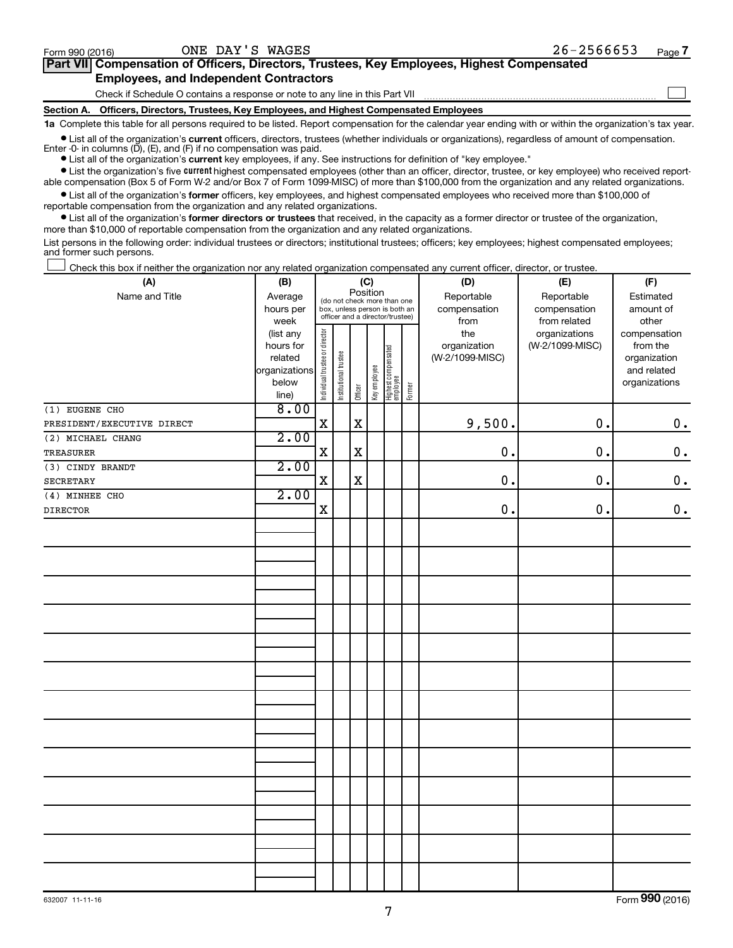$\Box$ 

| Part VII Compensation of Officers, Directors, Trustees, Key Employees, Highest Compensated |  |  |
|--------------------------------------------------------------------------------------------|--|--|
| <b>Employees, and Independent Contractors</b>                                              |  |  |

Check if Schedule O contains a response or note to any line in this Part VII

**Section A. Officers, Directors, Trustees, Key Employees, and Highest Compensated Employees**

**1a**  Complete this table for all persons required to be listed. Report compensation for the calendar year ending with or within the organization's tax year.

**•** List all of the organization's current officers, directors, trustees (whether individuals or organizations), regardless of amount of compensation. Enter -0- in columns  $(D)$ ,  $(E)$ , and  $(F)$  if no compensation was paid.

**•** List all of the organization's **current** key employees, if any. See instructions for definition of "key employee."

**•** List the organization's five current highest compensated employees (other than an officer, director, trustee, or key employee) who received reportable compensation (Box 5 of Form W-2 and/or Box 7 of Form 1099-MISC) of more than \$100,000 from the organization and any related organizations.

**•** List all of the organization's former officers, key employees, and highest compensated employees who received more than \$100,000 of reportable compensation from the organization and any related organizations.

**•** List all of the organization's former directors or trustees that received, in the capacity as a former director or trustee of the organization, more than \$10,000 of reportable compensation from the organization and any related organizations.

List persons in the following order: individual trustees or directors; institutional trustees; officers; key employees; highest compensated employees; and former such persons.

|  |  |  | Check this box if neither the organization nor any related organization compensated any current officer, director, or trustee. |  |  |
|--|--|--|--------------------------------------------------------------------------------------------------------------------------------|--|--|
|  |  |  |                                                                                                                                |  |  |

| (A)                        | (B)                                                                          |                                                                                                             |                       | (C)         |              |                                 |        | (D)                                    | (E)                                              | (F)                                                                               |
|----------------------------|------------------------------------------------------------------------------|-------------------------------------------------------------------------------------------------------------|-----------------------|-------------|--------------|---------------------------------|--------|----------------------------------------|--------------------------------------------------|-----------------------------------------------------------------------------------|
| Name and Title             | Average<br>hours per                                                         | Position<br>(do not check more than one<br>box, unless person is both an<br>officer and a director/trustee) |                       |             |              |                                 |        | Reportable<br>compensation<br>from     | Reportable<br>compensation                       | Estimated<br>amount of                                                            |
|                            | week<br>(list any<br>hours for<br>related<br>organizations<br>below<br>line) | Individual trustee or director                                                                              | Institutional trustee | Officer     | Key employee | Highest compensated<br>employee | Former | the<br>organization<br>(W-2/1099-MISC) | from related<br>organizations<br>(W-2/1099-MISC) | other<br>compensation<br>from the<br>organization<br>and related<br>organizations |
| (1) EUGENE CHO             | 8.00                                                                         |                                                                                                             |                       |             |              |                                 |        |                                        |                                                  |                                                                                   |
| PRESIDENT/EXECUTIVE DIRECT |                                                                              | $\mathbf X$                                                                                                 |                       | $\mathbf X$ |              |                                 |        | 9,500.                                 | 0.                                               | $\mathbf 0$ .                                                                     |
| (2) MICHAEL CHANG          | 2.00                                                                         |                                                                                                             |                       |             |              |                                 |        |                                        |                                                  |                                                                                   |
| <b>TREASURER</b>           |                                                                              | $\mathbf X$                                                                                                 |                       | $\mathbf x$ |              |                                 |        | 0.                                     | $\mathbf 0$ .                                    | $\mathbf 0$ .                                                                     |
| (3) CINDY BRANDT           | 2.00                                                                         |                                                                                                             |                       |             |              |                                 |        |                                        |                                                  |                                                                                   |
| SECRETARY                  |                                                                              | $\mathbf X$                                                                                                 |                       | $\mathbf X$ |              |                                 |        | 0.                                     | 0.                                               | $\mathbf 0$ .                                                                     |
| (4) MINHEE CHO             | 2.00                                                                         |                                                                                                             |                       |             |              |                                 |        |                                        |                                                  |                                                                                   |
| DIRECTOR                   |                                                                              | $\mathbf X$                                                                                                 |                       |             |              |                                 |        | $\mathbf 0$ .                          | 0.                                               | $0$ .                                                                             |
|                            |                                                                              |                                                                                                             |                       |             |              |                                 |        |                                        |                                                  |                                                                                   |
|                            |                                                                              |                                                                                                             |                       |             |              |                                 |        |                                        |                                                  |                                                                                   |
|                            |                                                                              |                                                                                                             |                       |             |              |                                 |        |                                        |                                                  |                                                                                   |
|                            |                                                                              |                                                                                                             |                       |             |              |                                 |        |                                        |                                                  |                                                                                   |
|                            |                                                                              |                                                                                                             |                       |             |              |                                 |        |                                        |                                                  |                                                                                   |
|                            |                                                                              |                                                                                                             |                       |             |              |                                 |        |                                        |                                                  |                                                                                   |
|                            |                                                                              |                                                                                                             |                       |             |              |                                 |        |                                        |                                                  |                                                                                   |
|                            |                                                                              |                                                                                                             |                       |             |              |                                 |        |                                        |                                                  |                                                                                   |
|                            |                                                                              |                                                                                                             |                       |             |              |                                 |        |                                        |                                                  |                                                                                   |
|                            |                                                                              |                                                                                                             |                       |             |              |                                 |        |                                        |                                                  |                                                                                   |
|                            |                                                                              |                                                                                                             |                       |             |              |                                 |        |                                        |                                                  |                                                                                   |
|                            |                                                                              |                                                                                                             |                       |             |              |                                 |        |                                        |                                                  |                                                                                   |

Form (2016) **990**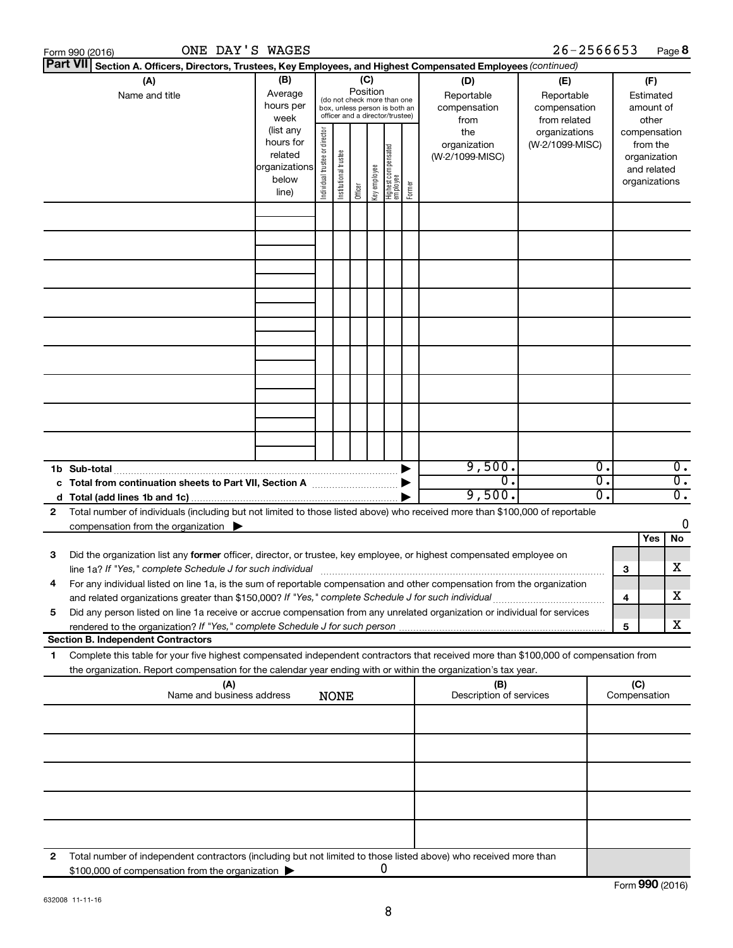|   | ONE DAY'S WAGES<br>Form 990 (2016)                                                                                                                                                                                                                                                                                                                |                                                                                                                                                                                                                                                                                           |  |             |                 |   |                                                                                                 |                                           | 26-2566653                                        |                           |                                        | Page 8                               |
|---|---------------------------------------------------------------------------------------------------------------------------------------------------------------------------------------------------------------------------------------------------------------------------------------------------------------------------------------------------|-------------------------------------------------------------------------------------------------------------------------------------------------------------------------------------------------------------------------------------------------------------------------------------------|--|-------------|-----------------|---|-------------------------------------------------------------------------------------------------|-------------------------------------------|---------------------------------------------------|---------------------------|----------------------------------------|--------------------------------------|
|   | <b>Part VII</b><br>Section A. Officers, Directors, Trustees, Key Employees, and Highest Compensated Employees (continued)                                                                                                                                                                                                                         |                                                                                                                                                                                                                                                                                           |  |             |                 |   |                                                                                                 |                                           |                                                   |                           |                                        |                                      |
|   | (A)<br>Name and title                                                                                                                                                                                                                                                                                                                             | (B)<br>Average<br>hours per<br>week                                                                                                                                                                                                                                                       |  |             | (C)<br>Position |   | (do not check more than one<br>box, unless person is both an<br>officer and a director/trustee) | (D)<br>Reportable<br>compensation<br>from | (E)<br>Reportable<br>compensation<br>from related |                           | (F)<br>Estimated<br>amount of<br>other |                                      |
|   |                                                                                                                                                                                                                                                                                                                                                   | (list any<br>Individual trustee or director<br>the<br>organizations<br>hours for<br>(W-2/1099-MISC)<br>organization<br>  Highest compensated<br>  employee<br>Institutional trustee<br>related<br>(W-2/1099-MISC)<br>organizations<br>Key employee<br>below<br>Former<br>Officer<br>line) |  |             |                 |   | compensation<br>from the<br>organization<br>and related<br>organizations                        |                                           |                                                   |                           |                                        |                                      |
|   |                                                                                                                                                                                                                                                                                                                                                   |                                                                                                                                                                                                                                                                                           |  |             |                 |   |                                                                                                 |                                           |                                                   |                           |                                        |                                      |
|   |                                                                                                                                                                                                                                                                                                                                                   |                                                                                                                                                                                                                                                                                           |  |             |                 |   |                                                                                                 |                                           |                                                   |                           |                                        |                                      |
|   |                                                                                                                                                                                                                                                                                                                                                   |                                                                                                                                                                                                                                                                                           |  |             |                 |   |                                                                                                 |                                           |                                                   |                           |                                        |                                      |
|   |                                                                                                                                                                                                                                                                                                                                                   |                                                                                                                                                                                                                                                                                           |  |             |                 |   |                                                                                                 |                                           |                                                   |                           |                                        |                                      |
|   |                                                                                                                                                                                                                                                                                                                                                   |                                                                                                                                                                                                                                                                                           |  |             |                 |   |                                                                                                 |                                           |                                                   |                           |                                        |                                      |
|   |                                                                                                                                                                                                                                                                                                                                                   |                                                                                                                                                                                                                                                                                           |  |             |                 |   |                                                                                                 |                                           |                                                   |                           |                                        |                                      |
|   |                                                                                                                                                                                                                                                                                                                                                   |                                                                                                                                                                                                                                                                                           |  |             |                 |   |                                                                                                 |                                           |                                                   |                           |                                        |                                      |
|   | 1b Sub-total                                                                                                                                                                                                                                                                                                                                      |                                                                                                                                                                                                                                                                                           |  |             |                 |   |                                                                                                 | 9,500.                                    |                                                   | $\overline{\mathbf{0}}$ . |                                        | $\overline{0}$ .                     |
|   |                                                                                                                                                                                                                                                                                                                                                   |                                                                                                                                                                                                                                                                                           |  |             |                 |   |                                                                                                 | $\overline{0}$ .<br>9,500.                |                                                   | 0.<br>Ο.                  |                                        | $\overline{0}$ .<br>$\overline{0}$ . |
| 2 | Total number of individuals (including but not limited to those listed above) who received more than \$100,000 of reportable<br>compensation from the organization $\blacktriangleright$                                                                                                                                                          |                                                                                                                                                                                                                                                                                           |  |             |                 |   |                                                                                                 |                                           |                                                   |                           |                                        | $\mathbf 0$                          |
| 3 | Did the organization list any former officer, director, or trustee, key employee, or highest compensated employee on                                                                                                                                                                                                                              |                                                                                                                                                                                                                                                                                           |  |             |                 |   |                                                                                                 |                                           |                                                   | з                         | Yes                                    | No<br>х                              |
|   | line 1a? If "Yes," complete Schedule J for such individual manufactured content to the set of the set of the s<br>For any individual listed on line 1a, is the sum of reportable compensation and other compensation from the organization<br>and related organizations greater than \$150,000? If "Yes," complete Schedule J for such individual |                                                                                                                                                                                                                                                                                           |  |             |                 |   |                                                                                                 |                                           |                                                   | 4                         |                                        | x                                    |
| 5 | Did any person listed on line 1a receive or accrue compensation from any unrelated organization or individual for services                                                                                                                                                                                                                        |                                                                                                                                                                                                                                                                                           |  |             |                 |   |                                                                                                 |                                           |                                                   | 5                         |                                        | х                                    |
|   | <b>Section B. Independent Contractors</b>                                                                                                                                                                                                                                                                                                         |                                                                                                                                                                                                                                                                                           |  |             |                 |   |                                                                                                 |                                           |                                                   |                           |                                        |                                      |
| 1 | Complete this table for your five highest compensated independent contractors that received more than \$100,000 of compensation from<br>the organization. Report compensation for the calendar year ending with or within the organization's tax year.                                                                                            |                                                                                                                                                                                                                                                                                           |  |             |                 |   |                                                                                                 |                                           |                                                   |                           |                                        |                                      |
|   | (A)<br>Name and business address                                                                                                                                                                                                                                                                                                                  |                                                                                                                                                                                                                                                                                           |  | <b>NONE</b> |                 |   |                                                                                                 | (B)<br>Description of services            |                                                   |                           | (C)<br>Compensation                    |                                      |
|   |                                                                                                                                                                                                                                                                                                                                                   |                                                                                                                                                                                                                                                                                           |  |             |                 |   |                                                                                                 |                                           |                                                   |                           |                                        |                                      |
|   |                                                                                                                                                                                                                                                                                                                                                   |                                                                                                                                                                                                                                                                                           |  |             |                 |   |                                                                                                 |                                           |                                                   |                           |                                        |                                      |
|   |                                                                                                                                                                                                                                                                                                                                                   |                                                                                                                                                                                                                                                                                           |  |             |                 |   |                                                                                                 |                                           |                                                   |                           |                                        |                                      |
|   |                                                                                                                                                                                                                                                                                                                                                   |                                                                                                                                                                                                                                                                                           |  |             |                 |   |                                                                                                 |                                           |                                                   |                           |                                        |                                      |
| 2 | Total number of independent contractors (including but not limited to those listed above) who received more than<br>\$100,000 of compensation from the organization                                                                                                                                                                               |                                                                                                                                                                                                                                                                                           |  |             |                 | 0 |                                                                                                 |                                           |                                                   |                           |                                        |                                      |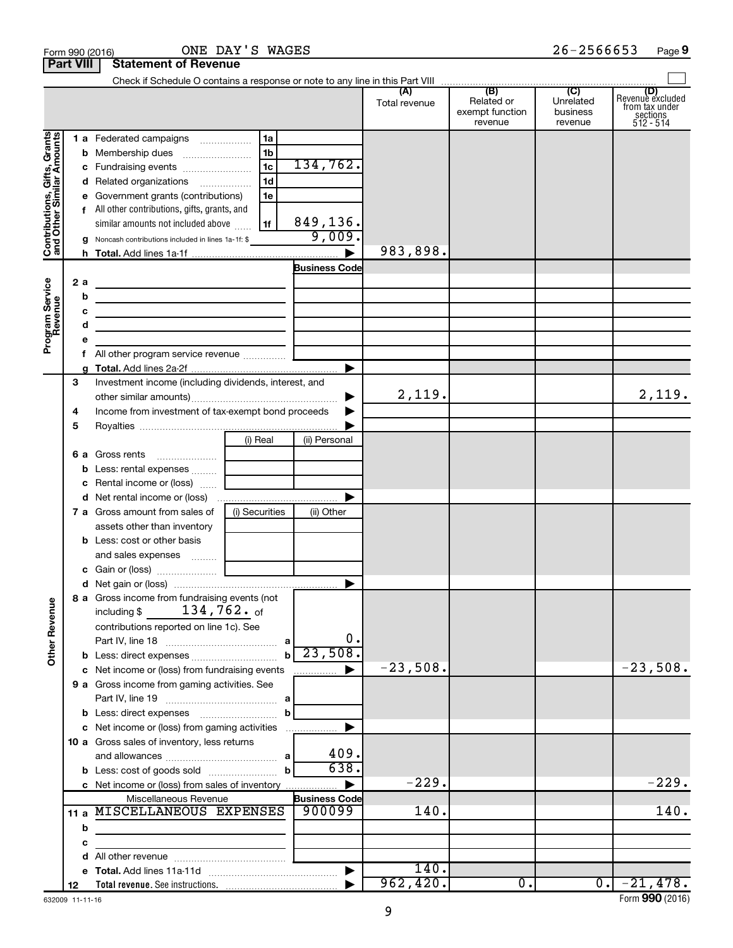|                                                                                         | <b>Part VIII</b>                                 | <b>Statement of Revenue</b>                                                                                                                                                                                                                                                                                                                                                                                                                                                                                        |                                                                      |                                                        |                      |                                                 |                                         |                                                             |
|-----------------------------------------------------------------------------------------|--------------------------------------------------|--------------------------------------------------------------------------------------------------------------------------------------------------------------------------------------------------------------------------------------------------------------------------------------------------------------------------------------------------------------------------------------------------------------------------------------------------------------------------------------------------------------------|----------------------------------------------------------------------|--------------------------------------------------------|----------------------|-------------------------------------------------|-----------------------------------------|-------------------------------------------------------------|
|                                                                                         |                                                  |                                                                                                                                                                                                                                                                                                                                                                                                                                                                                                                    |                                                                      |                                                        |                      |                                                 |                                         |                                                             |
|                                                                                         |                                                  |                                                                                                                                                                                                                                                                                                                                                                                                                                                                                                                    |                                                                      |                                                        | (A)<br>Total revenue | (B)<br>Related or<br>exempt function<br>revenue | (C)<br>Unrelated<br>business<br>revenue | Revenue excluded<br>from tax under<br>sections<br>512 - 514 |
| Contributions, Gifts, Grants<br>and Other Similar Amounts<br>Program Service<br>Revenue | b<br>d<br>е<br>2 a<br>b<br>c<br>d<br>е<br>f<br>g | 1 a Federated campaigns<br>Related organizations<br>Government grants (contributions)<br>f All other contributions, gifts, grants, and<br>similar amounts not included above<br>g Noncash contributions included in lines 1a-1f: \$<br><u> 1989 - Johann Stein, mars an deus Amerikaansk kommunister (</u><br><u> 1989 - Johann Stein, marwolaethau a bhann an t-Alban ann an t-Alban an t-Alban ann an t-Alban an t-Alban ann a</u><br>the control of the control of the control of the control of the control of | 1a<br>1 <sub>b</sub><br>1 <sub>c</sub><br>1 <sub>d</sub><br>1e<br>1f | 134,762.<br>849,136.<br>9,009.<br><b>Business Code</b> | 983,898.             |                                                 |                                         |                                                             |
|                                                                                         | 3<br>4<br>5                                      | Investment income (including dividends, interest, and<br>Income from investment of tax-exempt bond proceeds                                                                                                                                                                                                                                                                                                                                                                                                        |                                                                      | ▶                                                      | 2,119.               |                                                 |                                         | 2,119.                                                      |
|                                                                                         | 6а<br>b<br>с<br>d                                | Gross rents<br>Less: rental expenses   <br>Rental income or (loss)<br><b>7 a</b> Gross amount from sales of<br>assets other than inventory<br><b>b</b> Less: cost or other basis                                                                                                                                                                                                                                                                                                                                   | (i) Real<br>(i) Securities                                           | (ii) Personal<br>(ii) Other                            |                      |                                                 |                                         |                                                             |
|                                                                                         |                                                  | 8 a Gross income from fundraising events (not                                                                                                                                                                                                                                                                                                                                                                                                                                                                      |                                                                      |                                                        |                      |                                                 |                                         |                                                             |
| <b>Other Revenue</b>                                                                    |                                                  | 134,762. of<br>including \$<br>contributions reported on line 1c). See<br>Part IV, line 18                                                                                                                                                                                                                                                                                                                                                                                                                         | $\mathbf b$                                                          | 0.<br>23,508                                           |                      |                                                 |                                         |                                                             |
|                                                                                         |                                                  | c Net income or (loss) from fundraising events<br>9 a Gross income from gaming activities. See                                                                                                                                                                                                                                                                                                                                                                                                                     | b                                                                    |                                                        | $-23,508.$           |                                                 |                                         | $-23,508.$                                                  |
|                                                                                         |                                                  | c Net income or (loss) from gaming activities<br>10 a Gross sales of inventory, less returns                                                                                                                                                                                                                                                                                                                                                                                                                       | b                                                                    | 409.<br>638.                                           | $-229.$              |                                                 |                                         | $-229.$                                                     |
|                                                                                         | 11 $a$<br>b                                      | c Net income or (loss) from sales of inventory<br>Miscellaneous Revenue<br>MISCELLANEOUS EXPENSES                                                                                                                                                                                                                                                                                                                                                                                                                  |                                                                      | <b>Business Code</b><br>900099                         | 140.                 |                                                 |                                         | 140.                                                        |
|                                                                                         | с                                                |                                                                                                                                                                                                                                                                                                                                                                                                                                                                                                                    |                                                                      |                                                        |                      |                                                 |                                         |                                                             |
|                                                                                         | d                                                |                                                                                                                                                                                                                                                                                                                                                                                                                                                                                                                    |                                                                      |                                                        |                      |                                                 |                                         |                                                             |
|                                                                                         | е                                                |                                                                                                                                                                                                                                                                                                                                                                                                                                                                                                                    |                                                                      |                                                        | 140.                 |                                                 |                                         |                                                             |
|                                                                                         | 12                                               |                                                                                                                                                                                                                                                                                                                                                                                                                                                                                                                    |                                                                      |                                                        | 962,420.             | $0$ .                                           | $0$ .                                   | $-21,478.$                                                  |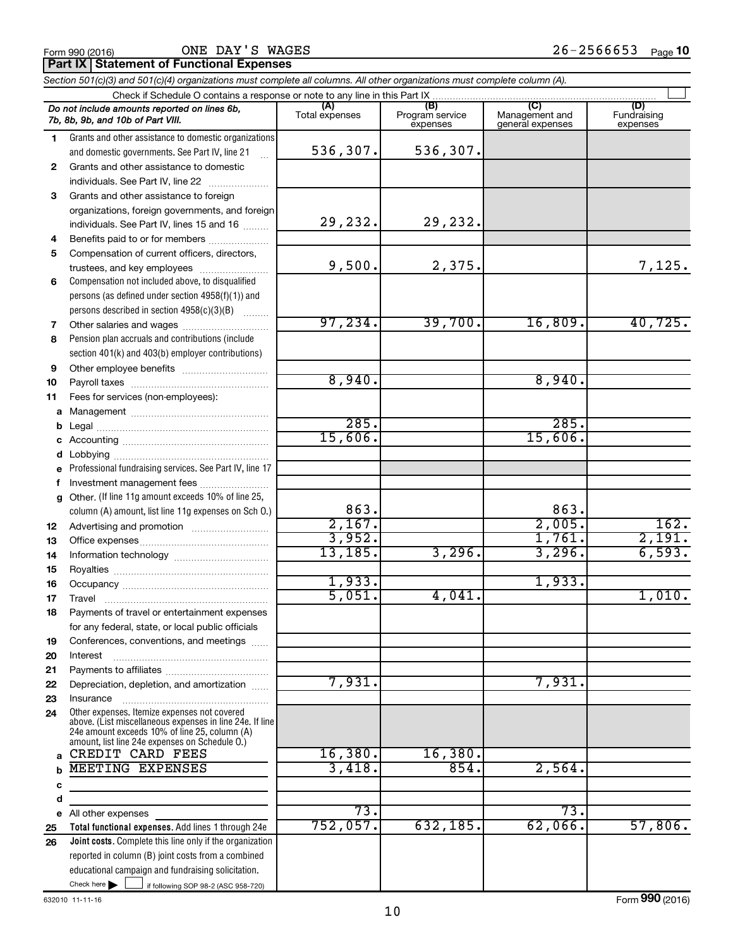ONE DAY'S WAGES

**Part IX | Statement of Functional Expenses** 

|              | Section 501(c)(3) and 501(c)(4) organizations must complete all columns. All other organizations must complete column (A).                                                                                  |                |                             |                                    |                         |
|--------------|-------------------------------------------------------------------------------------------------------------------------------------------------------------------------------------------------------------|----------------|-----------------------------|------------------------------------|-------------------------|
|              | Check if Schedule O contains a response or note to any line in this Part IX                                                                                                                                 | (A)            | (B)                         | (C)                                | (D)                     |
|              | Do not include amounts reported on lines 6b,<br>7b, 8b, 9b, and 10b of Part VIII.                                                                                                                           | Total expenses | Program service<br>expenses | Management and<br>general expenses | Fundraising<br>expenses |
| 1            | Grants and other assistance to domestic organizations                                                                                                                                                       |                |                             |                                    |                         |
|              | and domestic governments. See Part IV, line 21<br>$\mathbf{r}$                                                                                                                                              | 536, 307.      | 536,307.                    |                                    |                         |
| $\mathbf{2}$ | Grants and other assistance to domestic                                                                                                                                                                     |                |                             |                                    |                         |
|              | individuals. See Part IV, line 22                                                                                                                                                                           |                |                             |                                    |                         |
| 3            | Grants and other assistance to foreign                                                                                                                                                                      |                |                             |                                    |                         |
|              | organizations, foreign governments, and foreign                                                                                                                                                             |                |                             |                                    |                         |
|              | individuals. See Part IV, lines 15 and 16                                                                                                                                                                   | 29,232.        | 29,232.                     |                                    |                         |
| 4            | Benefits paid to or for members                                                                                                                                                                             |                |                             |                                    |                         |
| 5            | Compensation of current officers, directors,                                                                                                                                                                | 9,500.         |                             |                                    |                         |
|              | trustees, and key employees                                                                                                                                                                                 |                | 2,375.                      |                                    | 7,125.                  |
| 6            | Compensation not included above, to disqualified                                                                                                                                                            |                |                             |                                    |                         |
|              | persons (as defined under section 4958(f)(1)) and                                                                                                                                                           |                |                             |                                    |                         |
|              | persons described in section 4958(c)(3)(B)<br>1.1.1.1.1.1.1                                                                                                                                                 | 97, 234.       | 39,700.                     | 16,809.                            | 40,725.                 |
| 7            |                                                                                                                                                                                                             |                |                             |                                    |                         |
| 8            | Pension plan accruals and contributions (include                                                                                                                                                            |                |                             |                                    |                         |
|              | section 401(k) and 403(b) employer contributions)                                                                                                                                                           |                |                             |                                    |                         |
| 9            |                                                                                                                                                                                                             | 8,940.         |                             | 8,940.                             |                         |
| 10           |                                                                                                                                                                                                             |                |                             |                                    |                         |
| 11           | Fees for services (non-employees):                                                                                                                                                                          |                |                             |                                    |                         |
| а            |                                                                                                                                                                                                             | 285.           |                             | 285.                               |                         |
| b            |                                                                                                                                                                                                             | 15,606.        |                             | 15,606.                            |                         |
| с            |                                                                                                                                                                                                             |                |                             |                                    |                         |
| d            | Professional fundraising services. See Part IV, line 17                                                                                                                                                     |                |                             |                                    |                         |
| е            | Investment management fees                                                                                                                                                                                  |                |                             |                                    |                         |
| f<br>g       | Other. (If line 11g amount exceeds 10% of line 25,                                                                                                                                                          |                |                             |                                    |                         |
|              | column (A) amount, list line 11g expenses on Sch O.)                                                                                                                                                        | 863.           |                             | 863.                               |                         |
| 12           |                                                                                                                                                                                                             | 2,167.         |                             | 2,005.                             | 162.                    |
| 13           |                                                                                                                                                                                                             | 3,952.         |                             | 1,761.                             | 2,191.                  |
| 14           |                                                                                                                                                                                                             | 13, 185.       | 3,296.                      | 3,296.                             | 6,593.                  |
| 15           |                                                                                                                                                                                                             |                |                             |                                    |                         |
| 16           |                                                                                                                                                                                                             | 1,933.         |                             | 1,933.                             |                         |
| 17           |                                                                                                                                                                                                             | 5,051.         | 4,041.                      |                                    | 1,010.                  |
| 18           | Payments of travel or entertainment expenses                                                                                                                                                                |                |                             |                                    |                         |
|              | for any federal, state, or local public officials                                                                                                                                                           |                |                             |                                    |                         |
| 19           | Conferences, conventions, and meetings                                                                                                                                                                      |                |                             |                                    |                         |
| 20           | Interest                                                                                                                                                                                                    |                |                             |                                    |                         |
| 21           |                                                                                                                                                                                                             |                |                             |                                    |                         |
| 22           | Depreciation, depletion, and amortization                                                                                                                                                                   | 7,931.         |                             | 7,931.                             |                         |
| 23           | Insurance                                                                                                                                                                                                   |                |                             |                                    |                         |
| 24           | Other expenses. Itemize expenses not covered<br>above. (List miscellaneous expenses in line 24e. If line<br>24e amount exceeds 10% of line 25, column (A)<br>amount, list line 24e expenses on Schedule O.) |                |                             |                                    |                         |
| a            | CREDIT CARD FEES                                                                                                                                                                                            | 16,380.        | 16,380.                     |                                    |                         |
| b            | MEETING EXPENSES                                                                                                                                                                                            | 3,418.         | 854.                        | 2,564.                             |                         |
| с            |                                                                                                                                                                                                             |                |                             |                                    |                         |
| d            |                                                                                                                                                                                                             |                |                             |                                    |                         |
| е            | All other expenses                                                                                                                                                                                          | 73.            |                             | 73.                                |                         |
| 25           | Total functional expenses. Add lines 1 through 24e                                                                                                                                                          | 752,057.       | 632,185.                    | 62,066.                            | 57,806.                 |
| 26           | Joint costs. Complete this line only if the organization                                                                                                                                                    |                |                             |                                    |                         |
|              | reported in column (B) joint costs from a combined                                                                                                                                                          |                |                             |                                    |                         |
|              | educational campaign and fundraising solicitation.                                                                                                                                                          |                |                             |                                    |                         |
|              | Check here $\blacktriangleright$<br>if following SOP 98-2 (ASC 958-720)                                                                                                                                     |                |                             |                                    |                         |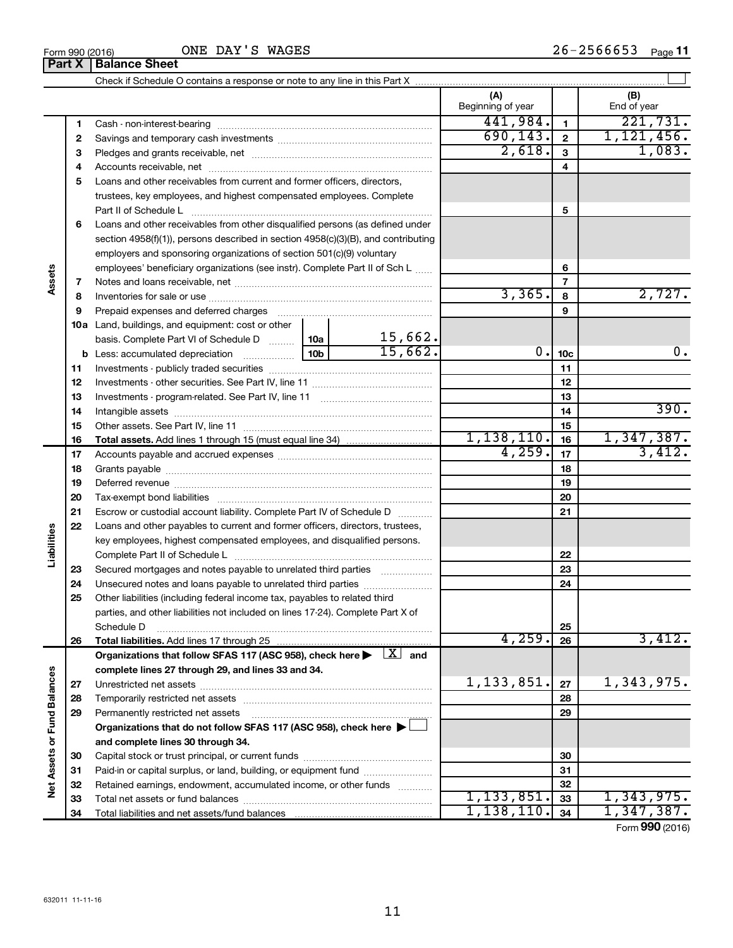|                             |    |                                                                                                                           |                 |         | (A)<br>Beginning of year |                 | (B)<br>End of year |
|-----------------------------|----|---------------------------------------------------------------------------------------------------------------------------|-----------------|---------|--------------------------|-----------------|--------------------|
|                             | 1  |                                                                                                                           |                 |         | 441,984.                 | $\blacksquare$  | 221,731.           |
|                             | 2  |                                                                                                                           |                 |         | 690, 143.                | $\mathbf{2}$    | 1,121,456.         |
|                             | З  |                                                                                                                           |                 |         | 2,618.                   | 3               | 1,083.             |
|                             | 4  |                                                                                                                           |                 |         |                          | 4               |                    |
|                             | 5  | Loans and other receivables from current and former officers, directors,                                                  |                 |         |                          |                 |                    |
|                             |    | trustees, key employees, and highest compensated employees. Complete                                                      |                 |         |                          |                 |                    |
|                             |    |                                                                                                                           |                 |         |                          | 5               |                    |
|                             | 6  | Loans and other receivables from other disqualified persons (as defined under                                             |                 |         |                          |                 |                    |
|                             |    | section $4958(f)(1)$ , persons described in section $4958(c)(3)(B)$ , and contributing                                    |                 |         |                          |                 |                    |
|                             |    | employers and sponsoring organizations of section 501(c)(9) voluntary                                                     |                 |         |                          |                 |                    |
|                             |    | employees' beneficiary organizations (see instr). Complete Part II of Sch L                                               |                 |         |                          | 6               |                    |
| Assets                      | 7  |                                                                                                                           |                 |         |                          | 7               |                    |
|                             | 8  |                                                                                                                           |                 |         | 3,365.                   | 8               | 2,727.             |
|                             | 9  | Prepaid expenses and deferred charges                                                                                     |                 |         |                          | 9               |                    |
|                             |    | 10a Land, buildings, and equipment: cost or other                                                                         |                 |         |                          |                 |                    |
|                             |    | basis. Complete Part VI of Schedule D  10a                                                                                |                 | 15,662. |                          |                 |                    |
|                             |    | <b>b</b> Less: accumulated depreciation <i></i>                                                                           | 10 <sub>b</sub> | 15,662. | О.                       | 10 <sub>c</sub> | 0.                 |
|                             | 11 |                                                                                                                           |                 |         |                          | 11              |                    |
|                             | 12 |                                                                                                                           |                 |         |                          | 12              |                    |
|                             | 13 |                                                                                                                           |                 |         | 13                       |                 |                    |
|                             | 14 |                                                                                                                           |                 |         |                          | 14              | 390.               |
|                             | 15 |                                                                                                                           |                 |         |                          | 15              |                    |
|                             | 16 |                                                                                                                           |                 |         | 1,138,110.               | 16              | 1,347,387.         |
|                             | 17 |                                                                                                                           |                 |         | 4,259.                   | 17              | 3,412.             |
|                             | 18 |                                                                                                                           |                 | 18      |                          |                 |                    |
|                             | 19 |                                                                                                                           |                 |         |                          | 19              |                    |
|                             | 20 |                                                                                                                           |                 | 20      |                          |                 |                    |
|                             | 21 | Escrow or custodial account liability. Complete Part IV of Schedule D                                                     |                 |         |                          | 21              |                    |
|                             | 22 | Loans and other payables to current and former officers, directors, trustees,                                             |                 |         |                          |                 |                    |
| Liabilities                 |    | key employees, highest compensated employees, and disqualified persons.                                                   |                 |         |                          |                 |                    |
|                             |    |                                                                                                                           |                 |         |                          | 22              |                    |
|                             | 23 | Secured mortgages and notes payable to unrelated third parties                                                            |                 |         |                          | 23              |                    |
|                             | 24 | Unsecured notes and loans payable to unrelated third parties                                                              |                 |         |                          | 24              |                    |
|                             | 25 | Other liabilities (including federal income tax, payables to related third                                                |                 |         |                          |                 |                    |
|                             |    | parties, and other liabilities not included on lines 17-24). Complete Part X of                                           |                 |         |                          |                 |                    |
|                             |    | Schedule D                                                                                                                |                 |         |                          | 25              |                    |
|                             | 26 |                                                                                                                           |                 |         | 4,259.                   | 26              | 3,412.             |
|                             |    | Organizations that follow SFAS 117 (ASC 958), check here $\blacktriangleright \begin{array}{c} \boxed{X} \end{array}$ and |                 |         |                          |                 |                    |
|                             |    | complete lines 27 through 29, and lines 33 and 34.                                                                        |                 |         |                          |                 |                    |
|                             | 27 |                                                                                                                           |                 |         | 1,133,851.               | 27              | 1,343,975.         |
|                             | 28 |                                                                                                                           |                 |         |                          | 28              |                    |
|                             | 29 | Permanently restricted net assets                                                                                         |                 |         |                          | 29              |                    |
| Net Assets or Fund Balances |    | Organizations that do not follow SFAS 117 (ASC 958), check here ▶                                                         |                 |         |                          |                 |                    |
|                             |    | and complete lines 30 through 34.                                                                                         |                 |         |                          |                 |                    |
|                             | 30 |                                                                                                                           |                 |         |                          | 30              |                    |
|                             | 31 | Paid-in or capital surplus, or land, building, or equipment fund                                                          |                 |         |                          | 31              |                    |
|                             | 32 | Retained earnings, endowment, accumulated income, or other funds                                                          |                 |         |                          | 32              |                    |
|                             | 33 |                                                                                                                           |                 |         | 1, 133, 851.             | 33              | 1,343,975.         |
|                             | 34 |                                                                                                                           |                 |         | 1,138,110.               | 34              | 1,347,387.         |

Form (2016) **990**

**Part X** | Balance Sheet ONE DAY'S WAGES

11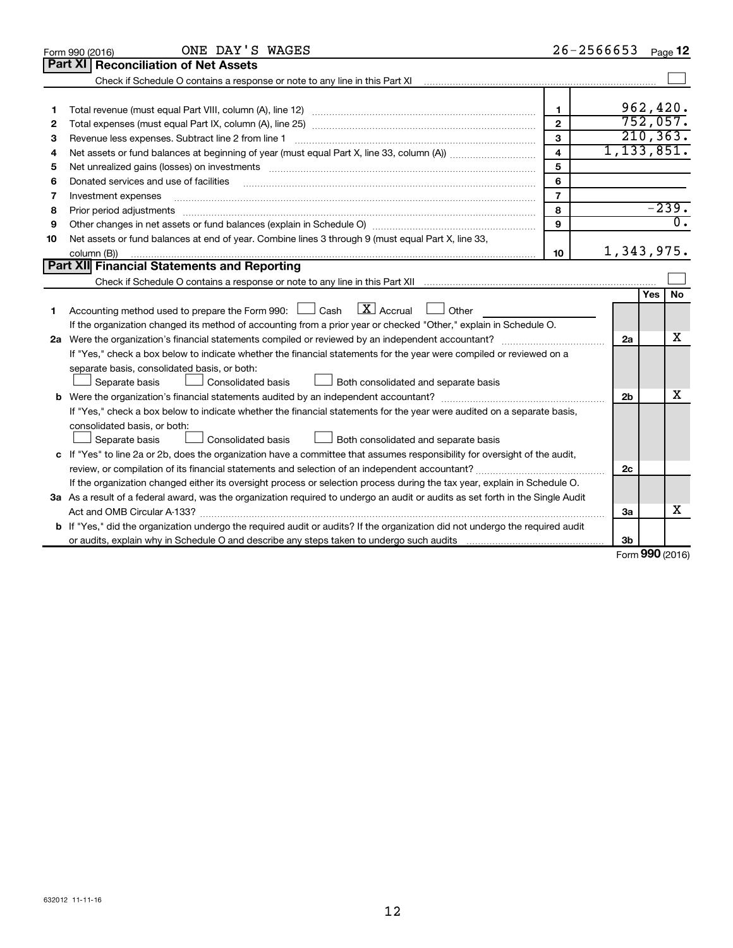| Part XI<br><b>Reconciliation of Net Assets</b><br>Check if Schedule O contains a response or note to any line in this Part XI<br>962,420.<br>1<br>1<br>752,057.<br>$\mathbf{2}$<br>2<br>210, 363.<br>$\mathbf{3}$<br>Revenue less expenses. Subtract line 2 from line 1<br>З<br>1, 133, 851.<br>$\overline{\mathbf{4}}$<br>4<br>5<br>Net unrealized gains (losses) on investments [11] matter than the control of the state of the state of the state of the state of the state of the state of the state of the state of the state of the state of the state of th<br>5<br>6<br>Donated services and use of facilities<br>6<br>$\overline{7}$<br>Investment expenses<br>7<br>$-239.$<br>8<br>8<br>$\overline{0}$ .<br>9<br>9<br>Net assets or fund balances at end of year. Combine lines 3 through 9 (must equal Part X, line 33,<br>10<br>1,343,975.<br>10<br>column (B))<br>Part XII Financial Statements and Reporting<br>No<br>Yes<br>$\lfloor \mathbf{X} \rfloor$ Accrual<br>Accounting method used to prepare the Form 990: $\Box$ Cash<br>Other<br>1<br>If the organization changed its method of accounting from a prior year or checked "Other," explain in Schedule O.<br>x<br>2a<br>If "Yes," check a box below to indicate whether the financial statements for the year were compiled or reviewed on a<br>separate basis, consolidated basis, or both:<br>Separate basis<br>Both consolidated and separate basis<br>Consolidated basis<br>x<br>2 <sub>b</sub><br>If "Yes," check a box below to indicate whether the financial statements for the year were audited on a separate basis,<br>consolidated basis, or both:<br>Separate basis<br>Consolidated basis<br>Both consolidated and separate basis<br>c If "Yes" to line 2a or 2b, does the organization have a committee that assumes responsibility for oversight of the audit,<br>review, or compilation of its financial statements and selection of an independent accountant?<br>2c<br>If the organization changed either its oversight process or selection process during the tax year, explain in Schedule O.<br>3a As a result of a federal award, was the organization required to undergo an audit or audits as set forth in the Single Audit<br>х<br>За<br><b>b</b> If "Yes," did the organization undergo the required audit or audits? If the organization did not undergo the required audit<br>Зb<br>$000 \, \text{m}$ | ONE DAY'S WAGES<br>Form 990 (2016) |  | 26-2566653 |  | Page 12 |  |
|--------------------------------------------------------------------------------------------------------------------------------------------------------------------------------------------------------------------------------------------------------------------------------------------------------------------------------------------------------------------------------------------------------------------------------------------------------------------------------------------------------------------------------------------------------------------------------------------------------------------------------------------------------------------------------------------------------------------------------------------------------------------------------------------------------------------------------------------------------------------------------------------------------------------------------------------------------------------------------------------------------------------------------------------------------------------------------------------------------------------------------------------------------------------------------------------------------------------------------------------------------------------------------------------------------------------------------------------------------------------------------------------------------------------------------------------------------------------------------------------------------------------------------------------------------------------------------------------------------------------------------------------------------------------------------------------------------------------------------------------------------------------------------------------------------------------------------------------------------------------------------------------------------------------------------------------------------------------------------------------------------------------------------------------------------------------------------------------------------------------------------------------------------------------------------------------------------------------------------------------------------------------------------------------------------------------------------------------------------------------------------------------------------------|------------------------------------|--|------------|--|---------|--|
|                                                                                                                                                                                                                                                                                                                                                                                                                                                                                                                                                                                                                                                                                                                                                                                                                                                                                                                                                                                                                                                                                                                                                                                                                                                                                                                                                                                                                                                                                                                                                                                                                                                                                                                                                                                                                                                                                                                                                                                                                                                                                                                                                                                                                                                                                                                                                                                                              |                                    |  |            |  |         |  |
|                                                                                                                                                                                                                                                                                                                                                                                                                                                                                                                                                                                                                                                                                                                                                                                                                                                                                                                                                                                                                                                                                                                                                                                                                                                                                                                                                                                                                                                                                                                                                                                                                                                                                                                                                                                                                                                                                                                                                                                                                                                                                                                                                                                                                                                                                                                                                                                                              |                                    |  |            |  |         |  |
|                                                                                                                                                                                                                                                                                                                                                                                                                                                                                                                                                                                                                                                                                                                                                                                                                                                                                                                                                                                                                                                                                                                                                                                                                                                                                                                                                                                                                                                                                                                                                                                                                                                                                                                                                                                                                                                                                                                                                                                                                                                                                                                                                                                                                                                                                                                                                                                                              |                                    |  |            |  |         |  |
|                                                                                                                                                                                                                                                                                                                                                                                                                                                                                                                                                                                                                                                                                                                                                                                                                                                                                                                                                                                                                                                                                                                                                                                                                                                                                                                                                                                                                                                                                                                                                                                                                                                                                                                                                                                                                                                                                                                                                                                                                                                                                                                                                                                                                                                                                                                                                                                                              |                                    |  |            |  |         |  |
|                                                                                                                                                                                                                                                                                                                                                                                                                                                                                                                                                                                                                                                                                                                                                                                                                                                                                                                                                                                                                                                                                                                                                                                                                                                                                                                                                                                                                                                                                                                                                                                                                                                                                                                                                                                                                                                                                                                                                                                                                                                                                                                                                                                                                                                                                                                                                                                                              |                                    |  |            |  |         |  |
|                                                                                                                                                                                                                                                                                                                                                                                                                                                                                                                                                                                                                                                                                                                                                                                                                                                                                                                                                                                                                                                                                                                                                                                                                                                                                                                                                                                                                                                                                                                                                                                                                                                                                                                                                                                                                                                                                                                                                                                                                                                                                                                                                                                                                                                                                                                                                                                                              |                                    |  |            |  |         |  |
|                                                                                                                                                                                                                                                                                                                                                                                                                                                                                                                                                                                                                                                                                                                                                                                                                                                                                                                                                                                                                                                                                                                                                                                                                                                                                                                                                                                                                                                                                                                                                                                                                                                                                                                                                                                                                                                                                                                                                                                                                                                                                                                                                                                                                                                                                                                                                                                                              |                                    |  |            |  |         |  |
|                                                                                                                                                                                                                                                                                                                                                                                                                                                                                                                                                                                                                                                                                                                                                                                                                                                                                                                                                                                                                                                                                                                                                                                                                                                                                                                                                                                                                                                                                                                                                                                                                                                                                                                                                                                                                                                                                                                                                                                                                                                                                                                                                                                                                                                                                                                                                                                                              |                                    |  |            |  |         |  |
|                                                                                                                                                                                                                                                                                                                                                                                                                                                                                                                                                                                                                                                                                                                                                                                                                                                                                                                                                                                                                                                                                                                                                                                                                                                                                                                                                                                                                                                                                                                                                                                                                                                                                                                                                                                                                                                                                                                                                                                                                                                                                                                                                                                                                                                                                                                                                                                                              |                                    |  |            |  |         |  |
|                                                                                                                                                                                                                                                                                                                                                                                                                                                                                                                                                                                                                                                                                                                                                                                                                                                                                                                                                                                                                                                                                                                                                                                                                                                                                                                                                                                                                                                                                                                                                                                                                                                                                                                                                                                                                                                                                                                                                                                                                                                                                                                                                                                                                                                                                                                                                                                                              |                                    |  |            |  |         |  |
|                                                                                                                                                                                                                                                                                                                                                                                                                                                                                                                                                                                                                                                                                                                                                                                                                                                                                                                                                                                                                                                                                                                                                                                                                                                                                                                                                                                                                                                                                                                                                                                                                                                                                                                                                                                                                                                                                                                                                                                                                                                                                                                                                                                                                                                                                                                                                                                                              |                                    |  |            |  |         |  |
|                                                                                                                                                                                                                                                                                                                                                                                                                                                                                                                                                                                                                                                                                                                                                                                                                                                                                                                                                                                                                                                                                                                                                                                                                                                                                                                                                                                                                                                                                                                                                                                                                                                                                                                                                                                                                                                                                                                                                                                                                                                                                                                                                                                                                                                                                                                                                                                                              |                                    |  |            |  |         |  |
|                                                                                                                                                                                                                                                                                                                                                                                                                                                                                                                                                                                                                                                                                                                                                                                                                                                                                                                                                                                                                                                                                                                                                                                                                                                                                                                                                                                                                                                                                                                                                                                                                                                                                                                                                                                                                                                                                                                                                                                                                                                                                                                                                                                                                                                                                                                                                                                                              |                                    |  |            |  |         |  |
|                                                                                                                                                                                                                                                                                                                                                                                                                                                                                                                                                                                                                                                                                                                                                                                                                                                                                                                                                                                                                                                                                                                                                                                                                                                                                                                                                                                                                                                                                                                                                                                                                                                                                                                                                                                                                                                                                                                                                                                                                                                                                                                                                                                                                                                                                                                                                                                                              |                                    |  |            |  |         |  |
|                                                                                                                                                                                                                                                                                                                                                                                                                                                                                                                                                                                                                                                                                                                                                                                                                                                                                                                                                                                                                                                                                                                                                                                                                                                                                                                                                                                                                                                                                                                                                                                                                                                                                                                                                                                                                                                                                                                                                                                                                                                                                                                                                                                                                                                                                                                                                                                                              |                                    |  |            |  |         |  |
|                                                                                                                                                                                                                                                                                                                                                                                                                                                                                                                                                                                                                                                                                                                                                                                                                                                                                                                                                                                                                                                                                                                                                                                                                                                                                                                                                                                                                                                                                                                                                                                                                                                                                                                                                                                                                                                                                                                                                                                                                                                                                                                                                                                                                                                                                                                                                                                                              |                                    |  |            |  |         |  |
|                                                                                                                                                                                                                                                                                                                                                                                                                                                                                                                                                                                                                                                                                                                                                                                                                                                                                                                                                                                                                                                                                                                                                                                                                                                                                                                                                                                                                                                                                                                                                                                                                                                                                                                                                                                                                                                                                                                                                                                                                                                                                                                                                                                                                                                                                                                                                                                                              |                                    |  |            |  |         |  |
|                                                                                                                                                                                                                                                                                                                                                                                                                                                                                                                                                                                                                                                                                                                                                                                                                                                                                                                                                                                                                                                                                                                                                                                                                                                                                                                                                                                                                                                                                                                                                                                                                                                                                                                                                                                                                                                                                                                                                                                                                                                                                                                                                                                                                                                                                                                                                                                                              |                                    |  |            |  |         |  |
|                                                                                                                                                                                                                                                                                                                                                                                                                                                                                                                                                                                                                                                                                                                                                                                                                                                                                                                                                                                                                                                                                                                                                                                                                                                                                                                                                                                                                                                                                                                                                                                                                                                                                                                                                                                                                                                                                                                                                                                                                                                                                                                                                                                                                                                                                                                                                                                                              |                                    |  |            |  |         |  |
|                                                                                                                                                                                                                                                                                                                                                                                                                                                                                                                                                                                                                                                                                                                                                                                                                                                                                                                                                                                                                                                                                                                                                                                                                                                                                                                                                                                                                                                                                                                                                                                                                                                                                                                                                                                                                                                                                                                                                                                                                                                                                                                                                                                                                                                                                                                                                                                                              |                                    |  |            |  |         |  |
|                                                                                                                                                                                                                                                                                                                                                                                                                                                                                                                                                                                                                                                                                                                                                                                                                                                                                                                                                                                                                                                                                                                                                                                                                                                                                                                                                                                                                                                                                                                                                                                                                                                                                                                                                                                                                                                                                                                                                                                                                                                                                                                                                                                                                                                                                                                                                                                                              |                                    |  |            |  |         |  |
|                                                                                                                                                                                                                                                                                                                                                                                                                                                                                                                                                                                                                                                                                                                                                                                                                                                                                                                                                                                                                                                                                                                                                                                                                                                                                                                                                                                                                                                                                                                                                                                                                                                                                                                                                                                                                                                                                                                                                                                                                                                                                                                                                                                                                                                                                                                                                                                                              |                                    |  |            |  |         |  |
|                                                                                                                                                                                                                                                                                                                                                                                                                                                                                                                                                                                                                                                                                                                                                                                                                                                                                                                                                                                                                                                                                                                                                                                                                                                                                                                                                                                                                                                                                                                                                                                                                                                                                                                                                                                                                                                                                                                                                                                                                                                                                                                                                                                                                                                                                                                                                                                                              |                                    |  |            |  |         |  |
|                                                                                                                                                                                                                                                                                                                                                                                                                                                                                                                                                                                                                                                                                                                                                                                                                                                                                                                                                                                                                                                                                                                                                                                                                                                                                                                                                                                                                                                                                                                                                                                                                                                                                                                                                                                                                                                                                                                                                                                                                                                                                                                                                                                                                                                                                                                                                                                                              |                                    |  |            |  |         |  |
|                                                                                                                                                                                                                                                                                                                                                                                                                                                                                                                                                                                                                                                                                                                                                                                                                                                                                                                                                                                                                                                                                                                                                                                                                                                                                                                                                                                                                                                                                                                                                                                                                                                                                                                                                                                                                                                                                                                                                                                                                                                                                                                                                                                                                                                                                                                                                                                                              |                                    |  |            |  |         |  |
|                                                                                                                                                                                                                                                                                                                                                                                                                                                                                                                                                                                                                                                                                                                                                                                                                                                                                                                                                                                                                                                                                                                                                                                                                                                                                                                                                                                                                                                                                                                                                                                                                                                                                                                                                                                                                                                                                                                                                                                                                                                                                                                                                                                                                                                                                                                                                                                                              |                                    |  |            |  |         |  |
|                                                                                                                                                                                                                                                                                                                                                                                                                                                                                                                                                                                                                                                                                                                                                                                                                                                                                                                                                                                                                                                                                                                                                                                                                                                                                                                                                                                                                                                                                                                                                                                                                                                                                                                                                                                                                                                                                                                                                                                                                                                                                                                                                                                                                                                                                                                                                                                                              |                                    |  |            |  |         |  |
|                                                                                                                                                                                                                                                                                                                                                                                                                                                                                                                                                                                                                                                                                                                                                                                                                                                                                                                                                                                                                                                                                                                                                                                                                                                                                                                                                                                                                                                                                                                                                                                                                                                                                                                                                                                                                                                                                                                                                                                                                                                                                                                                                                                                                                                                                                                                                                                                              |                                    |  |            |  |         |  |
|                                                                                                                                                                                                                                                                                                                                                                                                                                                                                                                                                                                                                                                                                                                                                                                                                                                                                                                                                                                                                                                                                                                                                                                                                                                                                                                                                                                                                                                                                                                                                                                                                                                                                                                                                                                                                                                                                                                                                                                                                                                                                                                                                                                                                                                                                                                                                                                                              |                                    |  |            |  |         |  |
|                                                                                                                                                                                                                                                                                                                                                                                                                                                                                                                                                                                                                                                                                                                                                                                                                                                                                                                                                                                                                                                                                                                                                                                                                                                                                                                                                                                                                                                                                                                                                                                                                                                                                                                                                                                                                                                                                                                                                                                                                                                                                                                                                                                                                                                                                                                                                                                                              |                                    |  |            |  |         |  |
|                                                                                                                                                                                                                                                                                                                                                                                                                                                                                                                                                                                                                                                                                                                                                                                                                                                                                                                                                                                                                                                                                                                                                                                                                                                                                                                                                                                                                                                                                                                                                                                                                                                                                                                                                                                                                                                                                                                                                                                                                                                                                                                                                                                                                                                                                                                                                                                                              |                                    |  |            |  |         |  |
|                                                                                                                                                                                                                                                                                                                                                                                                                                                                                                                                                                                                                                                                                                                                                                                                                                                                                                                                                                                                                                                                                                                                                                                                                                                                                                                                                                                                                                                                                                                                                                                                                                                                                                                                                                                                                                                                                                                                                                                                                                                                                                                                                                                                                                                                                                                                                                                                              |                                    |  |            |  |         |  |
|                                                                                                                                                                                                                                                                                                                                                                                                                                                                                                                                                                                                                                                                                                                                                                                                                                                                                                                                                                                                                                                                                                                                                                                                                                                                                                                                                                                                                                                                                                                                                                                                                                                                                                                                                                                                                                                                                                                                                                                                                                                                                                                                                                                                                                                                                                                                                                                                              |                                    |  |            |  |         |  |
|                                                                                                                                                                                                                                                                                                                                                                                                                                                                                                                                                                                                                                                                                                                                                                                                                                                                                                                                                                                                                                                                                                                                                                                                                                                                                                                                                                                                                                                                                                                                                                                                                                                                                                                                                                                                                                                                                                                                                                                                                                                                                                                                                                                                                                                                                                                                                                                                              |                                    |  |            |  |         |  |

Form (2016) **990**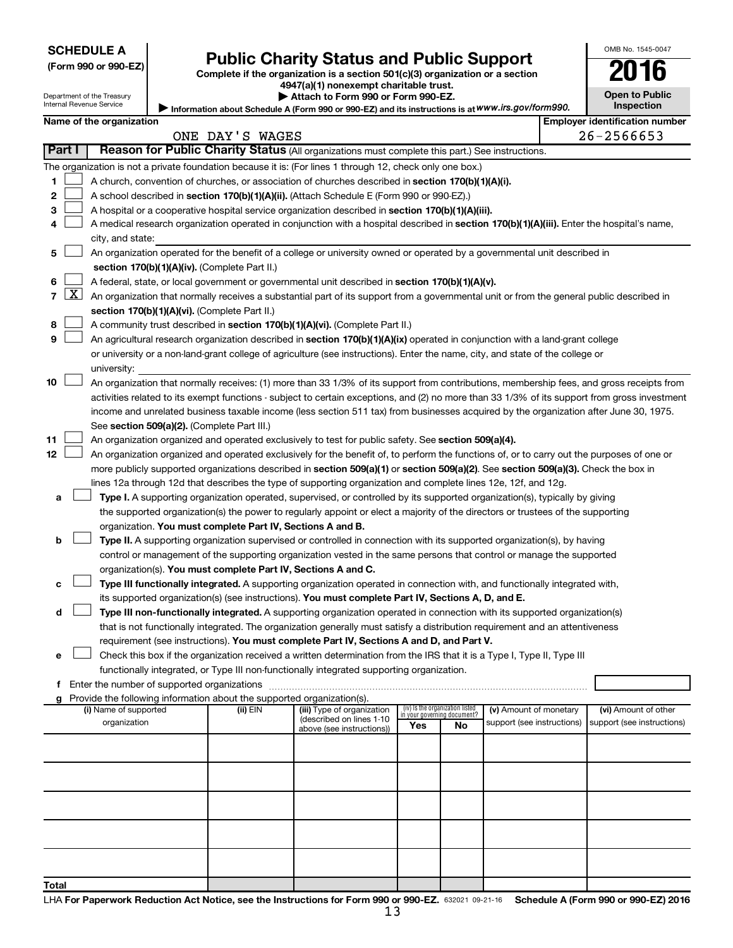| (Form 990 or 990-EZ |  |  |  |  |
|---------------------|--|--|--|--|
|---------------------|--|--|--|--|

# Form 990 or 990-EZ) **Public Charity Status and Public Support**<br>
Complete if the organization is a section 501(c)(3) organization or a section<br> **2016**

| 4947(a)(1) nonexempt charitable trust. |  |
|----------------------------------------|--|
| Attach to Form 990 or Form 990-FZ      |  |

| ___            |  | __ |
|----------------|--|----|
| Open to Public |  |    |
| Inenaction     |  |    |

OMB No. 1545-0047

Department of the Treasury <u>Inter</u>

|                |                                                                                                                                                                            | Internal Revenue Service |  |                                                                        | Information about Schedule A (Form 990 or 990-EZ) and its instructions is at WWW.irs.gov/form990.                                                                                                                        |     |                                   |                            | Inspection                            |
|----------------|----------------------------------------------------------------------------------------------------------------------------------------------------------------------------|--------------------------|--|------------------------------------------------------------------------|--------------------------------------------------------------------------------------------------------------------------------------------------------------------------------------------------------------------------|-----|-----------------------------------|----------------------------|---------------------------------------|
|                |                                                                                                                                                                            | Name of the organization |  |                                                                        |                                                                                                                                                                                                                          |     |                                   |                            | <b>Employer identification number</b> |
|                |                                                                                                                                                                            |                          |  | ONE DAY'S WAGES                                                        |                                                                                                                                                                                                                          |     |                                   |                            | 26-2566653                            |
|                | Part I                                                                                                                                                                     |                          |  |                                                                        | Reason for Public Charity Status (All organizations must complete this part.) See instructions.                                                                                                                          |     |                                   |                            |                                       |
|                |                                                                                                                                                                            |                          |  |                                                                        | The organization is not a private foundation because it is: (For lines 1 through 12, check only one box.)                                                                                                                |     |                                   |                            |                                       |
| 1              |                                                                                                                                                                            |                          |  |                                                                        | A church, convention of churches, or association of churches described in section 170(b)(1)(A)(i).                                                                                                                       |     |                                   |                            |                                       |
| 2              |                                                                                                                                                                            |                          |  |                                                                        | A school described in section 170(b)(1)(A)(ii). (Attach Schedule E (Form 990 or 990-EZ).)                                                                                                                                |     |                                   |                            |                                       |
| з              |                                                                                                                                                                            |                          |  |                                                                        | A hospital or a cooperative hospital service organization described in section 170(b)(1)(A)(iii).                                                                                                                        |     |                                   |                            |                                       |
| 4              |                                                                                                                                                                            |                          |  |                                                                        | A medical research organization operated in conjunction with a hospital described in section 170(b)(1)(A)(iii). Enter the hospital's name,                                                                               |     |                                   |                            |                                       |
|                |                                                                                                                                                                            | city, and state:         |  |                                                                        |                                                                                                                                                                                                                          |     |                                   |                            |                                       |
| 5              |                                                                                                                                                                            |                          |  |                                                                        |                                                                                                                                                                                                                          |     |                                   |                            |                                       |
|                | An organization operated for the benefit of a college or university owned or operated by a governmental unit described in<br>section 170(b)(1)(A)(iv). (Complete Part II.) |                          |  |                                                                        |                                                                                                                                                                                                                          |     |                                   |                            |                                       |
| 6              |                                                                                                                                                                            |                          |  |                                                                        | A federal, state, or local government or governmental unit described in section 170(b)(1)(A)(v).                                                                                                                         |     |                                   |                            |                                       |
| $\overline{7}$ | $\lfloor x \rfloor$                                                                                                                                                        |                          |  |                                                                        | An organization that normally receives a substantial part of its support from a governmental unit or from the general public described in                                                                                |     |                                   |                            |                                       |
|                |                                                                                                                                                                            |                          |  | section 170(b)(1)(A)(vi). (Complete Part II.)                          |                                                                                                                                                                                                                          |     |                                   |                            |                                       |
| 8              |                                                                                                                                                                            |                          |  |                                                                        | A community trust described in section 170(b)(1)(A)(vi). (Complete Part II.)                                                                                                                                             |     |                                   |                            |                                       |
| 9              |                                                                                                                                                                            |                          |  |                                                                        | An agricultural research organization described in section 170(b)(1)(A)(ix) operated in conjunction with a land-grant college                                                                                            |     |                                   |                            |                                       |
|                |                                                                                                                                                                            |                          |  |                                                                        | or university or a non-land-grant college of agriculture (see instructions). Enter the name, city, and state of the college or                                                                                           |     |                                   |                            |                                       |
|                |                                                                                                                                                                            | university:              |  |                                                                        |                                                                                                                                                                                                                          |     |                                   |                            |                                       |
| 10             |                                                                                                                                                                            |                          |  |                                                                        | An organization that normally receives: (1) more than 33 1/3% of its support from contributions, membership fees, and gross receipts from                                                                                |     |                                   |                            |                                       |
|                |                                                                                                                                                                            |                          |  |                                                                        | activities related to its exempt functions - subject to certain exceptions, and (2) no more than 33 1/3% of its support from gross investment                                                                            |     |                                   |                            |                                       |
|                |                                                                                                                                                                            |                          |  |                                                                        | income and unrelated business taxable income (less section 511 tax) from businesses acquired by the organization after June 30, 1975.                                                                                    |     |                                   |                            |                                       |
|                |                                                                                                                                                                            |                          |  | See section 509(a)(2). (Complete Part III.)                            |                                                                                                                                                                                                                          |     |                                   |                            |                                       |
| 11             |                                                                                                                                                                            |                          |  |                                                                        | An organization organized and operated exclusively to test for public safety. See section 509(a)(4).                                                                                                                     |     |                                   |                            |                                       |
| 12             |                                                                                                                                                                            |                          |  |                                                                        | An organization organized and operated exclusively for the benefit of, to perform the functions of, or to carry out the purposes of one or                                                                               |     |                                   |                            |                                       |
|                |                                                                                                                                                                            |                          |  |                                                                        | more publicly supported organizations described in section 509(a)(1) or section 509(a)(2). See section 509(a)(3). Check the box in                                                                                       |     |                                   |                            |                                       |
|                |                                                                                                                                                                            |                          |  |                                                                        | lines 12a through 12d that describes the type of supporting organization and complete lines 12e, 12f, and 12g.                                                                                                           |     |                                   |                            |                                       |
| а              |                                                                                                                                                                            |                          |  |                                                                        | Type I. A supporting organization operated, supervised, or controlled by its supported organization(s), typically by giving                                                                                              |     |                                   |                            |                                       |
|                |                                                                                                                                                                            |                          |  |                                                                        | the supported organization(s) the power to regularly appoint or elect a majority of the directors or trustees of the supporting                                                                                          |     |                                   |                            |                                       |
|                |                                                                                                                                                                            |                          |  | organization. You must complete Part IV, Sections A and B.             |                                                                                                                                                                                                                          |     |                                   |                            |                                       |
| b              |                                                                                                                                                                            |                          |  |                                                                        | Type II. A supporting organization supervised or controlled in connection with its supported organization(s), by having                                                                                                  |     |                                   |                            |                                       |
|                |                                                                                                                                                                            |                          |  |                                                                        | control or management of the supporting organization vested in the same persons that control or manage the supported                                                                                                     |     |                                   |                            |                                       |
|                |                                                                                                                                                                            |                          |  | organization(s). You must complete Part IV, Sections A and C.          |                                                                                                                                                                                                                          |     |                                   |                            |                                       |
|                |                                                                                                                                                                            |                          |  |                                                                        | Type III functionally integrated. A supporting organization operated in connection with, and functionally integrated with,                                                                                               |     |                                   |                            |                                       |
| с              |                                                                                                                                                                            |                          |  |                                                                        |                                                                                                                                                                                                                          |     |                                   |                            |                                       |
|                |                                                                                                                                                                            |                          |  |                                                                        | its supported organization(s) (see instructions). You must complete Part IV, Sections A, D, and E.                                                                                                                       |     |                                   |                            |                                       |
| d              |                                                                                                                                                                            |                          |  |                                                                        | Type III non-functionally integrated. A supporting organization operated in connection with its supported organization(s)                                                                                                |     |                                   |                            |                                       |
|                |                                                                                                                                                                            |                          |  |                                                                        | that is not functionally integrated. The organization generally must satisfy a distribution requirement and an attentiveness<br>requirement (see instructions). You must complete Part IV, Sections A and D, and Part V. |     |                                   |                            |                                       |
|                |                                                                                                                                                                            |                          |  |                                                                        | Check this box if the organization received a written determination from the IRS that it is a Type I, Type II, Type III                                                                                                  |     |                                   |                            |                                       |
| е              |                                                                                                                                                                            |                          |  |                                                                        |                                                                                                                                                                                                                          |     |                                   |                            |                                       |
|                |                                                                                                                                                                            |                          |  | Enter the number of supported organizations                            | functionally integrated, or Type III non-functionally integrated supporting organization.                                                                                                                                |     |                                   |                            |                                       |
| f              |                                                                                                                                                                            |                          |  | Provide the following information about the supported organization(s). |                                                                                                                                                                                                                          |     |                                   |                            |                                       |
| g              |                                                                                                                                                                            | (i) Name of supported    |  | (ii) EIN                                                               | (iii) Type of organization                                                                                                                                                                                               |     | (iv) Is the organization listed   | (v) Amount of monetary     | (vi) Amount of other                  |
|                |                                                                                                                                                                            | organization             |  |                                                                        | (described on lines 1-10                                                                                                                                                                                                 | Yes | in your governing document?<br>No | support (see instructions) | support (see instructions)            |
|                |                                                                                                                                                                            |                          |  |                                                                        | above (see instructions))                                                                                                                                                                                                |     |                                   |                            |                                       |
|                |                                                                                                                                                                            |                          |  |                                                                        |                                                                                                                                                                                                                          |     |                                   |                            |                                       |
|                |                                                                                                                                                                            |                          |  |                                                                        |                                                                                                                                                                                                                          |     |                                   |                            |                                       |
|                |                                                                                                                                                                            |                          |  |                                                                        |                                                                                                                                                                                                                          |     |                                   |                            |                                       |
|                |                                                                                                                                                                            |                          |  |                                                                        |                                                                                                                                                                                                                          |     |                                   |                            |                                       |
|                |                                                                                                                                                                            |                          |  |                                                                        |                                                                                                                                                                                                                          |     |                                   |                            |                                       |
|                |                                                                                                                                                                            |                          |  |                                                                        |                                                                                                                                                                                                                          |     |                                   |                            |                                       |
|                |                                                                                                                                                                            |                          |  |                                                                        |                                                                                                                                                                                                                          |     |                                   |                            |                                       |
|                |                                                                                                                                                                            |                          |  |                                                                        |                                                                                                                                                                                                                          |     |                                   |                            |                                       |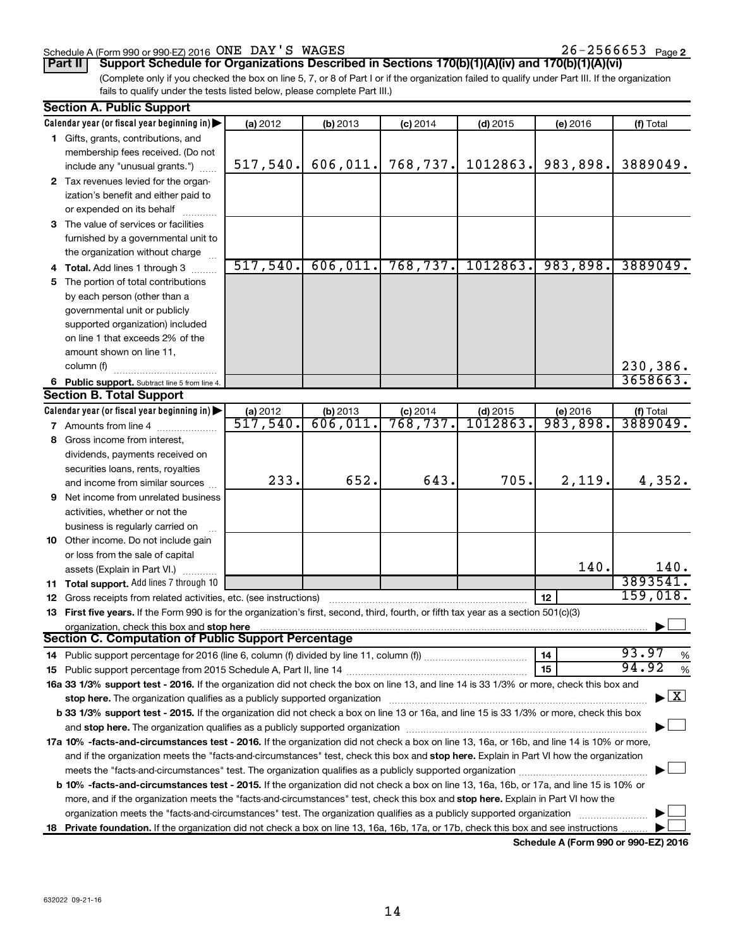#### Schedule A (Form 990 or 990-EZ) 2016 Page ONE DAY'S WAGES 26-2566653

26-2566653 Page 2

**Part II Support Schedule for Organizations Described in Sections 170(b)(1)(A)(iv) and 170(b)(1)(A)(vi)**

(Complete only if you checked the box on line 5, 7, or 8 of Part I or if the organization failed to qualify under Part III. If the organization fails to qualify under the tests listed below, please complete Part III.)

| <b>Section A. Public Support</b>                                                                                                               |                      |                     |                        |                       |                      |                                          |
|------------------------------------------------------------------------------------------------------------------------------------------------|----------------------|---------------------|------------------------|-----------------------|----------------------|------------------------------------------|
| Calendar year (or fiscal year beginning in)                                                                                                    | (a) 2012             | (b) 2013            | $(c)$ 2014             | $(d)$ 2015            | (e) 2016             | (f) Total                                |
| 1 Gifts, grants, contributions, and                                                                                                            |                      |                     |                        |                       |                      |                                          |
| membership fees received. (Do not                                                                                                              |                      |                     |                        |                       |                      |                                          |
| include any "unusual grants.")                                                                                                                 | 517,540.             | 606,011.            | 768, 737.              | 1012863.              | 983,898.             | 3889049.                                 |
| 2 Tax revenues levied for the organ-                                                                                                           |                      |                     |                        |                       |                      |                                          |
| ization's benefit and either paid to                                                                                                           |                      |                     |                        |                       |                      |                                          |
| or expended on its behalf                                                                                                                      |                      |                     |                        |                       |                      |                                          |
| 3 The value of services or facilities                                                                                                          |                      |                     |                        |                       |                      |                                          |
| furnished by a governmental unit to                                                                                                            |                      |                     |                        |                       |                      |                                          |
| the organization without charge                                                                                                                |                      |                     |                        |                       |                      |                                          |
| 4 Total. Add lines 1 through 3                                                                                                                 | 517,540.             | 606,011.            | 768, 737.              | 1012863.              | 983,898.             | 3889049.                                 |
| 5 The portion of total contributions                                                                                                           |                      |                     |                        |                       |                      |                                          |
| by each person (other than a                                                                                                                   |                      |                     |                        |                       |                      |                                          |
| governmental unit or publicly                                                                                                                  |                      |                     |                        |                       |                      |                                          |
| supported organization) included                                                                                                               |                      |                     |                        |                       |                      |                                          |
| on line 1 that exceeds 2% of the                                                                                                               |                      |                     |                        |                       |                      |                                          |
| amount shown on line 11,                                                                                                                       |                      |                     |                        |                       |                      |                                          |
| column (f)                                                                                                                                     |                      |                     |                        |                       |                      | 230,386.                                 |
|                                                                                                                                                |                      |                     |                        |                       |                      | 3658663.                                 |
| 6 Public support. Subtract line 5 from line 4.<br><b>Section B. Total Support</b>                                                              |                      |                     |                        |                       |                      |                                          |
|                                                                                                                                                |                      |                     |                        |                       |                      |                                          |
| Calendar year (or fiscal year beginning in)                                                                                                    | (a) 2012<br>517,540. | (b) 2013<br>606,011 | $(c)$ 2014<br>768,737. | $(d)$ 2015<br>1012863 | (e) 2016<br>983,898. | (f) Total<br>3889049.                    |
| 7 Amounts from line 4                                                                                                                          |                      |                     |                        |                       |                      |                                          |
| 8 Gross income from interest.                                                                                                                  |                      |                     |                        |                       |                      |                                          |
| dividends, payments received on                                                                                                                |                      |                     |                        |                       |                      |                                          |
| securities loans, rents, royalties                                                                                                             |                      |                     |                        |                       |                      |                                          |
| and income from similar sources                                                                                                                | 233.                 | 652.                | 643.                   | 705.                  | 2,119.               | 4,352.                                   |
| <b>9</b> Net income from unrelated business                                                                                                    |                      |                     |                        |                       |                      |                                          |
| activities, whether or not the                                                                                                                 |                      |                     |                        |                       |                      |                                          |
| business is regularly carried on                                                                                                               |                      |                     |                        |                       |                      |                                          |
| 10 Other income. Do not include gain                                                                                                           |                      |                     |                        |                       |                      |                                          |
| or loss from the sale of capital                                                                                                               |                      |                     |                        |                       |                      |                                          |
| assets (Explain in Part VI.)                                                                                                                   |                      |                     |                        |                       | 140.                 | 140.                                     |
| 11 Total support. Add lines 7 through 10                                                                                                       |                      |                     |                        |                       |                      | 3893541.                                 |
| <b>12</b> Gross receipts from related activities, etc. (see instructions)                                                                      |                      |                     |                        |                       | 12                   | 159,018.                                 |
| 13 First five years. If the Form 990 is for the organization's first, second, third, fourth, or fifth tax year as a section 501(c)(3)          |                      |                     |                        |                       |                      |                                          |
| organization, check this box and stop here                                                                                                     |                      |                     |                        |                       |                      |                                          |
| <b>Section C. Computation of Public Support Percentage</b>                                                                                     |                      |                     |                        |                       |                      |                                          |
|                                                                                                                                                |                      |                     |                        |                       | 14                   | 93.97<br>%                               |
|                                                                                                                                                |                      |                     |                        |                       | 15                   | 94.92<br>$\%$                            |
| 16a 33 1/3% support test - 2016. If the organization did not check the box on line 13, and line 14 is 33 1/3% or more, check this box and      |                      |                     |                        |                       |                      |                                          |
|                                                                                                                                                |                      |                     |                        |                       |                      | $\blacktriangleright$ $\boxed{\text{X}}$ |
| b 33 1/3% support test - 2015. If the organization did not check a box on line 13 or 16a, and line 15 is 33 1/3% or more, check this box       |                      |                     |                        |                       |                      |                                          |
|                                                                                                                                                |                      |                     |                        |                       |                      |                                          |
| 17a 10% -facts-and-circumstances test - 2016. If the organization did not check a box on line 13, 16a, or 16b, and line 14 is 10% or more,     |                      |                     |                        |                       |                      |                                          |
| and if the organization meets the "facts-and-circumstances" test, check this box and stop here. Explain in Part VI how the organization        |                      |                     |                        |                       |                      |                                          |
|                                                                                                                                                |                      |                     |                        |                       |                      |                                          |
| <b>b 10%</b> -facts-and-circumstances test - 2015. If the organization did not check a box on line 13, 16a, 16b, or 17a, and line 15 is 10% or |                      |                     |                        |                       |                      |                                          |
| more, and if the organization meets the "facts-and-circumstances" test, check this box and stop here. Explain in Part VI how the               |                      |                     |                        |                       |                      |                                          |
| organization meets the "facts-and-circumstances" test. The organization qualifies as a publicly supported organization                         |                      |                     |                        |                       |                      |                                          |
| 18 Private foundation. If the organization did not check a box on line 13, 16a, 16b, 17a, or 17b, check this box and see instructions          |                      |                     |                        |                       |                      |                                          |
|                                                                                                                                                |                      |                     |                        |                       |                      |                                          |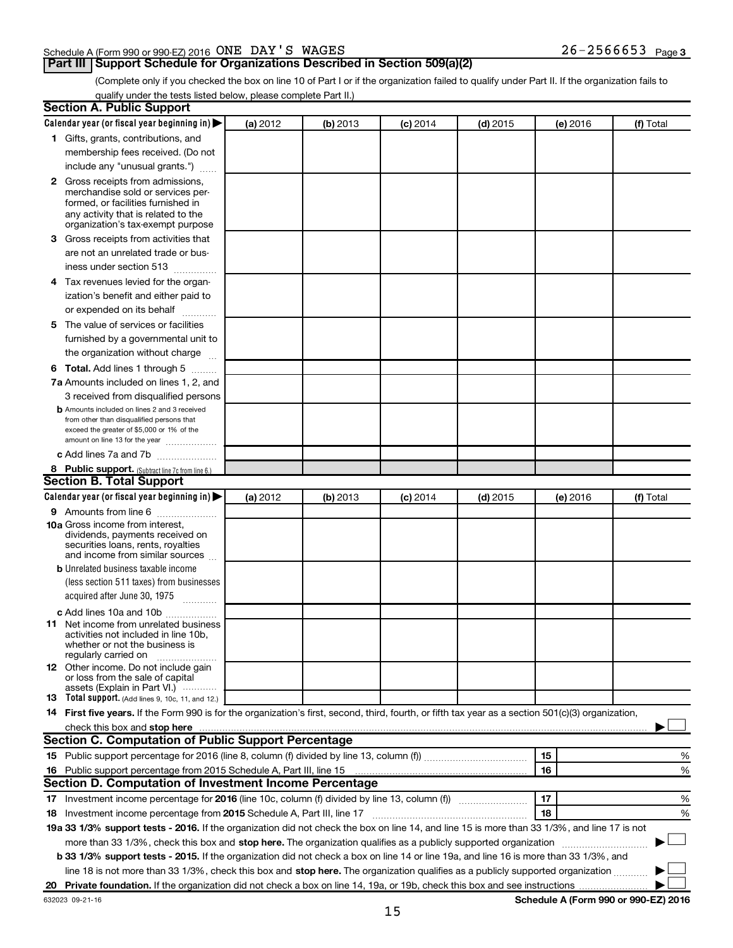#### Schedule A (Form 990 or 990-EZ) 2016 Page ONE DAY'S WAGES 26-2566653

### **Part III Support Schedule for Organizations Described in Section 509(a)(2)**

26-2566653 Page 3

(Complete only if you checked the box on line 10 of Part I or if the organization failed to qualify under Part II. If the organization fails to qualify under the tests listed below, please complete Part II.)

| <b>Section A. Public Support</b>                                                                                                                                                                                               |          |          |            |            |          |                                      |
|--------------------------------------------------------------------------------------------------------------------------------------------------------------------------------------------------------------------------------|----------|----------|------------|------------|----------|--------------------------------------|
| Calendar year (or fiscal year beginning in)                                                                                                                                                                                    | (a) 2012 | (b) 2013 | $(c)$ 2014 | $(d)$ 2015 | (e) 2016 | (f) Total                            |
| 1 Gifts, grants, contributions, and                                                                                                                                                                                            |          |          |            |            |          |                                      |
| membership fees received. (Do not                                                                                                                                                                                              |          |          |            |            |          |                                      |
| include any "unusual grants.")                                                                                                                                                                                                 |          |          |            |            |          |                                      |
| 2 Gross receipts from admissions,<br>merchandise sold or services per-<br>formed, or facilities furnished in<br>any activity that is related to the<br>organization's tax-exempt purpose                                       |          |          |            |            |          |                                      |
| 3 Gross receipts from activities that                                                                                                                                                                                          |          |          |            |            |          |                                      |
| are not an unrelated trade or bus-<br>iness under section 513                                                                                                                                                                  |          |          |            |            |          |                                      |
| 4 Tax revenues levied for the organ-                                                                                                                                                                                           |          |          |            |            |          |                                      |
| ization's benefit and either paid to                                                                                                                                                                                           |          |          |            |            |          |                                      |
| or expended on its behalf                                                                                                                                                                                                      |          |          |            |            |          |                                      |
| 5 The value of services or facilities<br>furnished by a governmental unit to<br>the organization without charge                                                                                                                |          |          |            |            |          |                                      |
| <b>6 Total.</b> Add lines 1 through 5                                                                                                                                                                                          |          |          |            |            |          |                                      |
| 7a Amounts included on lines 1, 2, and                                                                                                                                                                                         |          |          |            |            |          |                                      |
| 3 received from disqualified persons                                                                                                                                                                                           |          |          |            |            |          |                                      |
| <b>b</b> Amounts included on lines 2 and 3 received<br>from other than disqualified persons that<br>exceed the greater of \$5,000 or 1% of the<br>amount on line 13 for the year                                               |          |          |            |            |          |                                      |
| c Add lines 7a and 7b                                                                                                                                                                                                          |          |          |            |            |          |                                      |
| 8 Public support. (Subtract line 7c from line 6.)                                                                                                                                                                              |          |          |            |            |          |                                      |
| <b>Section B. Total Support</b>                                                                                                                                                                                                |          |          |            |            |          |                                      |
| Calendar year (or fiscal year beginning in)                                                                                                                                                                                    | (a) 2012 | (b) 2013 | $(c)$ 2014 | $(d)$ 2015 | (e) 2016 | (f) Total                            |
| <b>9</b> Amounts from line 6<br><b>10a</b> Gross income from interest,<br>dividends, payments received on<br>securities loans, rents, royalties<br>and income from similar sources                                             |          |          |            |            |          |                                      |
| <b>b</b> Unrelated business taxable income                                                                                                                                                                                     |          |          |            |            |          |                                      |
| (less section 511 taxes) from businesses                                                                                                                                                                                       |          |          |            |            |          |                                      |
| acquired after June 30, 1975                                                                                                                                                                                                   |          |          |            |            |          |                                      |
| c Add lines 10a and 10b                                                                                                                                                                                                        |          |          |            |            |          |                                      |
| <b>11</b> Net income from unrelated business<br>activities not included in line 10b.<br>whether or not the business is<br>regularly carried on                                                                                 |          |          |            |            |          |                                      |
| <b>12</b> Other income. Do not include gain<br>or loss from the sale of capital<br>assets (Explain in Part VI.)                                                                                                                |          |          |            |            |          |                                      |
| <b>13</b> Total support. (Add lines 9, 10c, 11, and 12.)                                                                                                                                                                       |          |          |            |            |          |                                      |
| 14 First five years. If the Form 990 is for the organization's first, second, third, fourth, or fifth tax year as a section 501(c)(3) organization,                                                                            |          |          |            |            |          |                                      |
| check this box and stop here with the content of the content of the state of the content of the state of the state of the content of the content of the content of the content of the content of the content of the content of |          |          |            |            |          |                                      |
| <b>Section C. Computation of Public Support Percentage</b>                                                                                                                                                                     |          |          |            |            |          |                                      |
|                                                                                                                                                                                                                                |          |          |            |            | 15       | %                                    |
| 16 Public support percentage from 2015 Schedule A, Part III, line 15                                                                                                                                                           |          |          |            |            | 16       | %                                    |
| Section D. Computation of Investment Income Percentage                                                                                                                                                                         |          |          |            |            |          |                                      |
|                                                                                                                                                                                                                                |          |          |            |            | 17       | %                                    |
| 18 Investment income percentage from 2015 Schedule A, Part III, line 17                                                                                                                                                        |          |          |            |            | 18       | %                                    |
| 19a 33 1/3% support tests - 2016. If the organization did not check the box on line 14, and line 15 is more than 33 1/3%, and line 17 is not                                                                                   |          |          |            |            |          |                                      |
| more than 33 1/3%, check this box and stop here. The organization qualifies as a publicly supported organization                                                                                                               |          |          |            |            |          |                                      |
| <b>b 33 1/3% support tests - 2015.</b> If the organization did not check a box on line 14 or line 19a, and line 16 is more than 33 1/3%, and                                                                                   |          |          |            |            |          |                                      |
| line 18 is not more than 33 1/3%, check this box and stop here. The organization qualifies as a publicly supported organization                                                                                                |          |          |            |            |          |                                      |
|                                                                                                                                                                                                                                |          |          |            |            |          |                                      |
| 632023 09-21-16                                                                                                                                                                                                                |          |          |            |            |          | Schedule A (Form 990 or 990-EZ) 2016 |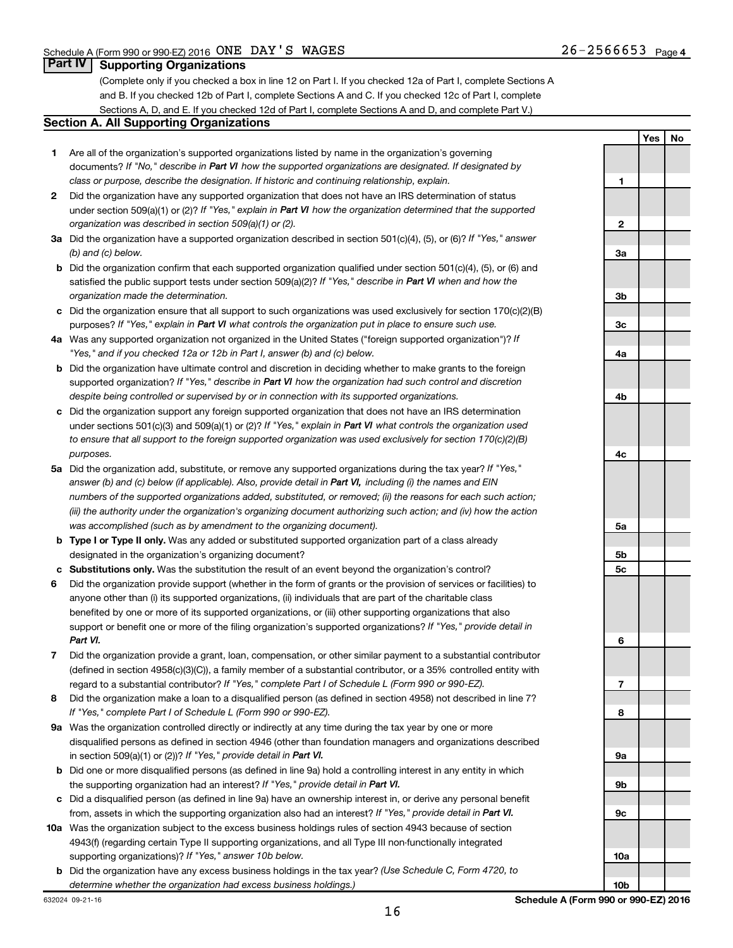**Yes No**

### **Part IV Supporting Organizations**

(Complete only if you checked a box in line 12 on Part I. If you checked 12a of Part I, complete Sections A and B. If you checked 12b of Part I, complete Sections A and C. If you checked 12c of Part I, complete Sections A, D, and E. If you checked 12d of Part I, complete Sections A and D, and complete Part V.)

#### **Section A. All Supporting Organizations**

- **1** Are all of the organization's supported organizations listed by name in the organization's governing documents? If "No," describe in Part VI how the supported organizations are designated. If designated by *class or purpose, describe the designation. If historic and continuing relationship, explain.*
- **2** Did the organization have any supported organization that does not have an IRS determination of status under section 509(a)(1) or (2)? If "Yes," explain in Part VI how the organization determined that the supported *organization was described in section 509(a)(1) or (2).*
- **3a** Did the organization have a supported organization described in section 501(c)(4), (5), or (6)? If "Yes," answer *(b) and (c) below.*
- **b** Did the organization confirm that each supported organization qualified under section 501(c)(4), (5), or (6) and satisfied the public support tests under section 509(a)(2)? If "Yes," describe in Part VI when and how the *organization made the determination.*
- **c** Did the organization ensure that all support to such organizations was used exclusively for section 170(c)(2)(B) purposes? If "Yes," explain in Part VI what controls the organization put in place to ensure such use.
- **4 a** *If* Was any supported organization not organized in the United States ("foreign supported organization")? *"Yes," and if you checked 12a or 12b in Part I, answer (b) and (c) below.*
- **b** Did the organization have ultimate control and discretion in deciding whether to make grants to the foreign supported organization? If "Yes," describe in Part VI how the organization had such control and discretion *despite being controlled or supervised by or in connection with its supported organizations.*
- **c** Did the organization support any foreign supported organization that does not have an IRS determination under sections 501(c)(3) and 509(a)(1) or (2)? If "Yes," explain in Part VI what controls the organization used *to ensure that all support to the foreign supported organization was used exclusively for section 170(c)(2)(B) purposes.*
- **5a** Did the organization add, substitute, or remove any supported organizations during the tax year? If "Yes," answer (b) and (c) below (if applicable). Also, provide detail in Part VI, including (i) the names and EIN *numbers of the supported organizations added, substituted, or removed; (ii) the reasons for each such action; (iii) the authority under the organization's organizing document authorizing such action; and (iv) how the action was accomplished (such as by amendment to the organizing document).*
- **b Type I or Type II only.** Was any added or substituted supported organization part of a class already designated in the organization's organizing document?
- **c Substitutions only.**  Was the substitution the result of an event beyond the organization's control?
- **6** Did the organization provide support (whether in the form of grants or the provision of services or facilities) to support or benefit one or more of the filing organization's supported organizations? If "Yes," provide detail in anyone other than (i) its supported organizations, (ii) individuals that are part of the charitable class benefited by one or more of its supported organizations, or (iii) other supporting organizations that also *Part VI.*
- **7** Did the organization provide a grant, loan, compensation, or other similar payment to a substantial contributor regard to a substantial contributor? If "Yes," complete Part I of Schedule L (Form 990 or 990-EZ). (defined in section 4958(c)(3)(C)), a family member of a substantial contributor, or a 35% controlled entity with
- **8** Did the organization make a loan to a disqualified person (as defined in section 4958) not described in line 7? *If "Yes," complete Part I of Schedule L (Form 990 or 990-EZ).*
- **9 a** Was the organization controlled directly or indirectly at any time during the tax year by one or more in section 509(a)(1) or (2))? If "Yes," provide detail in Part VI. disqualified persons as defined in section 4946 (other than foundation managers and organizations described
- **b** Did one or more disqualified persons (as defined in line 9a) hold a controlling interest in any entity in which the supporting organization had an interest? If "Yes," provide detail in Part VI.
- **c** Did a disqualified person (as defined in line 9a) have an ownership interest in, or derive any personal benefit from, assets in which the supporting organization also had an interest? If "Yes," provide detail in Part VI.
- **10 a** Was the organization subject to the excess business holdings rules of section 4943 because of section supporting organizations)? If "Yes," answer 10b below. 4943(f) (regarding certain Type II supporting organizations, and all Type III non-functionally integrated
- **b** Did the organization have any excess business holdings in the tax year? (Use Schedule C, Form 4720, to *determine whether the organization had excess business holdings.)*

**1 2 3a 3b 3c 4a 4b 4c 5a 5b 5c 6 7 8 9a 9b 9c 10a**

632024 09-21-16

**10b**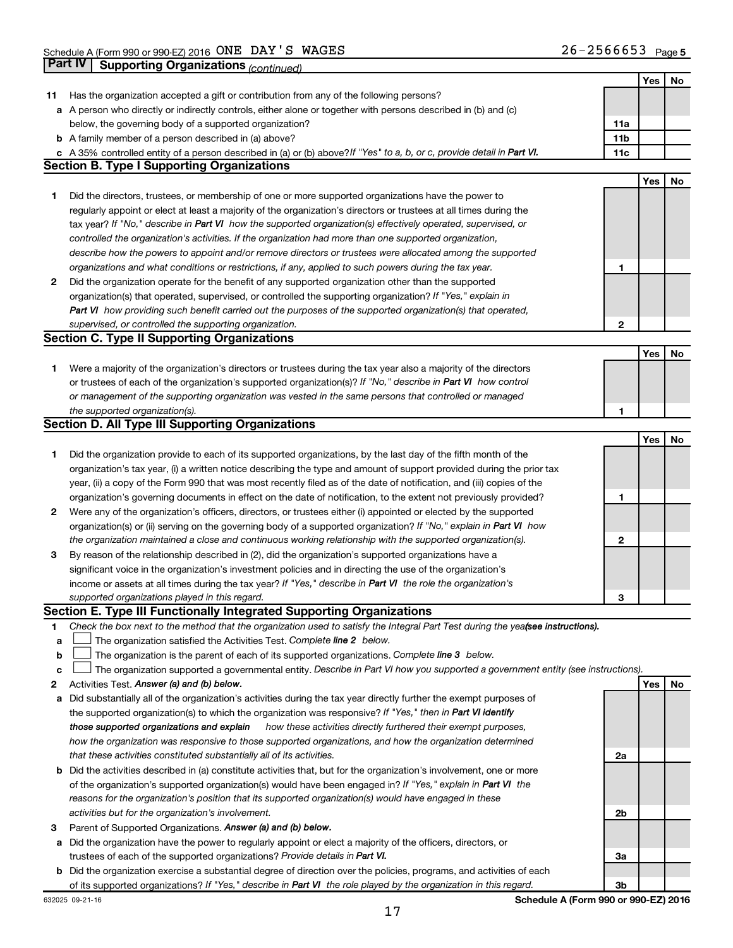|    | Part IV<br><b>Supporting Organizations (continued)</b>                                                                          |                 |     |    |
|----|---------------------------------------------------------------------------------------------------------------------------------|-----------------|-----|----|
|    |                                                                                                                                 |                 | Yes | No |
| 11 | Has the organization accepted a gift or contribution from any of the following persons?                                         |                 |     |    |
|    | a A person who directly or indirectly controls, either alone or together with persons described in (b) and (c)                  |                 |     |    |
|    | below, the governing body of a supported organization?                                                                          | 11a             |     |    |
|    | <b>b</b> A family member of a person described in (a) above?                                                                    | 11 <sub>b</sub> |     |    |
|    | c A 35% controlled entity of a person described in (a) or (b) above? If "Yes" to a, b, or c, provide detail in Part VI.         | 11c             |     |    |
|    | <b>Section B. Type I Supporting Organizations</b>                                                                               |                 |     |    |
|    |                                                                                                                                 |                 | Yes | No |
|    |                                                                                                                                 |                 |     |    |
| 1  | Did the directors, trustees, or membership of one or more supported organizations have the power to                             |                 |     |    |
|    | regularly appoint or elect at least a majority of the organization's directors or trustees at all times during the              |                 |     |    |
|    | tax year? If "No," describe in Part VI how the supported organization(s) effectively operated, supervised, or                   |                 |     |    |
|    | controlled the organization's activities. If the organization had more than one supported organization,                         |                 |     |    |
|    | describe how the powers to appoint and/or remove directors or trustees were allocated among the supported                       |                 |     |    |
|    | organizations and what conditions or restrictions, if any, applied to such powers during the tax year.                          | 1               |     |    |
| 2  | Did the organization operate for the benefit of any supported organization other than the supported                             |                 |     |    |
|    | organization(s) that operated, supervised, or controlled the supporting organization? If "Yes," explain in                      |                 |     |    |
|    | Part VI how providing such benefit carried out the purposes of the supported organization(s) that operated,                     |                 |     |    |
|    | supervised, or controlled the supporting organization.                                                                          | $\mathbf{2}$    |     |    |
|    | <b>Section C. Type II Supporting Organizations</b>                                                                              |                 |     |    |
|    |                                                                                                                                 |                 | Yes | No |
| 1. | Were a majority of the organization's directors or trustees during the tax year also a majority of the directors                |                 |     |    |
|    | or trustees of each of the organization's supported organization(s)? If "No," describe in Part VI how control                   |                 |     |    |
|    | or management of the supporting organization was vested in the same persons that controlled or managed                          |                 |     |    |
|    | the supported organization(s).                                                                                                  | 1               |     |    |
|    | <b>Section D. All Type III Supporting Organizations</b>                                                                         |                 |     |    |
|    |                                                                                                                                 |                 | Yes | No |
| 1  | Did the organization provide to each of its supported organizations, by the last day of the fifth month of the                  |                 |     |    |
|    | organization's tax year, (i) a written notice describing the type and amount of support provided during the prior tax           |                 |     |    |
|    | year, (ii) a copy of the Form 990 that was most recently filed as of the date of notification, and (iii) copies of the          |                 |     |    |
|    | organization's governing documents in effect on the date of notification, to the extent not previously provided?                | 1               |     |    |
| 2  | Were any of the organization's officers, directors, or trustees either (i) appointed or elected by the supported                |                 |     |    |
|    | organization(s) or (ii) serving on the governing body of a supported organization? If "No," explain in Part VI how              |                 |     |    |
|    | the organization maintained a close and continuous working relationship with the supported organization(s).                     | 2               |     |    |
| 3  | By reason of the relationship described in (2), did the organization's supported organizations have a                           |                 |     |    |
|    | significant voice in the organization's investment policies and in directing the use of the organization's                      |                 |     |    |
|    | income or assets at all times during the tax year? If "Yes," describe in Part VI the role the organization's                    |                 |     |    |
|    | supported organizations played in this regard.                                                                                  | з               |     |    |
|    | Section E. Type III Functionally Integrated Supporting Organizations                                                            |                 |     |    |
| 1  | Check the box next to the method that the organization used to satisfy the Integral Part Test during the yea(see instructions). |                 |     |    |
| а  | The organization satisfied the Activities Test. Complete line 2 below.                                                          |                 |     |    |
| b  | The organization is the parent of each of its supported organizations. Complete line 3 below.                                   |                 |     |    |
| с  | The organization supported a governmental entity. Describe in Part VI how you supported a government entity (see instructions). |                 |     |    |
| 2  | Activities Test. Answer (a) and (b) below.                                                                                      |                 | Yes | No |
| а  | Did substantially all of the organization's activities during the tax year directly further the exempt purposes of              |                 |     |    |
|    | the supported organization(s) to which the organization was responsive? If "Yes," then in Part VI identify                      |                 |     |    |
|    | those supported organizations and explain<br>how these activities directly furthered their exempt purposes,                     |                 |     |    |
|    | how the organization was responsive to those supported organizations, and how the organization determined                       |                 |     |    |
|    | that these activities constituted substantially all of its activities.                                                          | 2a              |     |    |
| b  | Did the activities described in (a) constitute activities that, but for the organization's involvement, one or more             |                 |     |    |
|    | of the organization's supported organization(s) would have been engaged in? If "Yes," explain in Part VI the                    |                 |     |    |
|    | reasons for the organization's position that its supported organization(s) would have engaged in these                          |                 |     |    |
|    | activities but for the organization's involvement.                                                                              | 2b              |     |    |
| 3  | Parent of Supported Organizations. Answer (a) and (b) below.                                                                    |                 |     |    |
| а  | Did the organization have the power to regularly appoint or elect a majority of the officers, directors, or                     |                 |     |    |
|    | trustees of each of the supported organizations? Provide details in Part VI.                                                    | За              |     |    |
| b  | Did the organization exercise a substantial degree of direction over the policies, programs, and activities of each             |                 |     |    |
|    | of its supported organizations? If "Yes," describe in Part VI the role played by the organization in this regard.               | 3b              |     |    |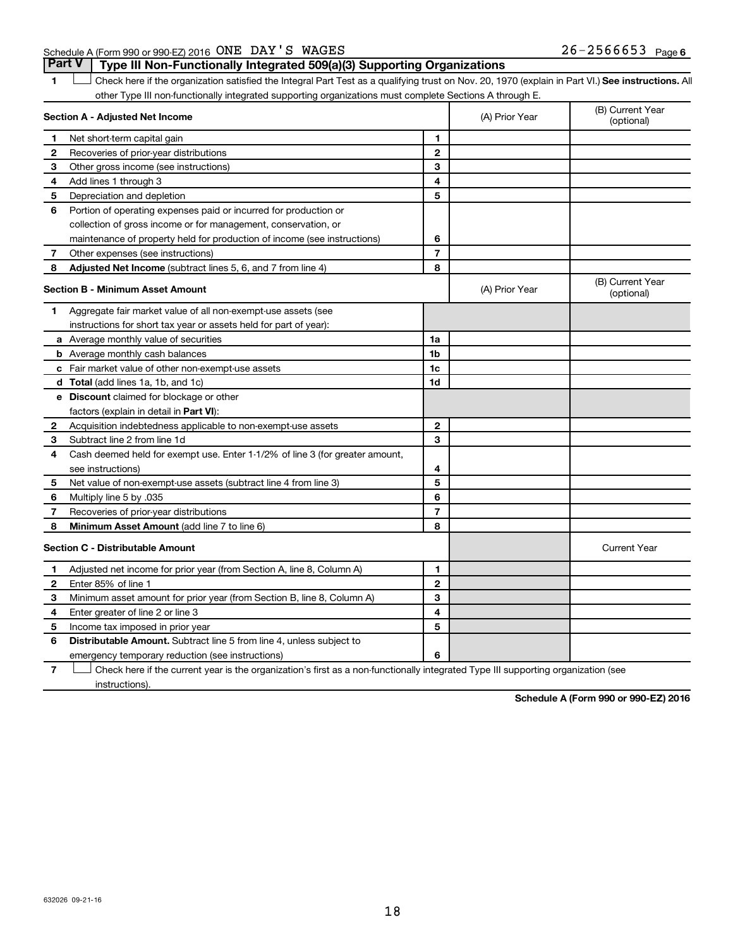1 **Letter See instructions.** All Check here if the organization satisfied the Integral Part Test as a qualifying trust on Nov. 20, 1970 (explain in Part VI.) See instructions. All other Type III non-functionally integrated supporting organizations must complete Sections A through E.

|   | Section A - Adjusted Net Income                                              |                | (A) Prior Year | (B) Current Year<br>(optional) |
|---|------------------------------------------------------------------------------|----------------|----------------|--------------------------------|
| 1 | Net short-term capital gain                                                  | 1              |                |                                |
| 2 | Recoveries of prior-year distributions                                       | $\overline{2}$ |                |                                |
| З | Other gross income (see instructions)                                        | 3              |                |                                |
| 4 | Add lines 1 through 3                                                        | 4              |                |                                |
| 5 | Depreciation and depletion                                                   | 5              |                |                                |
| 6 | Portion of operating expenses paid or incurred for production or             |                |                |                                |
|   | collection of gross income or for management, conservation, or               |                |                |                                |
|   | maintenance of property held for production of income (see instructions)     | 6              |                |                                |
| 7 | Other expenses (see instructions)                                            | $\overline{7}$ |                |                                |
| 8 | <b>Adjusted Net Income</b> (subtract lines 5, 6, and 7 from line 4)          | 8              |                |                                |
|   | <b>Section B - Minimum Asset Amount</b>                                      |                | (A) Prior Year | (B) Current Year<br>(optional) |
| 1 | Aggregate fair market value of all non-exempt-use assets (see                |                |                |                                |
|   | instructions for short tax year or assets held for part of year):            |                |                |                                |
|   | a Average monthly value of securities                                        | 1a             |                |                                |
|   | <b>b</b> Average monthly cash balances                                       | 1b             |                |                                |
|   | c Fair market value of other non-exempt-use assets                           | 1c             |                |                                |
|   | d Total (add lines 1a, 1b, and 1c)                                           | 1d             |                |                                |
|   | e Discount claimed for blockage or other                                     |                |                |                                |
|   | factors (explain in detail in <b>Part VI</b> ):                              |                |                |                                |
| 2 | Acquisition indebtedness applicable to non-exempt-use assets                 | $\mathbf{2}$   |                |                                |
| 3 | Subtract line 2 from line 1d                                                 | 3              |                |                                |
| 4 | Cash deemed held for exempt use. Enter 1-1/2% of line 3 (for greater amount, |                |                |                                |
|   | see instructions)                                                            | 4              |                |                                |
| 5 | Net value of non-exempt-use assets (subtract line 4 from line 3)             | 5              |                |                                |
| 6 | Multiply line 5 by .035                                                      | 6              |                |                                |
| 7 | Recoveries of prior-year distributions                                       | 7              |                |                                |
| 8 | Minimum Asset Amount (add line 7 to line 6)                                  | 8              |                |                                |
|   | <b>Section C - Distributable Amount</b>                                      |                |                | <b>Current Year</b>            |
| 1 | Adjusted net income for prior year (from Section A, line 8, Column A)        | 1              |                |                                |
| 2 | Enter 85% of line 1                                                          | $\mathbf{2}$   |                |                                |
| З | Minimum asset amount for prior year (from Section B, line 8, Column A)       | 3              |                |                                |
| 4 | Enter greater of line 2 or line 3                                            | 4              |                |                                |
| 5 | Income tax imposed in prior year                                             | 5              |                |                                |
| 6 | <b>Distributable Amount.</b> Subtract line 5 from line 4, unless subject to  |                |                |                                |
|   | emergency temporary reduction (see instructions)                             | 6              |                |                                |
|   |                                                                              |                |                |                                |

**7** Let Check here if the current year is the organization's first as a non-functionally integrated Type III supporting organization (see instructions).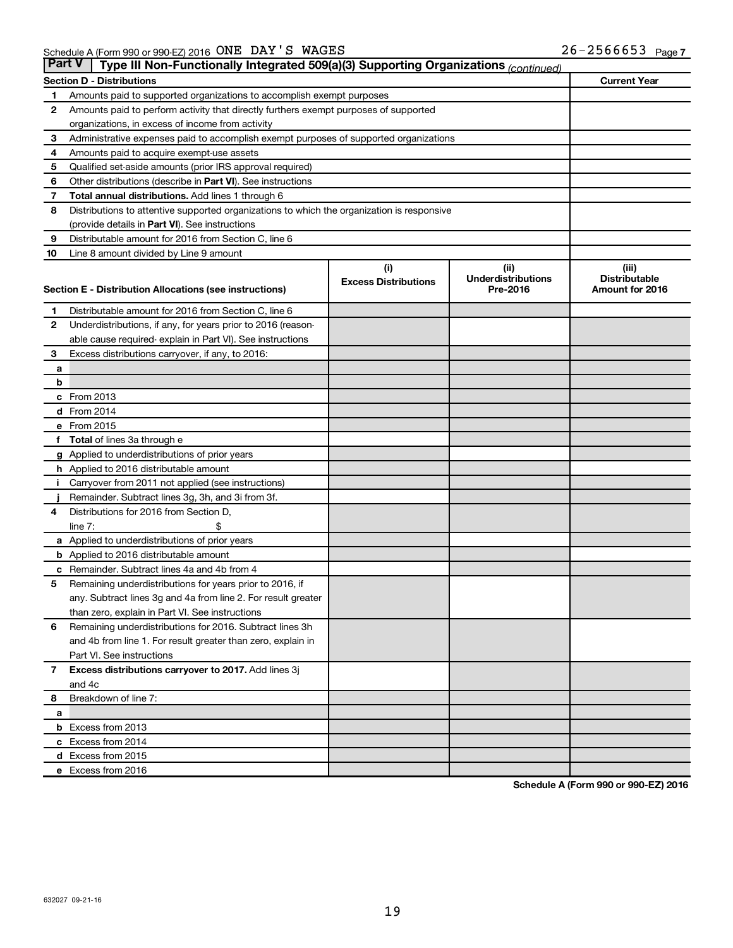| <b>Part V</b> | Type III Non-Functionally Integrated 509(a)(3) Supporting Organizations (continued)        |                             |                                       |                                         |
|---------------|--------------------------------------------------------------------------------------------|-----------------------------|---------------------------------------|-----------------------------------------|
|               | <b>Section D - Distributions</b>                                                           |                             |                                       | <b>Current Year</b>                     |
| 1             | Amounts paid to supported organizations to accomplish exempt purposes                      |                             |                                       |                                         |
| 2             | Amounts paid to perform activity that directly furthers exempt purposes of supported       |                             |                                       |                                         |
|               | organizations, in excess of income from activity                                           |                             |                                       |                                         |
| 3             | Administrative expenses paid to accomplish exempt purposes of supported organizations      |                             |                                       |                                         |
| 4             | Amounts paid to acquire exempt-use assets                                                  |                             |                                       |                                         |
| 5             | Qualified set-aside amounts (prior IRS approval required)                                  |                             |                                       |                                         |
| 6             | Other distributions (describe in Part VI). See instructions                                |                             |                                       |                                         |
| 7             | Total annual distributions. Add lines 1 through 6                                          |                             |                                       |                                         |
| 8             | Distributions to attentive supported organizations to which the organization is responsive |                             |                                       |                                         |
|               | (provide details in Part VI). See instructions                                             |                             |                                       |                                         |
| 9             | Distributable amount for 2016 from Section C, line 6                                       |                             |                                       |                                         |
| 10            | Line 8 amount divided by Line 9 amount                                                     |                             |                                       |                                         |
|               |                                                                                            | (i)                         | (ii)                                  | (iii)                                   |
|               | Section E - Distribution Allocations (see instructions)                                    | <b>Excess Distributions</b> | <b>Underdistributions</b><br>Pre-2016 | <b>Distributable</b><br>Amount for 2016 |
|               |                                                                                            |                             |                                       |                                         |
| 1             | Distributable amount for 2016 from Section C, line 6                                       |                             |                                       |                                         |
| 2             | Underdistributions, if any, for years prior to 2016 (reason-                               |                             |                                       |                                         |
|               | able cause required- explain in Part VI). See instructions                                 |                             |                                       |                                         |
| 3             | Excess distributions carryover, if any, to 2016:                                           |                             |                                       |                                         |
| a             |                                                                                            |                             |                                       |                                         |
| b             |                                                                                            |                             |                                       |                                         |
|               | c From 2013                                                                                |                             |                                       |                                         |
|               | d From 2014                                                                                |                             |                                       |                                         |
|               | e From 2015                                                                                |                             |                                       |                                         |
| f             | <b>Total</b> of lines 3a through e                                                         |                             |                                       |                                         |
|               | <b>g</b> Applied to underdistributions of prior years                                      |                             |                                       |                                         |
|               | <b>h</b> Applied to 2016 distributable amount                                              |                             |                                       |                                         |
|               | Carryover from 2011 not applied (see instructions)                                         |                             |                                       |                                         |
|               | Remainder. Subtract lines 3g, 3h, and 3i from 3f.                                          |                             |                                       |                                         |
| 4             | Distributions for 2016 from Section D,                                                     |                             |                                       |                                         |
|               | line $7:$                                                                                  |                             |                                       |                                         |
|               | a Applied to underdistributions of prior years                                             |                             |                                       |                                         |
|               | <b>b</b> Applied to 2016 distributable amount                                              |                             |                                       |                                         |
| с             | Remainder. Subtract lines 4a and 4b from 4                                                 |                             |                                       |                                         |
| 5             | Remaining underdistributions for years prior to 2016, if                                   |                             |                                       |                                         |
|               | any. Subtract lines 3g and 4a from line 2. For result greater                              |                             |                                       |                                         |
|               | than zero, explain in Part VI. See instructions                                            |                             |                                       |                                         |
| 6             | Remaining underdistributions for 2016. Subtract lines 3h                                   |                             |                                       |                                         |
|               | and 4b from line 1. For result greater than zero, explain in                               |                             |                                       |                                         |
|               | Part VI. See instructions                                                                  |                             |                                       |                                         |
| $\mathbf{7}$  | Excess distributions carryover to 2017. Add lines 3j                                       |                             |                                       |                                         |
|               | and 4c                                                                                     |                             |                                       |                                         |
| 8             | Breakdown of line 7:                                                                       |                             |                                       |                                         |
| a             | <b>b</b> Excess from 2013                                                                  |                             |                                       |                                         |
|               | c Excess from 2014                                                                         |                             |                                       |                                         |
|               | d Excess from 2015                                                                         |                             |                                       |                                         |
|               | e Excess from 2016                                                                         |                             |                                       |                                         |
|               |                                                                                            |                             |                                       |                                         |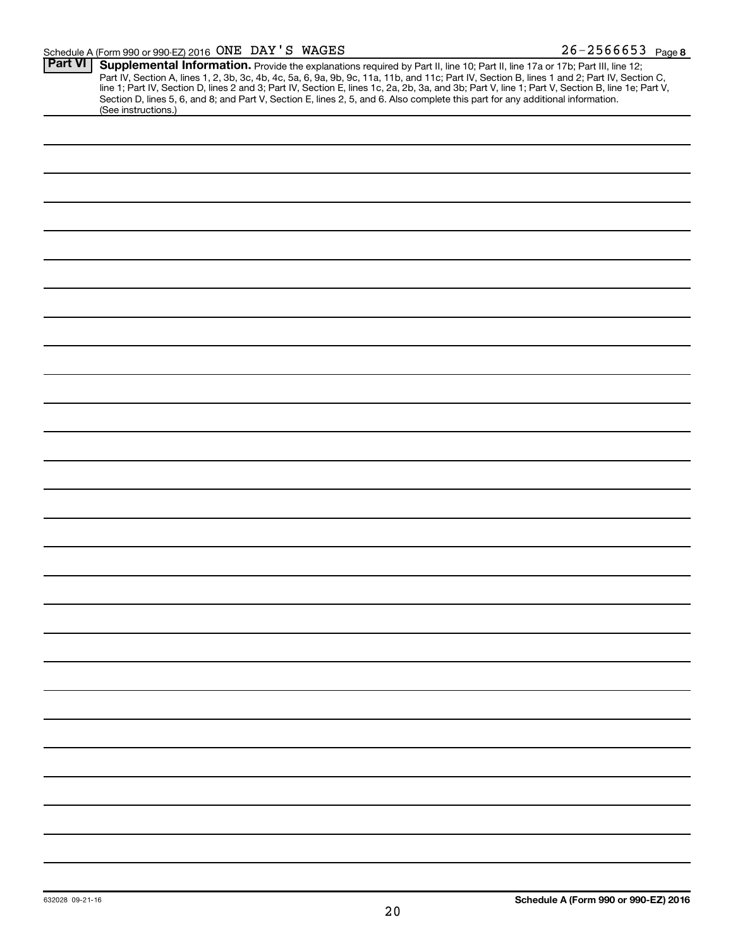| Part VI |                                                                                                                                                                                                                                        |
|---------|----------------------------------------------------------------------------------------------------------------------------------------------------------------------------------------------------------------------------------------|
|         | <b>Supplemental Information.</b> Provide the explanations required by Part II, line 10; Part II, line 17a or 17b; Part III, line 12;<br>Part IV, Section A, lines 1, 2, 3b, 3c, 4b, 4c, 5a, 6, 9a, 9b, 9c, 11a, 11b, and 11c; Part IV, |
|         |                                                                                                                                                                                                                                        |
|         | Section D, lines 5, 6, and 8; and Part V, Section E, lines 2, 5, and 6. Also complete this part for any additional information.                                                                                                        |
|         | (See instructions.)                                                                                                                                                                                                                    |
|         |                                                                                                                                                                                                                                        |
|         |                                                                                                                                                                                                                                        |
|         |                                                                                                                                                                                                                                        |
|         |                                                                                                                                                                                                                                        |
|         |                                                                                                                                                                                                                                        |
|         |                                                                                                                                                                                                                                        |
|         |                                                                                                                                                                                                                                        |
|         |                                                                                                                                                                                                                                        |
|         |                                                                                                                                                                                                                                        |
|         |                                                                                                                                                                                                                                        |
|         |                                                                                                                                                                                                                                        |
|         |                                                                                                                                                                                                                                        |
|         |                                                                                                                                                                                                                                        |
|         |                                                                                                                                                                                                                                        |
|         |                                                                                                                                                                                                                                        |
|         |                                                                                                                                                                                                                                        |
|         |                                                                                                                                                                                                                                        |
|         |                                                                                                                                                                                                                                        |
|         |                                                                                                                                                                                                                                        |
|         |                                                                                                                                                                                                                                        |
|         |                                                                                                                                                                                                                                        |
|         |                                                                                                                                                                                                                                        |
|         |                                                                                                                                                                                                                                        |
|         |                                                                                                                                                                                                                                        |
|         |                                                                                                                                                                                                                                        |
|         |                                                                                                                                                                                                                                        |
|         |                                                                                                                                                                                                                                        |
|         |                                                                                                                                                                                                                                        |
|         |                                                                                                                                                                                                                                        |
|         |                                                                                                                                                                                                                                        |
|         |                                                                                                                                                                                                                                        |
|         |                                                                                                                                                                                                                                        |
|         |                                                                                                                                                                                                                                        |
|         |                                                                                                                                                                                                                                        |
|         |                                                                                                                                                                                                                                        |
|         |                                                                                                                                                                                                                                        |
|         |                                                                                                                                                                                                                                        |
|         |                                                                                                                                                                                                                                        |
|         |                                                                                                                                                                                                                                        |
|         |                                                                                                                                                                                                                                        |
|         |                                                                                                                                                                                                                                        |
|         |                                                                                                                                                                                                                                        |
|         |                                                                                                                                                                                                                                        |
|         |                                                                                                                                                                                                                                        |
|         |                                                                                                                                                                                                                                        |
|         |                                                                                                                                                                                                                                        |
|         |                                                                                                                                                                                                                                        |
|         |                                                                                                                                                                                                                                        |
|         |                                                                                                                                                                                                                                        |
|         |                                                                                                                                                                                                                                        |
|         |                                                                                                                                                                                                                                        |
|         |                                                                                                                                                                                                                                        |
|         |                                                                                                                                                                                                                                        |
|         |                                                                                                                                                                                                                                        |
|         |                                                                                                                                                                                                                                        |
|         |                                                                                                                                                                                                                                        |
|         |                                                                                                                                                                                                                                        |
|         |                                                                                                                                                                                                                                        |
|         |                                                                                                                                                                                                                                        |
|         |                                                                                                                                                                                                                                        |
|         |                                                                                                                                                                                                                                        |
|         |                                                                                                                                                                                                                                        |
|         |                                                                                                                                                                                                                                        |
|         |                                                                                                                                                                                                                                        |
|         |                                                                                                                                                                                                                                        |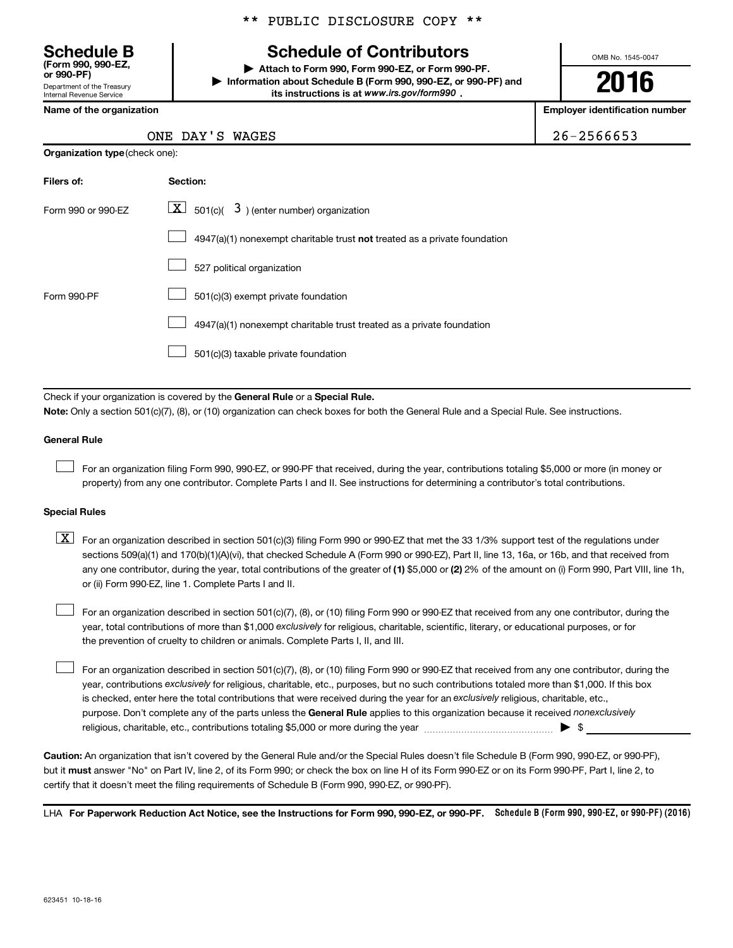Department of the Treasury Internal Revenue Service **(Form 990, 990-EZ,**

#### \*\* PUBLIC DISCLOSURE COPY \*\*

## **Schedule B Schedule of Contributors**

**or 990-PF) | Attach to Form 990, Form 990-EZ, or Form 990-PF. | Information about Schedule B (Form 990, 990-EZ, or 990-PF) and** its instructions is at www.irs.gov/form990.

OMB No. 1545-0047

**2016**

**Name of the organization Employer identification number**

 $26 - 2566653$ 

|  |  |  | ONE DAY'S WAGES |
|--|--|--|-----------------|
|--|--|--|-----------------|

| <b>Organization type (check one):</b> |                                                                           |  |  |  |
|---------------------------------------|---------------------------------------------------------------------------|--|--|--|
| Filers of:                            | Section:                                                                  |  |  |  |
| Form 990 or 990-EZ                    | $ \underline{X} $ 501(c)( 3) (enter number) organization                  |  |  |  |
|                                       | 4947(a)(1) nonexempt charitable trust not treated as a private foundation |  |  |  |
|                                       | 527 political organization                                                |  |  |  |
| Form 990-PF                           | 501(c)(3) exempt private foundation                                       |  |  |  |
|                                       | 4947(a)(1) nonexempt charitable trust treated as a private foundation     |  |  |  |
|                                       | 501(c)(3) taxable private foundation                                      |  |  |  |

Check if your organization is covered by the General Rule or a Special Rule.

**Note:**  Only a section 501(c)(7), (8), or (10) organization can check boxes for both the General Rule and a Special Rule. See instructions.

#### **General Rule**

 $\Box$ 

For an organization filing Form 990, 990-EZ, or 990-PF that received, during the year, contributions totaling \$5,000 or more (in money or property) from any one contributor. Complete Parts I and II. See instructions for determining a contributor's total contributions.

#### **Special Rules**

any one contributor, during the year, total contributions of the greater of **(1)** \$5,000 or **(2)** 2% of the amount on (i) Form 990, Part VIII, line 1h,  $\boxed{\text{X}}$  For an organization described in section 501(c)(3) filing Form 990 or 990-EZ that met the 33 1/3% support test of the regulations under sections 509(a)(1) and 170(b)(1)(A)(vi), that checked Schedule A (Form 990 or 990-EZ), Part II, line 13, 16a, or 16b, and that received from or (ii) Form 990-EZ, line 1. Complete Parts I and II.

year, total contributions of more than \$1,000 *exclusively* for religious, charitable, scientific, literary, or educational purposes, or for For an organization described in section 501(c)(7), (8), or (10) filing Form 990 or 990-EZ that received from any one contributor, during the the prevention of cruelty to children or animals. Complete Parts I, II, and III.  $\Box$ 

purpose. Don't complete any of the parts unless the General Rule applies to this organization because it received nonexclusively year, contributions exclusively for religious, charitable, etc., purposes, but no such contributions totaled more than \$1,000. If this box is checked, enter here the total contributions that were received during the year for an exclusively religious, charitable, etc., For an organization described in section 501(c)(7), (8), or (10) filing Form 990 or 990-EZ that received from any one contributor, during the religious, charitable, etc., contributions totaling \$5,000 or more during the year  $\ldots$  $\ldots$  $\ldots$  $\ldots$  $\ldots$  $\ldots$  $\Box$ 

**Caution:**  An organization that isn't covered by the General Rule and/or the Special Rules doesn't file Schedule B (Form 990, 990-EZ, or 990-PF),  **must** but it answer "No" on Part IV, line 2, of its Form 990; or check the box on line H of its Form 990-EZ or on its Form 990-PF, Part I, line 2, to certify that it doesn't meet the filing requirements of Schedule B (Form 990, 990-EZ, or 990-PF).

LHA For Paperwork Reduction Act Notice, see the Instructions for Form 990, 990-EZ, or 990-PF. Schedule B (Form 990, 990-EZ, or 990-PF) (2016)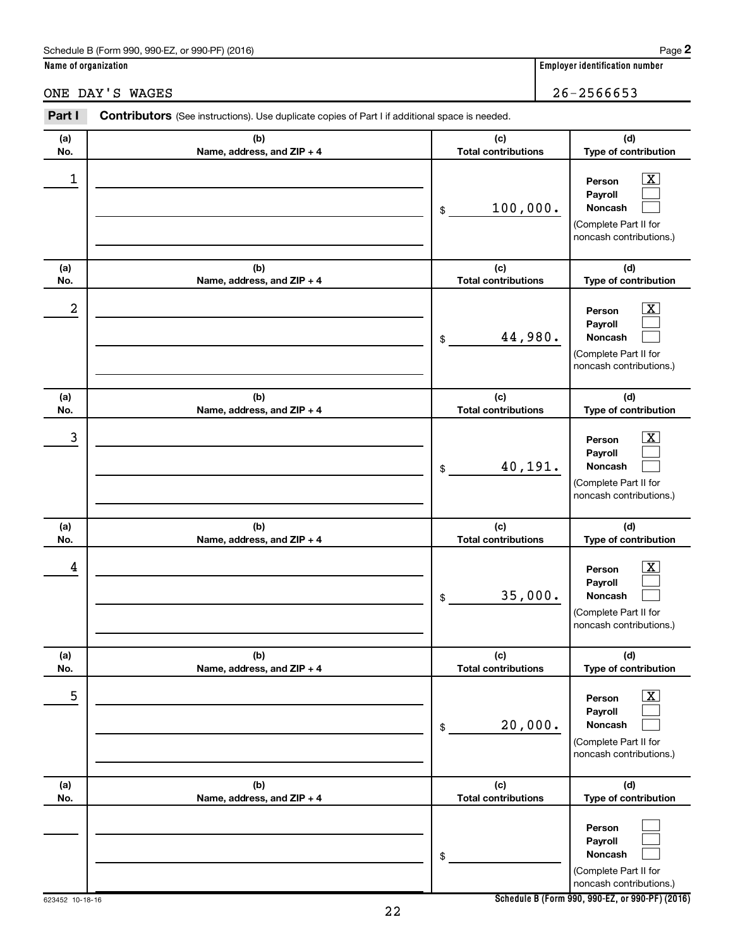#### Schedule B (Form 990, 990-EZ, or 990-PF) (2016)

**Name of organization Employer identification number**

ONE DAY'S WAGES 26-2566653

| Part I     | <b>Contributors</b> (See instructions). Use duplicate copies of Part I if additional space is needed. |                                              |                                                                                                                                     |
|------------|-------------------------------------------------------------------------------------------------------|----------------------------------------------|-------------------------------------------------------------------------------------------------------------------------------------|
| (a)        | (b)                                                                                                   | (c)                                          | (d)                                                                                                                                 |
| No.<br>1   | Name, address, and ZIP + 4                                                                            | <b>Total contributions</b><br>100,000.<br>\$ | Type of contribution<br>$\overline{\mathbf{X}}$<br>Person<br>Payroll<br>Noncash<br>(Complete Part II for                            |
| (a)<br>No. | (b)<br>Name, address, and ZIP + 4                                                                     | (c)<br><b>Total contributions</b>            | noncash contributions.)<br>(d)<br>Type of contribution                                                                              |
| 2          |                                                                                                       | 44,980.<br>\$                                | $\overline{\mathbf{x}}$<br>Person<br>Payroll<br>Noncash<br>(Complete Part II for<br>noncash contributions.)                         |
| (a)<br>No. | (b)<br>Name, address, and ZIP + 4                                                                     | (c)<br><b>Total contributions</b>            | (d)<br>Type of contribution                                                                                                         |
| 3          |                                                                                                       | 40,191.<br>\$                                | $\overline{\mathbf{x}}$<br>Person<br>Payroll<br>Noncash<br>(Complete Part II for<br>noncash contributions.)                         |
| (a)        | (b)                                                                                                   | (c)                                          | (d)                                                                                                                                 |
| No.<br>4   | Name, address, and ZIP + 4                                                                            | <b>Total contributions</b><br>35,000.<br>\$  | Type of contribution<br>$\overline{\mathbf{X}}$<br>Person<br>Payroll<br>Noncash<br>(Complete Part II for<br>noncash contributions.) |
| (a)<br>No. | (b)<br>Name, address, and ZIP + 4                                                                     | (c)<br><b>Total contributions</b>            | (d)<br>Type of contribution                                                                                                         |
| 5          |                                                                                                       | 20,000.<br>\$                                | $\overline{\mathbf{X}}$<br>Person<br>Payroll<br>Noncash<br>(Complete Part II for<br>noncash contributions.)                         |
| (a)<br>No. | (b)<br>Name, address, and ZIP + 4                                                                     | (c)<br><b>Total contributions</b>            | (d)<br>Type of contribution                                                                                                         |
|            |                                                                                                       | \$                                           | Person<br>Payroll<br>Noncash<br>(Complete Part II for<br>noncash contributions.)                                                    |

**Schedule B (Form 990, 990-EZ, or 990-PF) (2016)**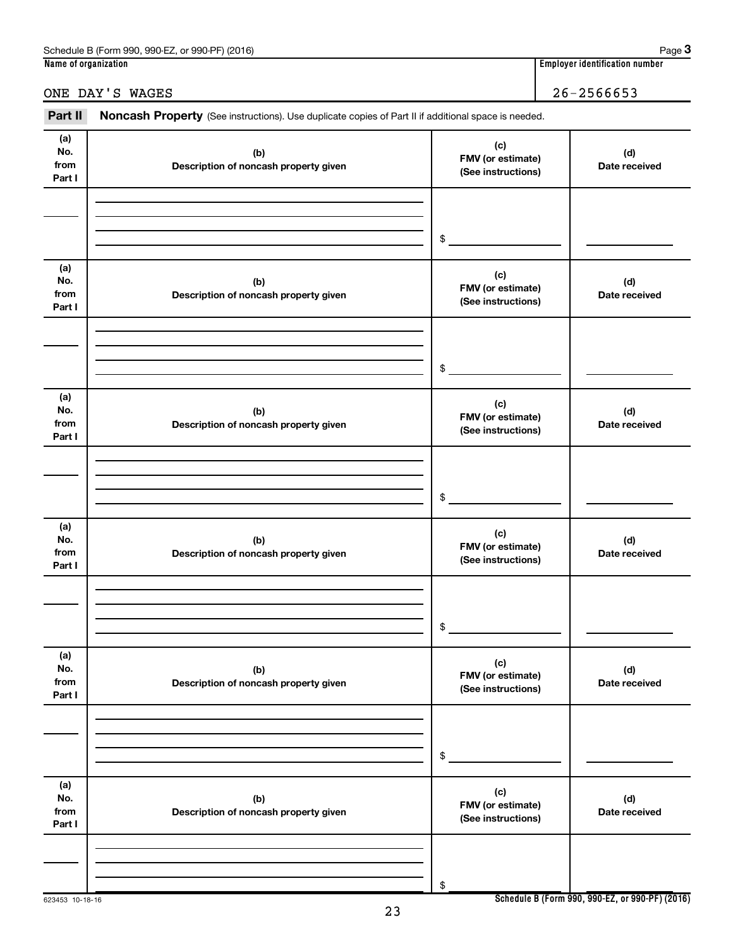ONE DAY'S WAGES 26-2566653

| Part II                      | Noncash Property (See instructions). Use duplicate copies of Part II if additional space is needed. |                                                |                      |
|------------------------------|-----------------------------------------------------------------------------------------------------|------------------------------------------------|----------------------|
| (a)<br>No.<br>from<br>Part I | (b)<br>Description of noncash property given                                                        | (c)<br>FMV (or estimate)<br>(See instructions) | (d)<br>Date received |
|                              |                                                                                                     | \$                                             |                      |
| (a)<br>No.<br>from<br>Part I | (b)<br>Description of noncash property given                                                        | (c)<br>FMV (or estimate)<br>(See instructions) | (d)<br>Date received |
|                              |                                                                                                     | \$                                             |                      |
| (a)<br>No.<br>from<br>Part I | (b)<br>Description of noncash property given                                                        | (c)<br>FMV (or estimate)<br>(See instructions) | (d)<br>Date received |
|                              |                                                                                                     | \$                                             |                      |
| (a)<br>No.<br>from<br>Part I | (b)<br>Description of noncash property given                                                        | (c)<br>FMV (or estimate)<br>(See instructions) | (d)<br>Date received |
|                              |                                                                                                     | \$                                             |                      |
| (a)<br>No.<br>from<br>Part I | (b)<br>Description of noncash property given                                                        | (c)<br>FMV (or estimate)<br>(See instructions) | (d)<br>Date received |
|                              |                                                                                                     | \$                                             |                      |
| (a)<br>No.<br>from<br>Part I | (b)<br>Description of noncash property given                                                        | (c)<br>FMV (or estimate)<br>(See instructions) | (d)<br>Date received |
|                              |                                                                                                     | \$                                             |                      |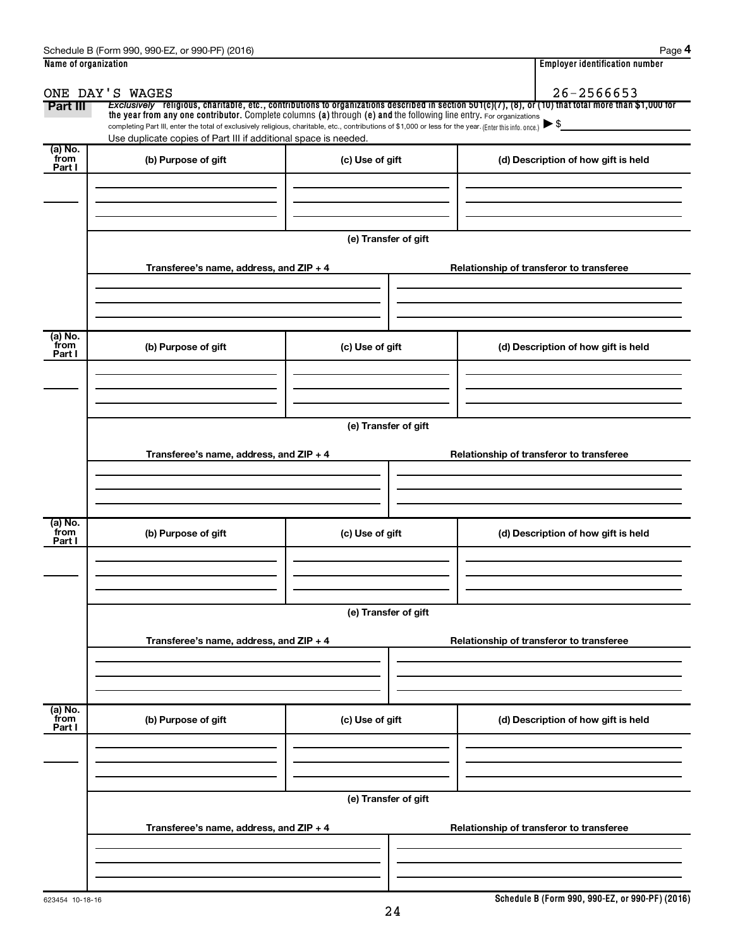| Name of organization      |                                                                                                                                                          | <b>Employer identification number</b> |                                                                                                                                                          |  |  |  |  |
|---------------------------|----------------------------------------------------------------------------------------------------------------------------------------------------------|---------------------------------------|----------------------------------------------------------------------------------------------------------------------------------------------------------|--|--|--|--|
|                           | ONE DAY'S WAGES                                                                                                                                          | $26 - 2566653$                        |                                                                                                                                                          |  |  |  |  |
| Part III                  | the year from any one contributor. Complete columns (a) through (e) and the following line entry. For organizations                                      |                                       | Exclusively religious, charitable, etc., contributions to organizations described in section $501(c)(7)$ , (8), or (10) that total more than \$1,000 for |  |  |  |  |
|                           | completing Part III, enter the total of exclusively religious, charitable, etc., contributions of \$1,000 or less for the year. (Enter this info. once.) |                                       |                                                                                                                                                          |  |  |  |  |
|                           | Use duplicate copies of Part III if additional space is needed.                                                                                          |                                       |                                                                                                                                                          |  |  |  |  |
| (a) No.<br>from<br>Part I | (b) Purpose of gift                                                                                                                                      | (c) Use of gift                       | (d) Description of how gift is held                                                                                                                      |  |  |  |  |
|                           |                                                                                                                                                          |                                       |                                                                                                                                                          |  |  |  |  |
|                           |                                                                                                                                                          |                                       |                                                                                                                                                          |  |  |  |  |
|                           |                                                                                                                                                          |                                       |                                                                                                                                                          |  |  |  |  |
|                           |                                                                                                                                                          | (e) Transfer of gift                  |                                                                                                                                                          |  |  |  |  |
|                           |                                                                                                                                                          |                                       |                                                                                                                                                          |  |  |  |  |
|                           | Transferee's name, address, and ZIP + 4                                                                                                                  |                                       | Relationship of transferor to transferee                                                                                                                 |  |  |  |  |
|                           |                                                                                                                                                          |                                       |                                                                                                                                                          |  |  |  |  |
|                           |                                                                                                                                                          |                                       |                                                                                                                                                          |  |  |  |  |
| (a) No.                   |                                                                                                                                                          |                                       |                                                                                                                                                          |  |  |  |  |
| from<br>Part I            | (b) Purpose of gift                                                                                                                                      | (c) Use of gift                       | (d) Description of how gift is held                                                                                                                      |  |  |  |  |
|                           |                                                                                                                                                          |                                       |                                                                                                                                                          |  |  |  |  |
|                           |                                                                                                                                                          |                                       |                                                                                                                                                          |  |  |  |  |
|                           |                                                                                                                                                          |                                       |                                                                                                                                                          |  |  |  |  |
|                           | (e) Transfer of gift                                                                                                                                     |                                       |                                                                                                                                                          |  |  |  |  |
|                           | Transferee's name, address, and ZIP + 4<br>Relationship of transferor to transferee                                                                      |                                       |                                                                                                                                                          |  |  |  |  |
|                           |                                                                                                                                                          |                                       |                                                                                                                                                          |  |  |  |  |
|                           |                                                                                                                                                          |                                       |                                                                                                                                                          |  |  |  |  |
|                           |                                                                                                                                                          |                                       |                                                                                                                                                          |  |  |  |  |
| (a) No.<br>from           | (b) Purpose of gift                                                                                                                                      | (c) Use of gift                       | (d) Description of how gift is held                                                                                                                      |  |  |  |  |
| Part I                    |                                                                                                                                                          |                                       |                                                                                                                                                          |  |  |  |  |
|                           |                                                                                                                                                          |                                       |                                                                                                                                                          |  |  |  |  |
|                           |                                                                                                                                                          |                                       |                                                                                                                                                          |  |  |  |  |
|                           |                                                                                                                                                          | (e) Transfer of gift                  |                                                                                                                                                          |  |  |  |  |
|                           |                                                                                                                                                          |                                       |                                                                                                                                                          |  |  |  |  |
|                           | Transferee's name, address, and ZIP + 4                                                                                                                  |                                       | Relationship of transferor to transferee                                                                                                                 |  |  |  |  |
|                           |                                                                                                                                                          |                                       |                                                                                                                                                          |  |  |  |  |
|                           |                                                                                                                                                          |                                       |                                                                                                                                                          |  |  |  |  |
| (a) No.<br>from           |                                                                                                                                                          |                                       |                                                                                                                                                          |  |  |  |  |
| Part I                    | (b) Purpose of gift                                                                                                                                      | (c) Use of gift                       | (d) Description of how gift is held                                                                                                                      |  |  |  |  |
|                           |                                                                                                                                                          |                                       |                                                                                                                                                          |  |  |  |  |
|                           |                                                                                                                                                          |                                       |                                                                                                                                                          |  |  |  |  |
|                           |                                                                                                                                                          |                                       |                                                                                                                                                          |  |  |  |  |
|                           |                                                                                                                                                          | (e) Transfer of gift                  |                                                                                                                                                          |  |  |  |  |
|                           | Transferee's name, address, and ZIP + 4                                                                                                                  |                                       | Relationship of transferor to transferee                                                                                                                 |  |  |  |  |
|                           |                                                                                                                                                          |                                       |                                                                                                                                                          |  |  |  |  |
|                           |                                                                                                                                                          |                                       |                                                                                                                                                          |  |  |  |  |
|                           |                                                                                                                                                          |                                       |                                                                                                                                                          |  |  |  |  |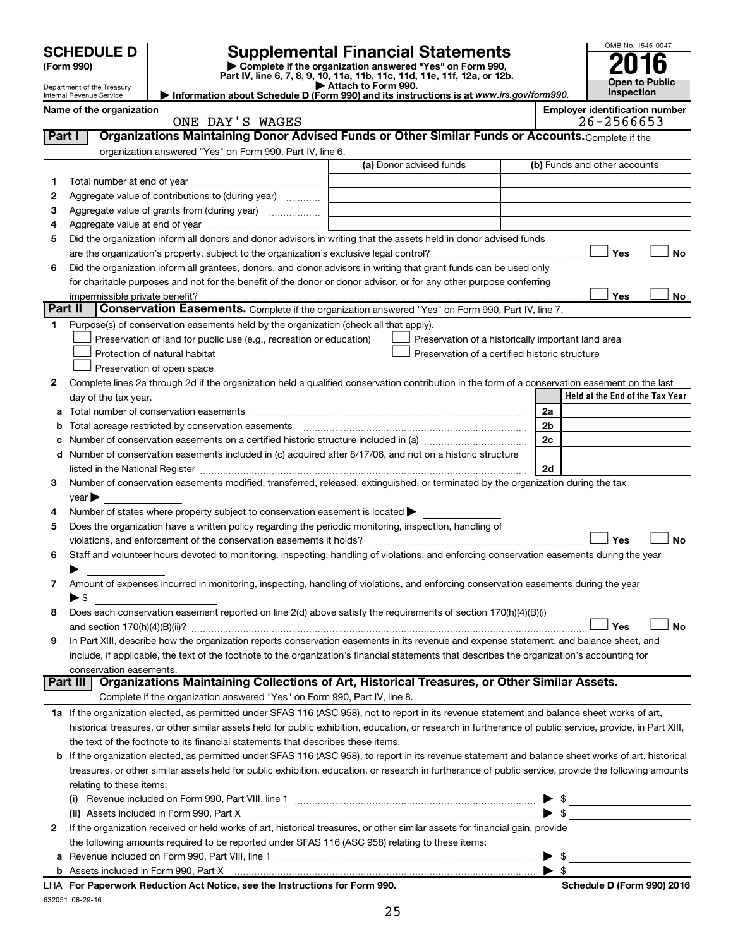|                | <b>SCHEDULE D</b><br>(Form 990)<br>Department of the Treasury                                                                                         |                                                                                                        | <b>Supplemental Financial Statements</b><br>Complete if the organization answered "Yes" on Form 990,<br>Part IV, line 6, 7, 8, 9, 10, 11a, 11b, 11c, 11d, 11e, 11f, 12a, or 12b.<br>Attach to Form 990.<br>Information about Schedule D (Form 990) and its instructions is at www.irs.gov/form990. |                |                          | OMB No. 1545-0047<br>Inspection                             | <b>Open to Public</b> |
|----------------|-------------------------------------------------------------------------------------------------------------------------------------------------------|--------------------------------------------------------------------------------------------------------|----------------------------------------------------------------------------------------------------------------------------------------------------------------------------------------------------------------------------------------------------------------------------------------------------|----------------|--------------------------|-------------------------------------------------------------|-----------------------|
|                | Internal Revenue Service                                                                                                                              |                                                                                                        |                                                                                                                                                                                                                                                                                                    |                |                          |                                                             |                       |
|                | Name of the organization                                                                                                                              | ONE DAY'S WAGES                                                                                        |                                                                                                                                                                                                                                                                                                    |                |                          | <b>Employer identification number</b><br>$26 - 2566653$     |                       |
| Part I         |                                                                                                                                                       |                                                                                                        | Organizations Maintaining Donor Advised Funds or Other Similar Funds or Accounts. Complete if the                                                                                                                                                                                                  |                |                          |                                                             |                       |
|                |                                                                                                                                                       | organization answered "Yes" on Form 990, Part IV, line 6.                                              |                                                                                                                                                                                                                                                                                                    |                |                          |                                                             |                       |
|                |                                                                                                                                                       |                                                                                                        | (a) Donor advised funds                                                                                                                                                                                                                                                                            |                |                          | (b) Funds and other accounts                                |                       |
| 1.             |                                                                                                                                                       |                                                                                                        |                                                                                                                                                                                                                                                                                                    |                |                          |                                                             |                       |
| 2              |                                                                                                                                                       | Aggregate value of contributions to (during year)                                                      |                                                                                                                                                                                                                                                                                                    |                |                          |                                                             |                       |
| З              |                                                                                                                                                       | Aggregate value of grants from (during year)                                                           |                                                                                                                                                                                                                                                                                                    |                |                          |                                                             |                       |
| 4              |                                                                                                                                                       |                                                                                                        |                                                                                                                                                                                                                                                                                                    |                |                          |                                                             |                       |
| 5              |                                                                                                                                                       |                                                                                                        | Did the organization inform all donors and donor advisors in writing that the assets held in donor advised funds                                                                                                                                                                                   |                |                          |                                                             |                       |
|                |                                                                                                                                                       |                                                                                                        |                                                                                                                                                                                                                                                                                                    |                |                          | Yes                                                         | No                    |
| 6              |                                                                                                                                                       |                                                                                                        | Did the organization inform all grantees, donors, and donor advisors in writing that grant funds can be used only                                                                                                                                                                                  |                |                          |                                                             |                       |
|                |                                                                                                                                                       |                                                                                                        | for charitable purposes and not for the benefit of the donor or donor advisor, or for any other purpose conferring                                                                                                                                                                                 |                |                          |                                                             |                       |
|                | impermissible private benefit?                                                                                                                        |                                                                                                        |                                                                                                                                                                                                                                                                                                    |                |                          | Yes                                                         | No                    |
| <b>Part II</b> |                                                                                                                                                       |                                                                                                        | Conservation Easements. Complete if the organization answered "Yes" on Form 990, Part IV, line 7.                                                                                                                                                                                                  |                |                          |                                                             |                       |
| 1.             |                                                                                                                                                       | Purpose(s) of conservation easements held by the organization (check all that apply).                  |                                                                                                                                                                                                                                                                                                    |                |                          |                                                             |                       |
|                |                                                                                                                                                       | Preservation of land for public use (e.g., recreation or education)                                    | Preservation of a historically important land area                                                                                                                                                                                                                                                 |                |                          |                                                             |                       |
|                |                                                                                                                                                       | Protection of natural habitat                                                                          | Preservation of a certified historic structure                                                                                                                                                                                                                                                     |                |                          |                                                             |                       |
|                |                                                                                                                                                       | Preservation of open space                                                                             |                                                                                                                                                                                                                                                                                                    |                |                          |                                                             |                       |
| 2              |                                                                                                                                                       |                                                                                                        | Complete lines 2a through 2d if the organization held a qualified conservation contribution in the form of a conservation easement on the last                                                                                                                                                     |                |                          | Held at the End of the Tax Year                             |                       |
|                | day of the tax year.                                                                                                                                  |                                                                                                        |                                                                                                                                                                                                                                                                                                    | 2a             |                          |                                                             |                       |
| $\mathbf b$    |                                                                                                                                                       |                                                                                                        |                                                                                                                                                                                                                                                                                                    | 2 <sub>b</sub> |                          |                                                             |                       |
| с              |                                                                                                                                                       |                                                                                                        |                                                                                                                                                                                                                                                                                                    | 2c             |                          |                                                             |                       |
| d              |                                                                                                                                                       |                                                                                                        | Number of conservation easements included in (c) acquired after 8/17/06, and not on a historic structure                                                                                                                                                                                           |                |                          |                                                             |                       |
|                |                                                                                                                                                       |                                                                                                        |                                                                                                                                                                                                                                                                                                    | 2d             |                          |                                                             |                       |
| З              |                                                                                                                                                       |                                                                                                        | Number of conservation easements modified, transferred, released, extinguished, or terminated by the organization during the tax                                                                                                                                                                   |                |                          |                                                             |                       |
|                | vear                                                                                                                                                  |                                                                                                        |                                                                                                                                                                                                                                                                                                    |                |                          |                                                             |                       |
| 4              |                                                                                                                                                       | Number of states where property subject to conservation easement is located $\blacktriangleright$      |                                                                                                                                                                                                                                                                                                    |                |                          |                                                             |                       |
| 5              |                                                                                                                                                       | Does the organization have a written policy regarding the periodic monitoring, inspection, handling of |                                                                                                                                                                                                                                                                                                    |                |                          |                                                             |                       |
|                |                                                                                                                                                       | violations, and enforcement of the conservation easements it holds?                                    |                                                                                                                                                                                                                                                                                                    |                |                          | Yes                                                         | No                    |
| 6              |                                                                                                                                                       |                                                                                                        | Staff and volunteer hours devoted to monitoring, inspecting, handling of violations, and enforcing conservation easements during the year                                                                                                                                                          |                |                          |                                                             |                       |
|                |                                                                                                                                                       |                                                                                                        |                                                                                                                                                                                                                                                                                                    |                |                          |                                                             |                       |
| 7              |                                                                                                                                                       |                                                                                                        | Amount of expenses incurred in monitoring, inspecting, handling of violations, and enforcing conservation easements during the year                                                                                                                                                                |                |                          |                                                             |                       |
|                | ▶ \$                                                                                                                                                  |                                                                                                        |                                                                                                                                                                                                                                                                                                    |                |                          |                                                             |                       |
| 8              |                                                                                                                                                       |                                                                                                        | Does each conservation easement reported on line 2(d) above satisfy the requirements of section 170(h)(4)(B)(i)                                                                                                                                                                                    |                |                          |                                                             |                       |
|                |                                                                                                                                                       |                                                                                                        | In Part XIII, describe how the organization reports conservation easements in its revenue and expense statement, and balance sheet, and                                                                                                                                                            |                |                          | Yes                                                         | No                    |
| 9              |                                                                                                                                                       |                                                                                                        | include, if applicable, the text of the footnote to the organization's financial statements that describes the organization's accounting for                                                                                                                                                       |                |                          |                                                             |                       |
|                | conservation easements.                                                                                                                               |                                                                                                        |                                                                                                                                                                                                                                                                                                    |                |                          |                                                             |                       |
|                | Part III                                                                                                                                              |                                                                                                        | Organizations Maintaining Collections of Art, Historical Treasures, or Other Similar Assets.                                                                                                                                                                                                       |                |                          |                                                             |                       |
|                |                                                                                                                                                       | Complete if the organization answered "Yes" on Form 990, Part IV, line 8.                              |                                                                                                                                                                                                                                                                                                    |                |                          |                                                             |                       |
|                |                                                                                                                                                       |                                                                                                        | 1a If the organization elected, as permitted under SFAS 116 (ASC 958), not to report in its revenue statement and balance sheet works of art,                                                                                                                                                      |                |                          |                                                             |                       |
|                |                                                                                                                                                       |                                                                                                        | historical treasures, or other similar assets held for public exhibition, education, or research in furtherance of public service, provide, in Part XIII,                                                                                                                                          |                |                          |                                                             |                       |
|                |                                                                                                                                                       | the text of the footnote to its financial statements that describes these items.                       |                                                                                                                                                                                                                                                                                                    |                |                          |                                                             |                       |
| b              |                                                                                                                                                       |                                                                                                        | If the organization elected, as permitted under SFAS 116 (ASC 958), to report in its revenue statement and balance sheet works of art, historical                                                                                                                                                  |                |                          |                                                             |                       |
|                | treasures, or other similar assets held for public exhibition, education, or research in furtherance of public service, provide the following amounts |                                                                                                        |                                                                                                                                                                                                                                                                                                    |                |                          |                                                             |                       |
|                | relating to these items:                                                                                                                              |                                                                                                        |                                                                                                                                                                                                                                                                                                    |                |                          |                                                             |                       |
|                |                                                                                                                                                       |                                                                                                        |                                                                                                                                                                                                                                                                                                    |                | \$                       | the control of the control of the control of the control of |                       |
|                |                                                                                                                                                       | (ii) Assets included in Form 990, Part X                                                               |                                                                                                                                                                                                                                                                                                    |                | - \$                     |                                                             |                       |
| 2              |                                                                                                                                                       |                                                                                                        | If the organization received or held works of art, historical treasures, or other similar assets for financial gain, provide                                                                                                                                                                       |                |                          |                                                             |                       |
|                |                                                                                                                                                       | the following amounts required to be reported under SFAS 116 (ASC 958) relating to these items:        |                                                                                                                                                                                                                                                                                                    |                |                          |                                                             |                       |
|                |                                                                                                                                                       | a Revenue included on Form 990, Part VIII, line 1                                                      |                                                                                                                                                                                                                                                                                                    |                | $\blacktriangleright$ \$ |                                                             |                       |

|  | <b>b</b> Assets included in Form 990, Part X |  |  |  |
|--|----------------------------------------------|--|--|--|

632051 08-29-16 **For Paperwork Reduction Act Notice, see the Instructions for Form 990. Schedule D (Form 990) 2016** LHA

| \$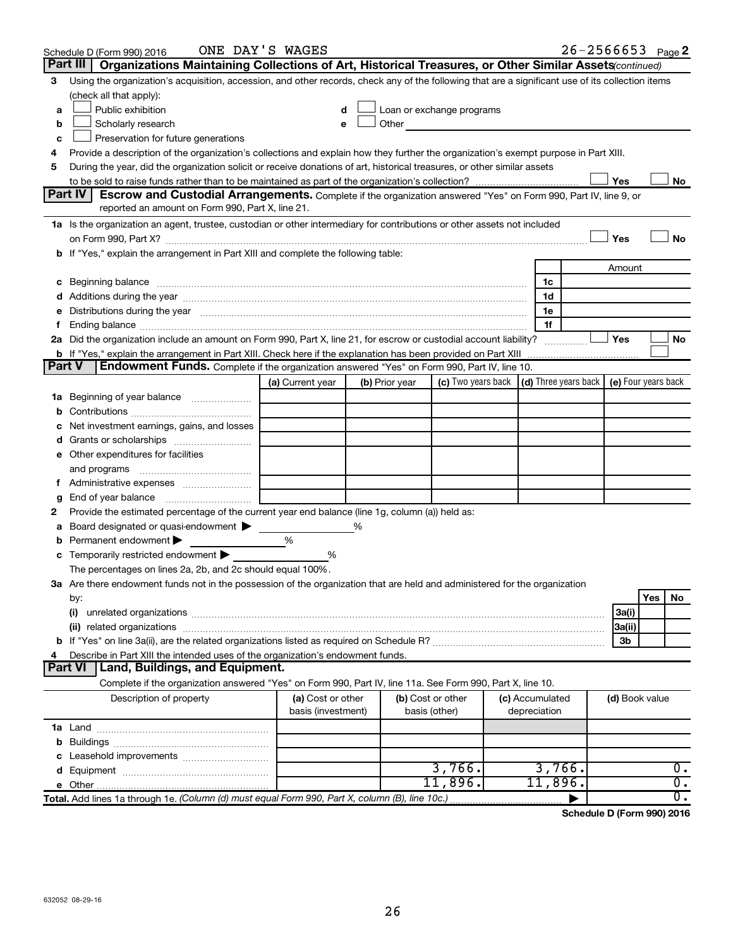|               | Schedule D (Form 990) 2016                                                                                                                                                                                                     | ONE DAY'S WAGES    |   |                |                                                                                                                                                                                                                                      |                 | $26 - 2566653$ Page 2 |                |     |                  |
|---------------|--------------------------------------------------------------------------------------------------------------------------------------------------------------------------------------------------------------------------------|--------------------|---|----------------|--------------------------------------------------------------------------------------------------------------------------------------------------------------------------------------------------------------------------------------|-----------------|-----------------------|----------------|-----|------------------|
|               | Part III<br>Organizations Maintaining Collections of Art, Historical Treasures, or Other Similar Assets(continued)                                                                                                             |                    |   |                |                                                                                                                                                                                                                                      |                 |                       |                |     |                  |
| 3             | Using the organization's acquisition, accession, and other records, check any of the following that are a significant use of its collection items                                                                              |                    |   |                |                                                                                                                                                                                                                                      |                 |                       |                |     |                  |
|               | (check all that apply):                                                                                                                                                                                                        |                    |   |                |                                                                                                                                                                                                                                      |                 |                       |                |     |                  |
| a             | Public exhibition                                                                                                                                                                                                              | d                  |   |                | Loan or exchange programs                                                                                                                                                                                                            |                 |                       |                |     |                  |
| b             | Scholarly research                                                                                                                                                                                                             | e                  |   |                | Other <u>and the set of the set of the set of the set of the set of the set of the set of the set of the set of the set of the set of the set of the set of the set of the set of the set of the set of the set of the set of th</u> |                 |                       |                |     |                  |
| c             | Preservation for future generations                                                                                                                                                                                            |                    |   |                |                                                                                                                                                                                                                                      |                 |                       |                |     |                  |
| 4             | Provide a description of the organization's collections and explain how they further the organization's exempt purpose in Part XIII.                                                                                           |                    |   |                |                                                                                                                                                                                                                                      |                 |                       |                |     |                  |
| 5             | During the year, did the organization solicit or receive donations of art, historical treasures, or other similar assets                                                                                                       |                    |   |                |                                                                                                                                                                                                                                      |                 |                       |                |     |                  |
|               |                                                                                                                                                                                                                                |                    |   |                |                                                                                                                                                                                                                                      |                 |                       | Yes            |     | No               |
|               | <b>Part IV</b><br>Escrow and Custodial Arrangements. Complete if the organization answered "Yes" on Form 990, Part IV, line 9, or                                                                                              |                    |   |                |                                                                                                                                                                                                                                      |                 |                       |                |     |                  |
|               | reported an amount on Form 990, Part X, line 21.                                                                                                                                                                               |                    |   |                |                                                                                                                                                                                                                                      |                 |                       |                |     |                  |
|               | 1a Is the organization an agent, trustee, custodian or other intermediary for contributions or other assets not included                                                                                                       |                    |   |                |                                                                                                                                                                                                                                      |                 |                       |                |     |                  |
|               |                                                                                                                                                                                                                                |                    |   |                |                                                                                                                                                                                                                                      |                 |                       | Yes            |     | <b>No</b>        |
|               | If "Yes," explain the arrangement in Part XIII and complete the following table:                                                                                                                                               |                    |   |                |                                                                                                                                                                                                                                      |                 |                       |                |     |                  |
|               |                                                                                                                                                                                                                                |                    |   |                |                                                                                                                                                                                                                                      |                 |                       | Amount         |     |                  |
| с             | Beginning balance measurements and contain the contract of the contract of the contract of the contract of the                                                                                                                 |                    |   |                |                                                                                                                                                                                                                                      | 1c              |                       |                |     |                  |
|               |                                                                                                                                                                                                                                |                    |   |                |                                                                                                                                                                                                                                      | 1d              |                       |                |     |                  |
|               | Distributions during the year manufactured and an account of the year manufactured and the year manufactured and the year manufactured and the year manufactured and the year manufactured and the year manufactured and the y |                    |   |                |                                                                                                                                                                                                                                      | 1e              |                       |                |     |                  |
|               | Ending balance manufacture contains and the contract of the contract of the contract of the contract of the contract of the contract of the contract of the contract of the contract of the contract of the contract of the co |                    |   |                |                                                                                                                                                                                                                                      | 1f              |                       |                |     |                  |
|               | 2a Did the organization include an amount on Form 990, Part X, line 21, for escrow or custodial account liability?                                                                                                             |                    |   |                |                                                                                                                                                                                                                                      |                 |                       | Yes            |     | No               |
|               | <b>b</b> If "Yes," explain the arrangement in Part XIII. Check here if the explanation has been provided on Part XIII                                                                                                          |                    |   |                |                                                                                                                                                                                                                                      |                 |                       |                |     |                  |
| <b>Part V</b> | <b>Endowment Funds.</b> Complete if the organization answered "Yes" on Form 990, Part IV, line 10.                                                                                                                             |                    |   |                |                                                                                                                                                                                                                                      |                 |                       |                |     |                  |
|               |                                                                                                                                                                                                                                | (a) Current year   |   | (b) Prior year | (c) Two years back $\vert$ (d) Three years back $\vert$ (e) Four years back                                                                                                                                                          |                 |                       |                |     |                  |
| 1a            | Beginning of year balance                                                                                                                                                                                                      |                    |   |                |                                                                                                                                                                                                                                      |                 |                       |                |     |                  |
| b             |                                                                                                                                                                                                                                |                    |   |                |                                                                                                                                                                                                                                      |                 |                       |                |     |                  |
|               | Net investment earnings, gains, and losses                                                                                                                                                                                     |                    |   |                |                                                                                                                                                                                                                                      |                 |                       |                |     |                  |
| a             |                                                                                                                                                                                                                                |                    |   |                |                                                                                                                                                                                                                                      |                 |                       |                |     |                  |
|               | e Other expenditures for facilities                                                                                                                                                                                            |                    |   |                |                                                                                                                                                                                                                                      |                 |                       |                |     |                  |
|               | and programs                                                                                                                                                                                                                   |                    |   |                |                                                                                                                                                                                                                                      |                 |                       |                |     |                  |
|               | f Administrative expenses                                                                                                                                                                                                      |                    |   |                |                                                                                                                                                                                                                                      |                 |                       |                |     |                  |
| g             | End of year balance                                                                                                                                                                                                            |                    |   |                |                                                                                                                                                                                                                                      |                 |                       |                |     |                  |
| 2             | Provide the estimated percentage of the current year end balance (line 1g, column (a)) held as:                                                                                                                                |                    |   |                |                                                                                                                                                                                                                                      |                 |                       |                |     |                  |
|               | Board designated or quasi-endowment                                                                                                                                                                                            |                    | % |                |                                                                                                                                                                                                                                      |                 |                       |                |     |                  |
|               | Permanent endowment                                                                                                                                                                                                            | %                  |   |                |                                                                                                                                                                                                                                      |                 |                       |                |     |                  |
| с             | Temporarily restricted endowment<br>The percentages on lines 2a, 2b, and 2c should equal 100%.                                                                                                                                 | %                  |   |                |                                                                                                                                                                                                                                      |                 |                       |                |     |                  |
|               | 3a Are there endowment funds not in the possession of the organization that are held and administered for the organization                                                                                                     |                    |   |                |                                                                                                                                                                                                                                      |                 |                       |                |     |                  |
|               |                                                                                                                                                                                                                                |                    |   |                |                                                                                                                                                                                                                                      |                 |                       |                | Yes | No               |
|               | by:<br>(i)                                                                                                                                                                                                                     |                    |   |                |                                                                                                                                                                                                                                      |                 |                       | 3a(i)          |     |                  |
|               |                                                                                                                                                                                                                                |                    |   |                |                                                                                                                                                                                                                                      |                 |                       | 3a(ii)         |     |                  |
|               |                                                                                                                                                                                                                                |                    |   |                |                                                                                                                                                                                                                                      |                 |                       | 3b             |     |                  |
|               | Describe in Part XIII the intended uses of the organization's endowment funds.                                                                                                                                                 |                    |   |                |                                                                                                                                                                                                                                      |                 |                       |                |     |                  |
|               | Land, Buildings, and Equipment.<br>Part VI                                                                                                                                                                                     |                    |   |                |                                                                                                                                                                                                                                      |                 |                       |                |     |                  |
|               | Complete if the organization answered "Yes" on Form 990, Part IV, line 11a. See Form 990, Part X, line 10.                                                                                                                     |                    |   |                |                                                                                                                                                                                                                                      |                 |                       |                |     |                  |
|               | Description of property                                                                                                                                                                                                        | (a) Cost or other  |   |                | (b) Cost or other                                                                                                                                                                                                                    | (c) Accumulated |                       | (d) Book value |     |                  |
|               |                                                                                                                                                                                                                                | basis (investment) |   |                | basis (other)                                                                                                                                                                                                                        | depreciation    |                       |                |     |                  |
|               |                                                                                                                                                                                                                                |                    |   |                |                                                                                                                                                                                                                                      |                 |                       |                |     |                  |
| b             |                                                                                                                                                                                                                                |                    |   |                |                                                                                                                                                                                                                                      |                 |                       |                |     |                  |
|               |                                                                                                                                                                                                                                |                    |   |                |                                                                                                                                                                                                                                      |                 |                       |                |     |                  |
|               |                                                                                                                                                                                                                                |                    |   |                | 3,766.                                                                                                                                                                                                                               | 3,766.          |                       |                |     | 0.               |
|               | <b>e</b> Other                                                                                                                                                                                                                 |                    |   |                | 11,896.                                                                                                                                                                                                                              | $11,896$ .      |                       |                |     | $\overline{0}$ . |
|               | Total. Add lines 1a through 1e. (Column (d) must equal Form 990, Part X, column (B), line 10c.)                                                                                                                                |                    |   |                |                                                                                                                                                                                                                                      |                 |                       |                |     | σ.               |

**Schedule D (Form 990) 2016**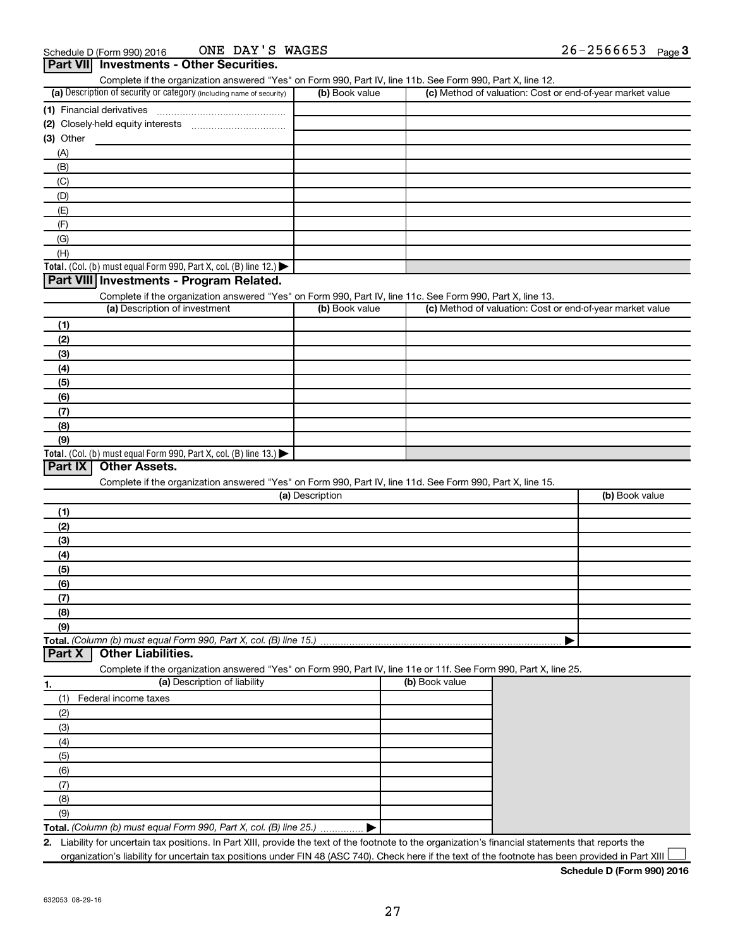| Complete if the organization answered "Yes" on Form 990, Part IV, line 11b. See Form 990, Part X, line 12.<br>(a) Description of security or category (including name of security) | (b) Book value  |                | (c) Method of valuation: Cost or end-of-year market value |
|------------------------------------------------------------------------------------------------------------------------------------------------------------------------------------|-----------------|----------------|-----------------------------------------------------------|
|                                                                                                                                                                                    |                 |                |                                                           |
| (1) Financial derivatives                                                                                                                                                          |                 |                |                                                           |
|                                                                                                                                                                                    |                 |                |                                                           |
| (3) Other                                                                                                                                                                          |                 |                |                                                           |
| (A)                                                                                                                                                                                |                 |                |                                                           |
| (B)                                                                                                                                                                                |                 |                |                                                           |
| (C)                                                                                                                                                                                |                 |                |                                                           |
| (D)                                                                                                                                                                                |                 |                |                                                           |
| (E)                                                                                                                                                                                |                 |                |                                                           |
| (F)                                                                                                                                                                                |                 |                |                                                           |
| (G)                                                                                                                                                                                |                 |                |                                                           |
| (H)                                                                                                                                                                                |                 |                |                                                           |
| Total. (Col. (b) must equal Form 990, Part X, col. (B) line 12.) $\blacktriangleright$                                                                                             |                 |                |                                                           |
| Part VIII Investments - Program Related.                                                                                                                                           |                 |                |                                                           |
| Complete if the organization answered "Yes" on Form 990, Part IV, line 11c. See Form 990, Part X, line 13.                                                                         |                 |                |                                                           |
| (a) Description of investment                                                                                                                                                      | (b) Book value  |                | (c) Method of valuation: Cost or end-of-year market value |
| (1)                                                                                                                                                                                |                 |                |                                                           |
| (2)                                                                                                                                                                                |                 |                |                                                           |
| (3)                                                                                                                                                                                |                 |                |                                                           |
| (4)                                                                                                                                                                                |                 |                |                                                           |
| (5)                                                                                                                                                                                |                 |                |                                                           |
| (6)                                                                                                                                                                                |                 |                |                                                           |
| (7)                                                                                                                                                                                |                 |                |                                                           |
| (8)                                                                                                                                                                                |                 |                |                                                           |
| (9)                                                                                                                                                                                |                 |                |                                                           |
| Total. (Col. (b) must equal Form 990, Part X, col. (B) line 13.) $\blacktriangleright$                                                                                             |                 |                |                                                           |
| Part IX<br><b>Other Assets.</b>                                                                                                                                                    |                 |                |                                                           |
|                                                                                                                                                                                    |                 |                |                                                           |
| Complete if the organization answered "Yes" on Form 990, Part IV, line 11d. See Form 990, Part X, line 15.                                                                         | (a) Description |                | (b) Book value                                            |
|                                                                                                                                                                                    |                 |                |                                                           |
| (1)                                                                                                                                                                                |                 |                |                                                           |
| (2)                                                                                                                                                                                |                 |                |                                                           |
| (3)                                                                                                                                                                                |                 |                |                                                           |
| (4)                                                                                                                                                                                |                 |                |                                                           |
| (5)                                                                                                                                                                                |                 |                |                                                           |
| (6)                                                                                                                                                                                |                 |                |                                                           |
| (7)                                                                                                                                                                                |                 |                |                                                           |
| (8)                                                                                                                                                                                |                 |                |                                                           |
| (9)                                                                                                                                                                                |                 |                |                                                           |
| Total. (Column (b) must equal Form 990, Part X, col. (B) line 15.)                                                                                                                 |                 |                |                                                           |
| Part X<br><b>Other Liabilities.</b>                                                                                                                                                |                 |                |                                                           |
|                                                                                                                                                                                    |                 |                |                                                           |
| Complete if the organization answered "Yes" on Form 990, Part IV, line 11e or 11f. See Form 990, Part X, line 25.                                                                  |                 |                |                                                           |
| (a) Description of liability<br>1.                                                                                                                                                 |                 | (b) Book value |                                                           |
| Federal income taxes<br>(1)                                                                                                                                                        |                 |                |                                                           |
|                                                                                                                                                                                    |                 |                |                                                           |
| (2)                                                                                                                                                                                |                 |                |                                                           |
| (3)                                                                                                                                                                                |                 |                |                                                           |
| (4)                                                                                                                                                                                |                 |                |                                                           |
| (5)                                                                                                                                                                                |                 |                |                                                           |
| (6)                                                                                                                                                                                |                 |                |                                                           |
| (7)                                                                                                                                                                                |                 |                |                                                           |
| (8)                                                                                                                                                                                |                 |                |                                                           |
| (9)<br>Total. (Column (b) must equal Form 990, Part X, col. (B) line 25.)                                                                                                          |                 |                |                                                           |

organization's liability for uncertain tax positions under FIN 48 (ASC 740). Check here if the text of the footnote has been provided in Part XIII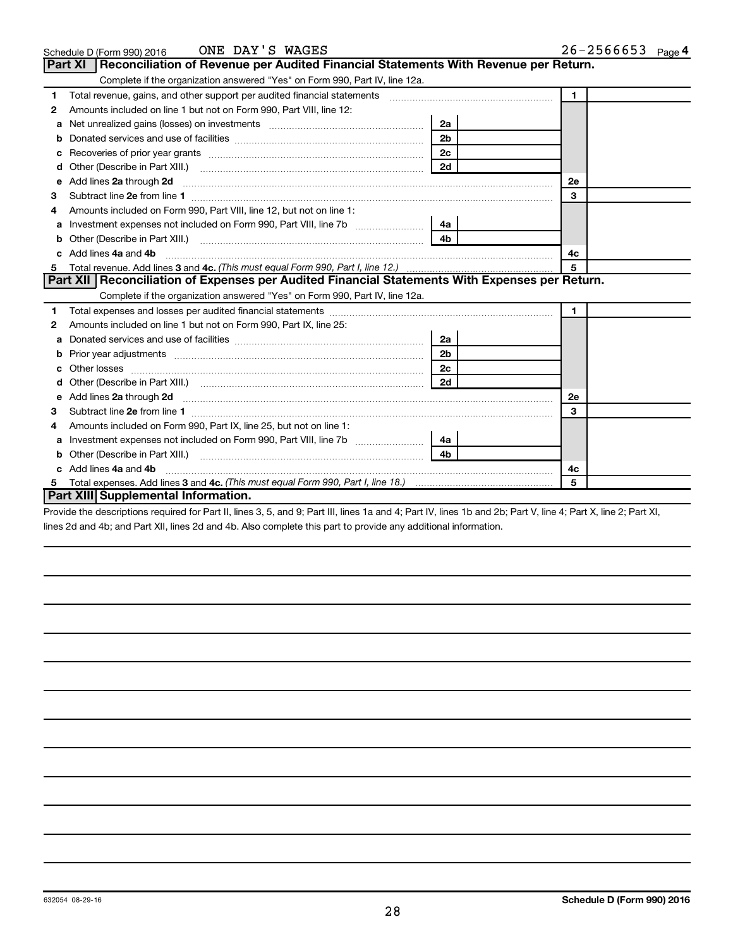|   | ONE DAY'S WAGES<br>Schedule D (Form 990) 2016                                                                                                                                                                                       |                | $26 - 2566653$ Page 4 |
|---|-------------------------------------------------------------------------------------------------------------------------------------------------------------------------------------------------------------------------------------|----------------|-----------------------|
|   | <b>Part XI</b><br>Reconciliation of Revenue per Audited Financial Statements With Revenue per Return.                                                                                                                               |                |                       |
|   | Complete if the organization answered "Yes" on Form 990, Part IV, line 12a.                                                                                                                                                         |                |                       |
| 1 | Total revenue, gains, and other support per audited financial statements [[[[[[[[[[[[[[[[[[[[[[[[]]]]]]]]]]]]                                                                                                                       |                | $\blacksquare$        |
| 2 | Amounts included on line 1 but not on Form 990, Part VIII, line 12:                                                                                                                                                                 |                |                       |
| a |                                                                                                                                                                                                                                     | 2a             |                       |
| b |                                                                                                                                                                                                                                     | 2 <sub>b</sub> |                       |
| c |                                                                                                                                                                                                                                     | 2 <sub>c</sub> |                       |
| d |                                                                                                                                                                                                                                     | 2d             |                       |
| e | Add lines 2a through 2d                                                                                                                                                                                                             |                | 2e                    |
| з |                                                                                                                                                                                                                                     |                | 3                     |
|   | Amounts included on Form 990, Part VIII, line 12, but not on line 1:                                                                                                                                                                |                |                       |
| a |                                                                                                                                                                                                                                     | 4a             |                       |
| b | Other (Describe in Part XIII.)                                                                                                                                                                                                      | 4 <sub>b</sub> |                       |
|   | Add lines 4a and 4b                                                                                                                                                                                                                 | 4c             |                       |
| 5 |                                                                                                                                                                                                                                     |                | 5                     |
|   | Part XII Reconciliation of Expenses per Audited Financial Statements With Expenses per Return.                                                                                                                                      |                |                       |
|   | Complete if the organization answered "Yes" on Form 990, Part IV, line 12a.                                                                                                                                                         |                |                       |
| 1 |                                                                                                                                                                                                                                     |                | $\mathbf 1$           |
| 2 | Amounts included on line 1 but not on Form 990, Part IX, line 25:                                                                                                                                                                   |                |                       |
| a |                                                                                                                                                                                                                                     | 2a             |                       |
| b |                                                                                                                                                                                                                                     | 2 <sub>b</sub> |                       |
|   |                                                                                                                                                                                                                                     | 2c             |                       |
|   |                                                                                                                                                                                                                                     | 2d             |                       |
| е | Add lines 2a through 2d <b>[10]</b> University of the state of the state of the state of the state of the state of the state of the state of the state of the state of the state of the state of the state of the state of the stat |                | <b>2e</b>             |
| З |                                                                                                                                                                                                                                     |                | 3                     |
| 4 | Amounts included on Form 990, Part IX, line 25, but not on line 1:                                                                                                                                                                  |                |                       |
| a |                                                                                                                                                                                                                                     | 4a             |                       |
| b |                                                                                                                                                                                                                                     | 4 <sub>b</sub> |                       |
|   | Add lines 4a and 4b                                                                                                                                                                                                                 |                | 4c                    |
| 5 |                                                                                                                                                                                                                                     |                | 5                     |
|   | <b>Part XIII Supplemental Information.</b>                                                                                                                                                                                          |                |                       |

Provide the descriptions required for Part II, lines 3, 5, and 9; Part III, lines 1a and 4; Part IV, lines 1b and 2b; Part V, line 4; Part X, line 2; Part XI, lines 2d and 4b; and Part XII, lines 2d and 4b. Also complete this part to provide any additional information.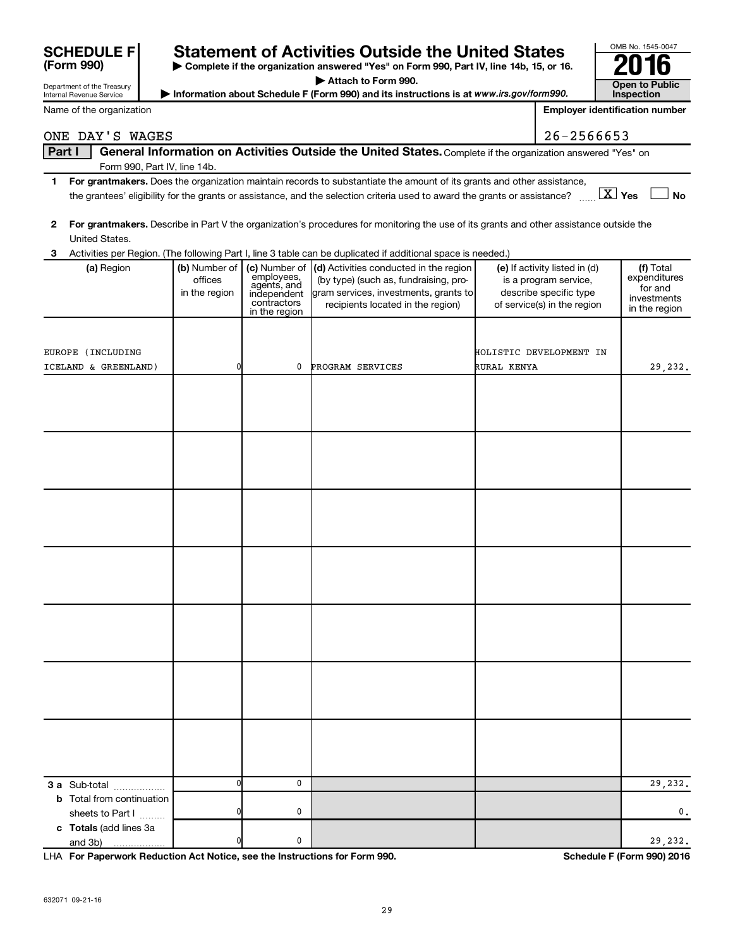| Part I                                                                     |                                           |                                                                                           | General Information on Activities Outside the United States. Complete if the organization answered "Yes" on                                                   |                                                                                                                 |                                                                      |
|----------------------------------------------------------------------------|-------------------------------------------|-------------------------------------------------------------------------------------------|---------------------------------------------------------------------------------------------------------------------------------------------------------------|-----------------------------------------------------------------------------------------------------------------|----------------------------------------------------------------------|
|                                                                            | Form 990, Part IV, line 14b.              |                                                                                           |                                                                                                                                                               |                                                                                                                 |                                                                      |
| 1.                                                                         |                                           |                                                                                           | For grantmakers. Does the organization maintain records to substantiate the amount of its grants and other assistance,                                        |                                                                                                                 |                                                                      |
|                                                                            |                                           |                                                                                           | the grantees' eligibility for the grants or assistance, and the selection criteria used to award the grants or assistance?                                    | $\boxed{\text{X}}$ Yes                                                                                          | <b>No</b>                                                            |
| $\mathbf{2}$<br>United States.                                             |                                           |                                                                                           | For grantmakers. Describe in Part V the organization's procedures for monitoring the use of its grants and other assistance outside the                       |                                                                                                                 |                                                                      |
| з                                                                          |                                           |                                                                                           | Activities per Region. (The following Part I, line 3 table can be duplicated if additional space is needed.)                                                  |                                                                                                                 |                                                                      |
| (a) Region                                                                 | (b) Number of<br>offices<br>in the region | (c) Number of<br>employees,<br>agents, and<br>independent<br>contractors<br>in the region | (d) Activities conducted in the region<br>(by type) (such as, fundraising, pro-<br>gram services, investments, grants to<br>recipients located in the region) | (e) If activity listed in (d)<br>is a program service,<br>describe specific type<br>of service(s) in the region | (f) Total<br>expenditures<br>for and<br>investments<br>in the region |
| EUROPE (INCLUDING                                                          |                                           |                                                                                           |                                                                                                                                                               | HOLISTIC DEVELOPMENT IN                                                                                         |                                                                      |
| ICELAND & GREENLAND)                                                       | 0                                         | 0                                                                                         | PROGRAM SERVICES                                                                                                                                              | RURAL KENYA                                                                                                     | 29,232.                                                              |
|                                                                            |                                           |                                                                                           |                                                                                                                                                               |                                                                                                                 |                                                                      |
|                                                                            |                                           |                                                                                           |                                                                                                                                                               |                                                                                                                 |                                                                      |
|                                                                            |                                           |                                                                                           |                                                                                                                                                               |                                                                                                                 |                                                                      |
|                                                                            |                                           |                                                                                           |                                                                                                                                                               |                                                                                                                 |                                                                      |
|                                                                            |                                           |                                                                                           |                                                                                                                                                               |                                                                                                                 |                                                                      |
|                                                                            |                                           |                                                                                           |                                                                                                                                                               |                                                                                                                 |                                                                      |
|                                                                            |                                           |                                                                                           |                                                                                                                                                               |                                                                                                                 |                                                                      |
| 3 a Sub-total                                                              | 0                                         | $\mathbf 0$                                                                               |                                                                                                                                                               |                                                                                                                 | 29,232.                                                              |
| <b>b</b> Total from continuation<br>sheets to Part I                       | 0                                         | 0                                                                                         |                                                                                                                                                               |                                                                                                                 | 0.                                                                   |
| c Totals (add lines 3a<br>and 3b)                                          | 0                                         | 0                                                                                         |                                                                                                                                                               |                                                                                                                 | 29,232.                                                              |
| LHA For Paperwork Reduction Act Notice, see the Instructions for Form 990. |                                           |                                                                                           |                                                                                                                                                               |                                                                                                                 | Schedule F (Form 990) 2016                                           |

| <b>SCHEDULE F</b>                                      | <b>Stat</b>                   |
|--------------------------------------------------------|-------------------------------|
| (Form 990)                                             | $\blacktriangleright$ Com     |
| Department of the Treasury<br>Internal Revenue Service | $\blacktriangleright$ Informa |

Name of the organization

632071 09-21-16

29

| <b>SCHEDULE FI</b> | <b>Statement of Activities Outside the United States</b>                                 | OMB No. 1545-0047 |
|--------------------|------------------------------------------------------------------------------------------|-------------------|
| (Form 990)         | ▶ Complete if the organization answered "Yes" on Form 990, Part IV, line 14b, 15, or 16. | 2016              |

**| Attach to Form 990.**

ONE DAY'S WAGES 26-256653

Information about Schedule F (Form 990) and its instructions is at *www.irs.gov/form990.* **www.irs.gov/form990.** Inspection **Open to Public<br>Inspection** 

|  | <b>Employer identification number</b> |  |
|--|---------------------------------------|--|
|--|---------------------------------------|--|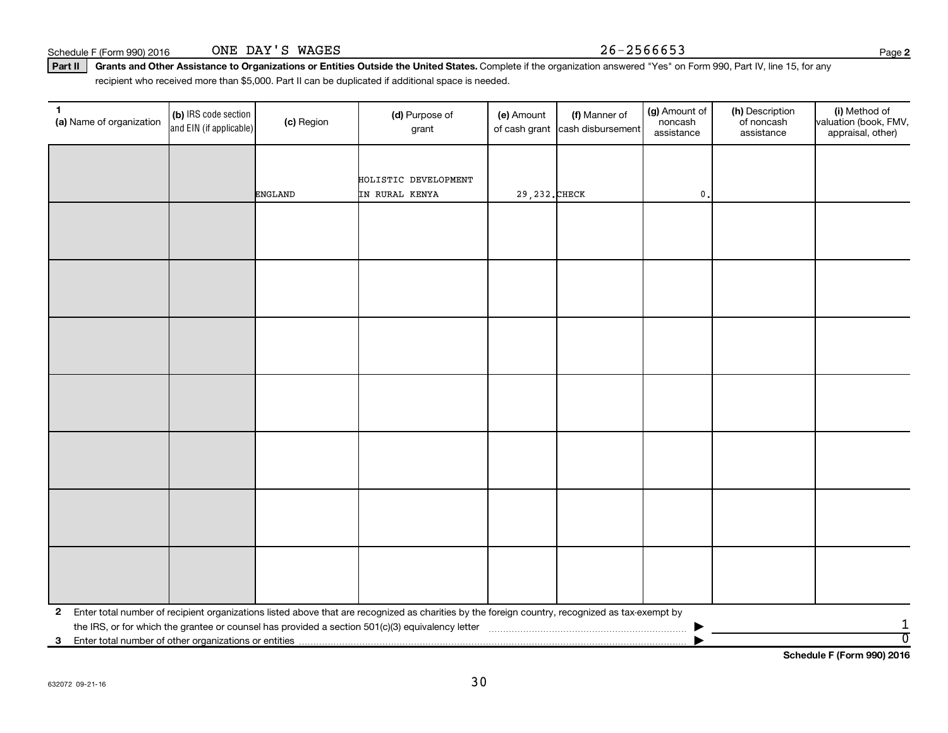(b) IRS code section and EIN (if applicable)

**1** (a) Name of organization  $\begin{bmatrix} \text{(b)} \text{ IRS code section} \end{bmatrix}$  (c) Region (d) Purpose of

ONE DAY'S WAGES

|  |                                                                           |         | HOLISTIC DEVELOPMENT                                                                                                                              |                |  |               |  |   |  |  |  |
|--|---------------------------------------------------------------------------|---------|---------------------------------------------------------------------------------------------------------------------------------------------------|----------------|--|---------------|--|---|--|--|--|
|  |                                                                           | ENGLAND | IN RURAL KENYA                                                                                                                                    | 29, 232. CHECK |  | $\mathbf 0$ . |  |   |  |  |  |
|  |                                                                           |         |                                                                                                                                                   |                |  |               |  |   |  |  |  |
|  |                                                                           |         |                                                                                                                                                   |                |  |               |  |   |  |  |  |
|  |                                                                           |         |                                                                                                                                                   |                |  |               |  |   |  |  |  |
|  |                                                                           |         |                                                                                                                                                   |                |  |               |  |   |  |  |  |
|  |                                                                           |         |                                                                                                                                                   |                |  |               |  |   |  |  |  |
|  |                                                                           |         |                                                                                                                                                   |                |  |               |  |   |  |  |  |
|  |                                                                           |         |                                                                                                                                                   |                |  |               |  |   |  |  |  |
|  |                                                                           |         |                                                                                                                                                   |                |  |               |  |   |  |  |  |
|  |                                                                           |         |                                                                                                                                                   |                |  |               |  |   |  |  |  |
|  |                                                                           |         |                                                                                                                                                   |                |  |               |  |   |  |  |  |
|  |                                                                           |         |                                                                                                                                                   |                |  |               |  |   |  |  |  |
|  |                                                                           |         |                                                                                                                                                   |                |  |               |  |   |  |  |  |
|  |                                                                           |         |                                                                                                                                                   |                |  |               |  |   |  |  |  |
|  |                                                                           |         |                                                                                                                                                   |                |  |               |  |   |  |  |  |
|  |                                                                           |         |                                                                                                                                                   |                |  |               |  |   |  |  |  |
|  |                                                                           |         |                                                                                                                                                   |                |  |               |  |   |  |  |  |
|  |                                                                           |         |                                                                                                                                                   |                |  |               |  |   |  |  |  |
|  |                                                                           |         |                                                                                                                                                   |                |  |               |  |   |  |  |  |
|  |                                                                           |         |                                                                                                                                                   |                |  |               |  |   |  |  |  |
|  |                                                                           |         |                                                                                                                                                   |                |  |               |  |   |  |  |  |
|  |                                                                           |         |                                                                                                                                                   |                |  |               |  |   |  |  |  |
|  |                                                                           |         |                                                                                                                                                   |                |  |               |  |   |  |  |  |
|  |                                                                           |         |                                                                                                                                                   |                |  |               |  |   |  |  |  |
|  |                                                                           |         |                                                                                                                                                   |                |  |               |  |   |  |  |  |
|  |                                                                           |         |                                                                                                                                                   |                |  |               |  |   |  |  |  |
|  |                                                                           |         | 2 Enter total number of recipient organizations listed above that are recognized as charities by the foreign country, recognized as tax-exempt by |                |  |               |  |   |  |  |  |
|  |                                                                           |         |                                                                                                                                                   |                |  |               |  | 1 |  |  |  |
|  | $\overline{0}$<br>3 Enter total number of other organizations or entities |         |                                                                                                                                                   |                |  |               |  |   |  |  |  |

Part II | Grants and Other Assistance to Organizations or Entities Outside the United States. Complete if the organization answered "Yes" on Form 990, Part IV, line 15, for any recipient who received more than \$5,000. Part II can be duplicated if additional space is needed.

**(a)** Name of organization (b) IRS code section (c) Region (c) Region (d) Purpose of (e) Amount (f) Manner of (g) Amount of (h) Description (i) (a) Name of organization (f) IRS code section (c) Region (d) Purpose of (d) Am

(e) Amount

of cash grant |cash disbursement

(f) Manner of

grant

Schedule F (Form 990) 2016  $\qquad \qquad \text{ONE } \text{DAY } 'S \text{ WAGES}$   $26-2566653$ 

(i) Method of valuation (book, FMV, appraisal, other)

**Schedule F (Form 990) 2016**

(g) Amount of noncash assistance

(h) Description of noncash assistance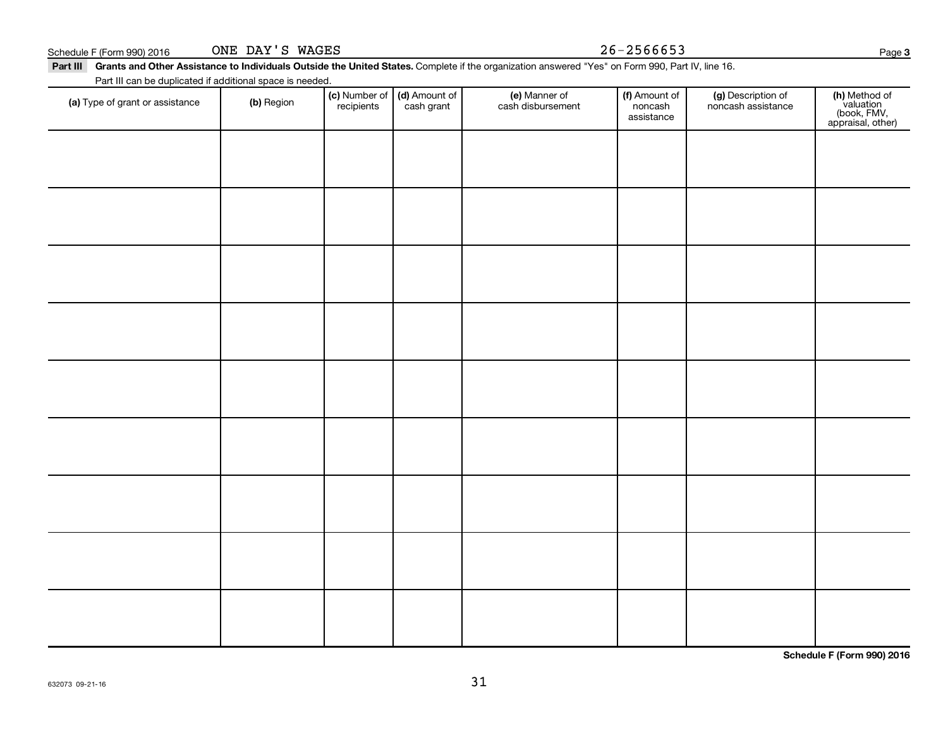| Schedule F (Form 990) 2016<br>Part III Grants and Other Assistance to Individuals Outside the United States. Complete if the organization answered "Yes" on Form 990, Part IV, line 16. | ONE DAY'S WAGES |            |                                             |                                    | $26 - 2566653$                         |                                          | Page                                                           |
|-----------------------------------------------------------------------------------------------------------------------------------------------------------------------------------------|-----------------|------------|---------------------------------------------|------------------------------------|----------------------------------------|------------------------------------------|----------------------------------------------------------------|
| Part III can be duplicated if additional space is needed.                                                                                                                               |                 |            |                                             |                                    |                                        |                                          |                                                                |
| (a) Type of grant or assistance                                                                                                                                                         | (b) Region      | recipients | (c) Number of   (d) Amount of<br>cash grant | (e) Manner of<br>cash disbursement | (f) Amount of<br>noncash<br>assistance | (g) Description of<br>noncash assistance | (h) Method of<br>valuation<br>(book, FMV,<br>appraisal, other) |
|                                                                                                                                                                                         |                 |            |                                             |                                    |                                        |                                          |                                                                |
|                                                                                                                                                                                         |                 |            |                                             |                                    |                                        |                                          |                                                                |

31

**Schedule F (Form 990) 2016**

**3**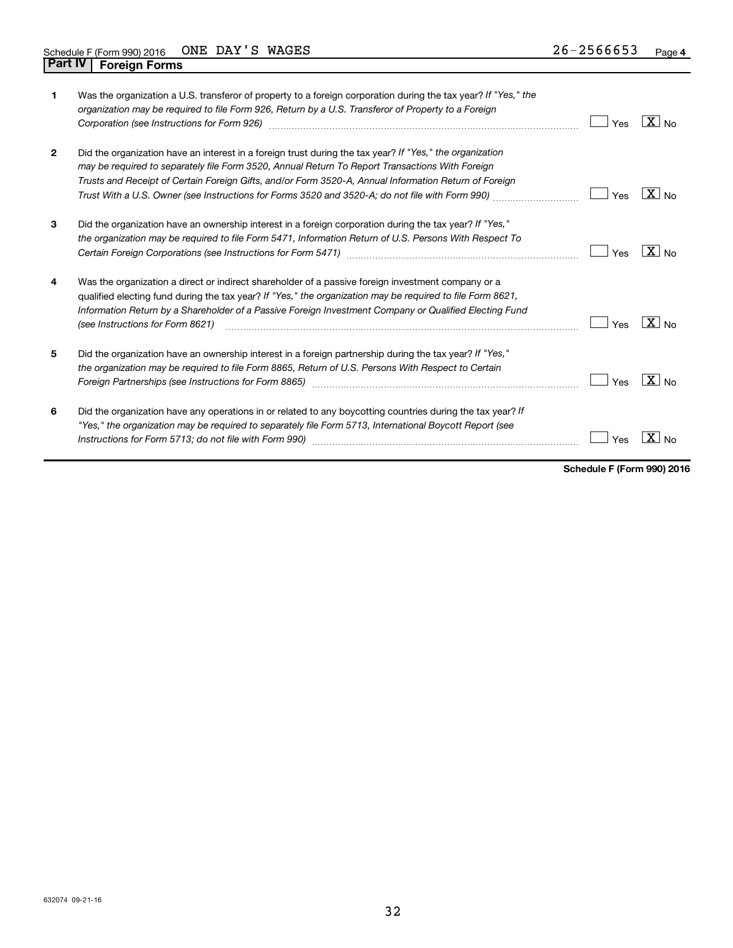| 1            | Was the organization a U.S. transferor of property to a foreign corporation during the tax year? If "Yes," the<br>organization may be required to file Form 926, Return by a U.S. Transferor of Property to a Foreign<br>Corporation (see Instructions for Form 926)                                                                                                                                                    | Yes | $X _{N0}$         |
|--------------|-------------------------------------------------------------------------------------------------------------------------------------------------------------------------------------------------------------------------------------------------------------------------------------------------------------------------------------------------------------------------------------------------------------------------|-----|-------------------|
| $\mathbf{2}$ | Did the organization have an interest in a foreign trust during the tax year? If "Yes," the organization<br>may be required to separately file Form 3520, Annual Return To Report Transactions With Foreign<br>Trusts and Receipt of Certain Foreign Gifts, and/or Form 3520-A, Annual Information Return of Foreign<br>Trust With a U.S. Owner (see Instructions for Forms 3520 and 3520-A; do not file with Form 990) | Yes | $ X _{\sf No}$    |
| 3            | Did the organization have an ownership interest in a foreign corporation during the tax year? If "Yes,"<br>the organization may be required to file Form 5471, Information Return of U.S. Persons With Respect To                                                                                                                                                                                                       | Yes | $X \mid N_{0}$    |
| 4            | Was the organization a direct or indirect shareholder of a passive foreign investment company or a<br>qualified electing fund during the tax year? If "Yes," the organization may be required to file Form 8621,<br>Information Return by a Shareholder of a Passive Foreign Investment Company or Qualified Electing Fund<br>(see Instructions for Form 8621)                                                          | Yes | $ X _{\sf No}$    |
| 5            | Did the organization have an ownership interest in a foreign partnership during the tax year? If "Yes,"<br>the organization may be required to file Form 8865, Return of U.S. Persons With Respect to Certain                                                                                                                                                                                                           | Yes | $ X _{\text{No}}$ |
| 6            | Did the organization have any operations in or related to any boycotting countries during the tax year? If<br>"Yes," the organization may be required to separately file Form 5713, International Boycott Report (see                                                                                                                                                                                                   | Yes |                   |

**Schedule F (Form 990) 2016**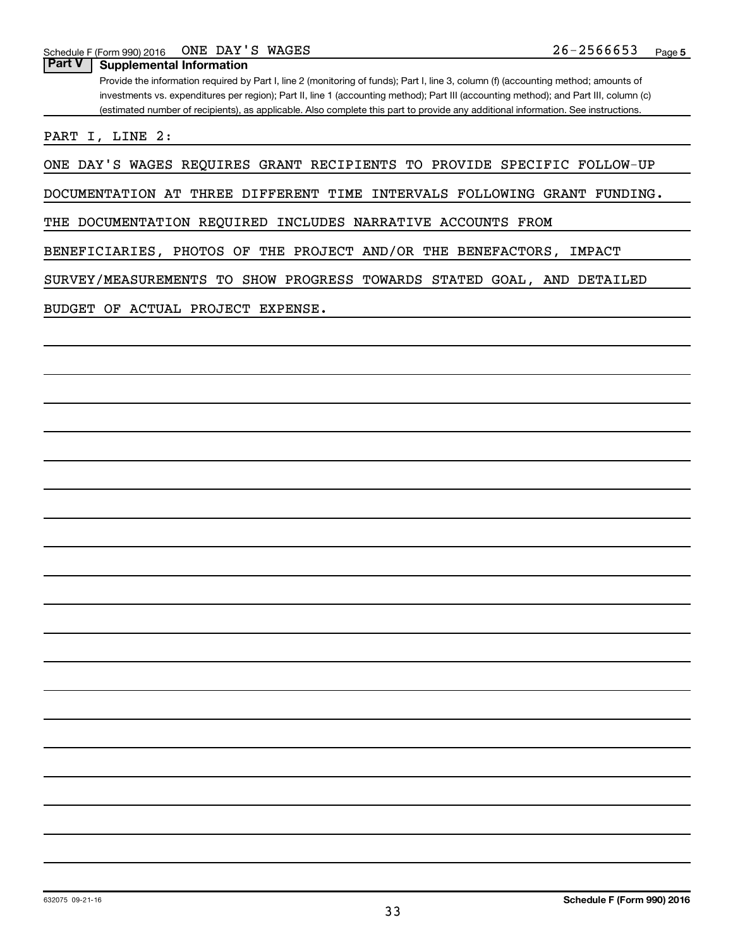**Part V Supplemental Information**

Provide the information required by Part I, line 2 (monitoring of funds); Part I, line 3, column (f) (accounting method; amounts of investments vs. expenditures per region); Part II, line 1 (accounting method); Part III (accounting method); and Part III, column (c) (estimated number of recipients), as applicable. Also complete this part to provide any additional information. See instructions.

PART I, LINE 2:

ONE DAY'S WAGES REQUIRES GRANT RECIPIENTS TO PROVIDE SPECIFIC FOLLOW-UP

DOCUMENTATION AT THREE DIFFERENT TIME INTERVALS FOLLOWING GRANT FUNDING.

THE DOCUMENTATION REQUIRED INCLUDES NARRATIVE ACCOUNTS FROM

BENEFICIARIES, PHOTOS OF THE PROJECT AND/OR THE BENEFACTORS, IMPACT

SURVEY/MEASUREMENTS TO SHOW PROGRESS TOWARDS STATED GOAL, AND DETAILED

BUDGET OF ACTUAL PROJECT EXPENSE.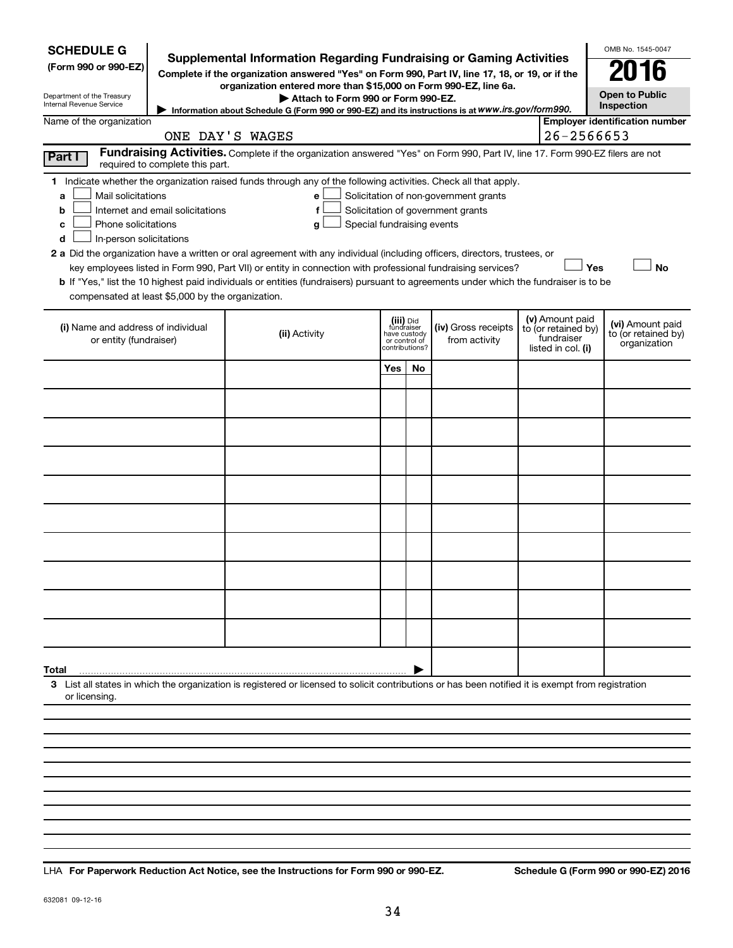| <b>SCHEDULE G</b><br>(Form 990 or 990-EZ)<br>Department of the Treasury<br>Internal Revenue Service                                                                                                                                                                                                                                                                                                                                                                                                                                                                         | <b>Supplemental Information Regarding Fundraising or Gaming Activities</b><br>Complete if the organization answered "Yes" on Form 990, Part IV, line 17, 18, or 19, or if the<br>organization entered more than \$15,000 on Form 990-EZ, line 6a.<br>Attach to Form 990 or Form 990-EZ. |            |                                                                            |                                                                            |  |                                                                            | OMB No. 1545-0047<br>016<br><b>Open to Public</b><br>Inspection |
|-----------------------------------------------------------------------------------------------------------------------------------------------------------------------------------------------------------------------------------------------------------------------------------------------------------------------------------------------------------------------------------------------------------------------------------------------------------------------------------------------------------------------------------------------------------------------------|-----------------------------------------------------------------------------------------------------------------------------------------------------------------------------------------------------------------------------------------------------------------------------------------|------------|----------------------------------------------------------------------------|----------------------------------------------------------------------------|--|----------------------------------------------------------------------------|-----------------------------------------------------------------|
| Name of the organization                                                                                                                                                                                                                                                                                                                                                                                                                                                                                                                                                    | Information about Schedule G (Form 990 or 990-EZ) and its instructions is at WWW.irs.gov/form990.                                                                                                                                                                                       |            |                                                                            |                                                                            |  |                                                                            | <b>Employer identification number</b>                           |
|                                                                                                                                                                                                                                                                                                                                                                                                                                                                                                                                                                             | ONE DAY'S WAGES<br>Fundraising Activities. Complete if the organization answered "Yes" on Form 990, Part IV, line 17. Form 990-EZ filers are not                                                                                                                                        |            |                                                                            |                                                                            |  | 26-2566653                                                                 |                                                                 |
| Part I<br>required to complete this part.                                                                                                                                                                                                                                                                                                                                                                                                                                                                                                                                   |                                                                                                                                                                                                                                                                                         |            |                                                                            |                                                                            |  |                                                                            |                                                                 |
| 1 Indicate whether the organization raised funds through any of the following activities. Check all that apply.<br>Mail solicitations<br>a<br>Internet and email solicitations<br>b<br>Phone solicitations<br>c<br>In-person solicitations<br>d<br>2 a Did the organization have a written or oral agreement with any individual (including officers, directors, trustees, or<br>b If "Yes," list the 10 highest paid individuals or entities (fundraisers) pursuant to agreements under which the fundraiser is to be<br>compensated at least \$5,000 by the organization. | e<br>f<br>Special fundraising events<br>g<br>key employees listed in Form 990, Part VII) or entity in connection with professional fundraising services?                                                                                                                                |            |                                                                            | Solicitation of non-government grants<br>Solicitation of government grants |  |                                                                            | Yes<br><b>No</b>                                                |
| (i) Name and address of individual<br>or entity (fundraiser)                                                                                                                                                                                                                                                                                                                                                                                                                                                                                                                | (ii) Activity                                                                                                                                                                                                                                                                           |            | (iii) Did<br>fundraiser<br>have custody<br>or control of<br>contributions? | (iv) Gross receipts<br>from activity                                       |  | (v) Amount paid<br>to (or retained by)<br>fundraiser<br>listed in col. (i) | (vi) Amount paid<br>to (or retained by)<br>organization         |
|                                                                                                                                                                                                                                                                                                                                                                                                                                                                                                                                                                             |                                                                                                                                                                                                                                                                                         | <b>Yes</b> | No                                                                         |                                                                            |  |                                                                            |                                                                 |
|                                                                                                                                                                                                                                                                                                                                                                                                                                                                                                                                                                             |                                                                                                                                                                                                                                                                                         |            |                                                                            |                                                                            |  |                                                                            |                                                                 |
|                                                                                                                                                                                                                                                                                                                                                                                                                                                                                                                                                                             |                                                                                                                                                                                                                                                                                         |            |                                                                            |                                                                            |  |                                                                            |                                                                 |
|                                                                                                                                                                                                                                                                                                                                                                                                                                                                                                                                                                             |                                                                                                                                                                                                                                                                                         |            |                                                                            |                                                                            |  |                                                                            |                                                                 |
|                                                                                                                                                                                                                                                                                                                                                                                                                                                                                                                                                                             |                                                                                                                                                                                                                                                                                         |            |                                                                            |                                                                            |  |                                                                            |                                                                 |
|                                                                                                                                                                                                                                                                                                                                                                                                                                                                                                                                                                             |                                                                                                                                                                                                                                                                                         |            |                                                                            |                                                                            |  |                                                                            |                                                                 |
|                                                                                                                                                                                                                                                                                                                                                                                                                                                                                                                                                                             |                                                                                                                                                                                                                                                                                         |            |                                                                            |                                                                            |  |                                                                            |                                                                 |
|                                                                                                                                                                                                                                                                                                                                                                                                                                                                                                                                                                             |                                                                                                                                                                                                                                                                                         |            |                                                                            |                                                                            |  |                                                                            |                                                                 |
|                                                                                                                                                                                                                                                                                                                                                                                                                                                                                                                                                                             |                                                                                                                                                                                                                                                                                         |            |                                                                            |                                                                            |  |                                                                            |                                                                 |
|                                                                                                                                                                                                                                                                                                                                                                                                                                                                                                                                                                             |                                                                                                                                                                                                                                                                                         |            |                                                                            |                                                                            |  |                                                                            |                                                                 |
|                                                                                                                                                                                                                                                                                                                                                                                                                                                                                                                                                                             |                                                                                                                                                                                                                                                                                         |            |                                                                            |                                                                            |  |                                                                            |                                                                 |
|                                                                                                                                                                                                                                                                                                                                                                                                                                                                                                                                                                             |                                                                                                                                                                                                                                                                                         |            |                                                                            |                                                                            |  |                                                                            |                                                                 |
| Total                                                                                                                                                                                                                                                                                                                                                                                                                                                                                                                                                                       |                                                                                                                                                                                                                                                                                         |            |                                                                            |                                                                            |  |                                                                            |                                                                 |
| 3 List all states in which the organization is registered or licensed to solicit contributions or has been notified it is exempt from registration<br>or licensing.                                                                                                                                                                                                                                                                                                                                                                                                         |                                                                                                                                                                                                                                                                                         |            |                                                                            |                                                                            |  |                                                                            |                                                                 |
|                                                                                                                                                                                                                                                                                                                                                                                                                                                                                                                                                                             |                                                                                                                                                                                                                                                                                         |            |                                                                            |                                                                            |  |                                                                            |                                                                 |
|                                                                                                                                                                                                                                                                                                                                                                                                                                                                                                                                                                             |                                                                                                                                                                                                                                                                                         |            |                                                                            |                                                                            |  |                                                                            |                                                                 |
|                                                                                                                                                                                                                                                                                                                                                                                                                                                                                                                                                                             |                                                                                                                                                                                                                                                                                         |            |                                                                            |                                                                            |  |                                                                            |                                                                 |
|                                                                                                                                                                                                                                                                                                                                                                                                                                                                                                                                                                             |                                                                                                                                                                                                                                                                                         |            |                                                                            |                                                                            |  |                                                                            |                                                                 |

**For Paperwork Reduction Act Notice, see the Instructions for Form 990 or 990-EZ. Schedule G (Form 990 or 990-EZ) 2016** LHA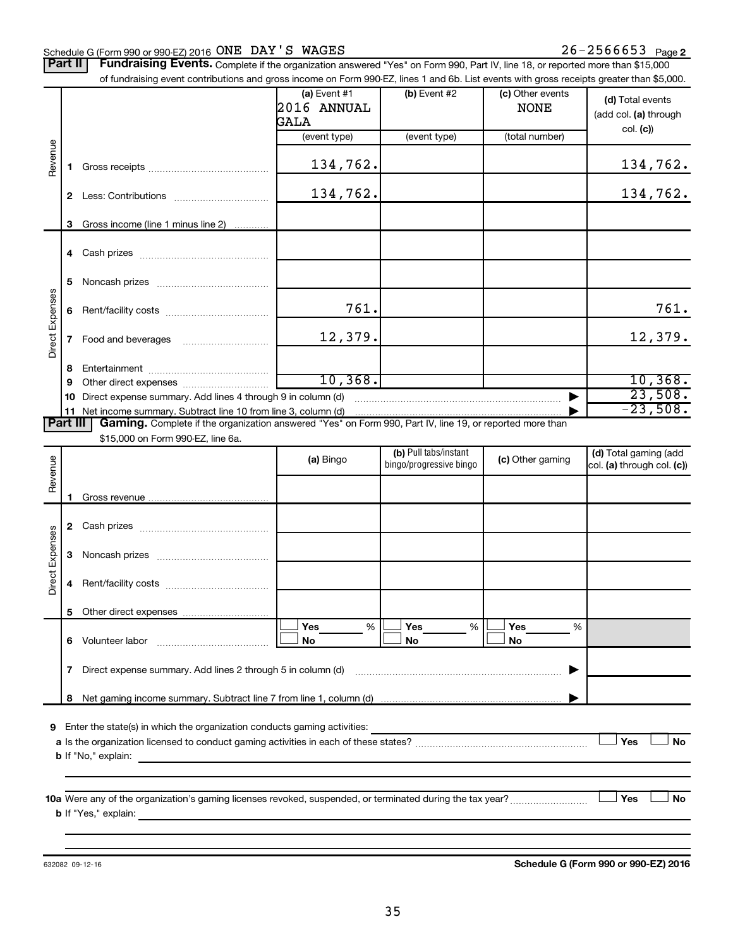#### Schedule G (Form 990 or 990-EZ) 2016 Page ONE DAY'S WAGES 26-2566653

Part II | Fundraising Events. Complete if the organization answered "Yes" on Form 990, Part IV, line 18, or reported more than \$15,000 of fundraising event contributions and gross income on Form 990-EZ, lines 1 and 6b. List events with gross receipts greater than \$5,000.

|                        |        | of fundraising event contributions and gross income on Form 990-EZ, lines T and 6D. List events with gross receipts greater than \$5,000.                                                                                                                                                                               | (a) Event $#1$<br>2016 ANNUAL<br>GALA | $(b)$ Event #2                                   | (c) Other events<br><b>NONE</b> | (d) Total events<br>(add col. (a) through           |
|------------------------|--------|-------------------------------------------------------------------------------------------------------------------------------------------------------------------------------------------------------------------------------------------------------------------------------------------------------------------------|---------------------------------------|--------------------------------------------------|---------------------------------|-----------------------------------------------------|
|                        |        |                                                                                                                                                                                                                                                                                                                         | (event type)                          | (event type)                                     | (total number)                  | col. (c)                                            |
| Revenue                | 1.     |                                                                                                                                                                                                                                                                                                                         | 134,762.                              |                                                  |                                 | 134,762.                                            |
|                        | 2      |                                                                                                                                                                                                                                                                                                                         | 134,762.                              |                                                  |                                 | 134,762.                                            |
|                        | 3      | Gross income (line 1 minus line 2)                                                                                                                                                                                                                                                                                      |                                       |                                                  |                                 |                                                     |
|                        |        |                                                                                                                                                                                                                                                                                                                         |                                       |                                                  |                                 |                                                     |
|                        | 5      |                                                                                                                                                                                                                                                                                                                         |                                       |                                                  |                                 |                                                     |
|                        | 6      |                                                                                                                                                                                                                                                                                                                         | 761.                                  |                                                  |                                 | 761.                                                |
| Direct Expenses        | 7      |                                                                                                                                                                                                                                                                                                                         | 12,379.                               |                                                  |                                 | 12,379.                                             |
|                        | 8<br>9 |                                                                                                                                                                                                                                                                                                                         | 10,368.                               |                                                  |                                 | 10, 368.                                            |
|                        |        | 10 Direct expense summary. Add lines 4 through 9 in column (d)                                                                                                                                                                                                                                                          |                                       |                                                  |                                 | 23,508.                                             |
| <b>Part III</b>        |        | 11 Net income summary. Subtract line 10 from line 3, column (d)<br>Gaming. Complete if the organization answered "Yes" on Form 990, Part IV, line 19, or reported more than                                                                                                                                             |                                       |                                                  |                                 | $-23,508.$                                          |
|                        |        | \$15,000 on Form 990-EZ, line 6a.                                                                                                                                                                                                                                                                                       |                                       |                                                  |                                 |                                                     |
| Revenue                |        |                                                                                                                                                                                                                                                                                                                         | (a) Bingo                             | (b) Pull tabs/instant<br>bingo/progressive bingo | (c) Other gaming                | (d) Total gaming (add<br>col. (a) through col. (c)) |
|                        | 1.     |                                                                                                                                                                                                                                                                                                                         |                                       |                                                  |                                 |                                                     |
|                        |        |                                                                                                                                                                                                                                                                                                                         |                                       |                                                  |                                 |                                                     |
|                        |        |                                                                                                                                                                                                                                                                                                                         |                                       |                                                  |                                 |                                                     |
|                        | 3      |                                                                                                                                                                                                                                                                                                                         |                                       |                                                  |                                 |                                                     |
| <b>Direct Expenses</b> | 4      |                                                                                                                                                                                                                                                                                                                         |                                       |                                                  |                                 |                                                     |
|                        |        |                                                                                                                                                                                                                                                                                                                         |                                       |                                                  |                                 |                                                     |
|                        |        | 6 Volunteer labor                                                                                                                                                                                                                                                                                                       | Yes<br>%<br>No                        | Yes<br>%<br>No                                   | Yes<br>%<br>No                  |                                                     |
|                        | 7      | Direct expense summary. Add lines 2 through 5 in column (d)                                                                                                                                                                                                                                                             |                                       |                                                  |                                 |                                                     |
|                        | 8      |                                                                                                                                                                                                                                                                                                                         |                                       |                                                  |                                 |                                                     |
|                        |        | 9 Enter the state(s) in which the organization conducts gaming activities:<br><b>b</b> If "No," explain: <b>contract and the set of the set of the set of the set of the set of the set of the set of the set of the set of the set of the set of the set of the set of the set of the set of the set of the set of</b> |                                       |                                                  |                                 | Yes<br>No                                           |
|                        |        |                                                                                                                                                                                                                                                                                                                         |                                       |                                                  |                                 | Yes<br>No                                           |

632082 09-12-16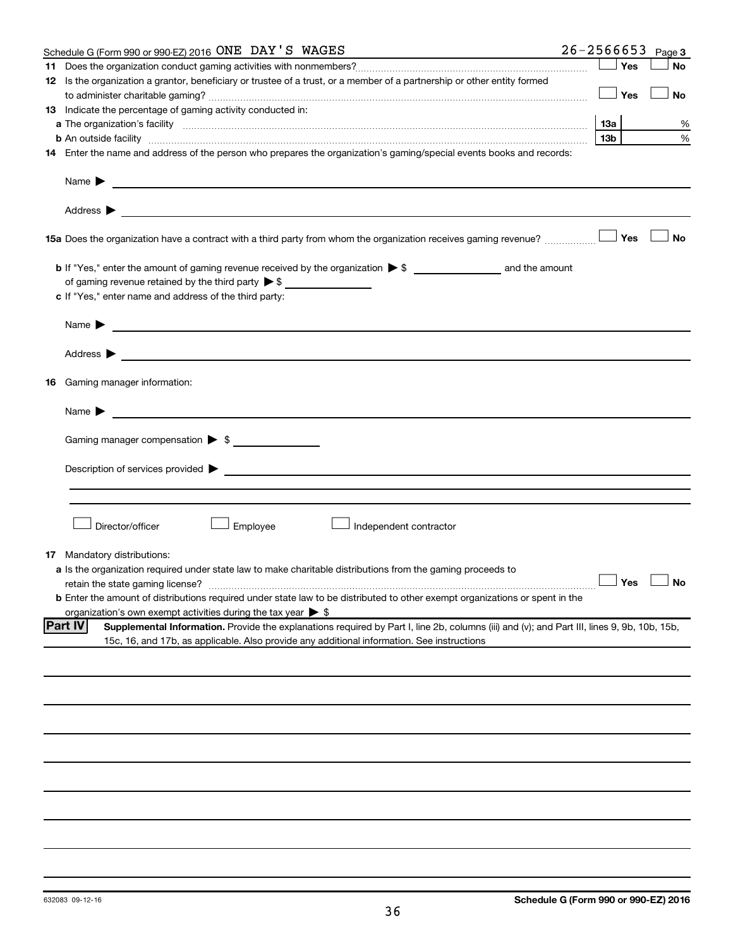| Schedule G (Form 990 or 990-EZ) 2016 ONE DAY'S WAGES                                                                                                                                                                                      | $26 - 2566653$ |                 |     | Page 3               |
|-------------------------------------------------------------------------------------------------------------------------------------------------------------------------------------------------------------------------------------------|----------------|-----------------|-----|----------------------|
|                                                                                                                                                                                                                                           |                |                 | Yes | <b>No</b>            |
| 12 Is the organization a grantor, beneficiary or trustee of a trust, or a member of a partnership or other entity formed                                                                                                                  |                |                 |     |                      |
|                                                                                                                                                                                                                                           |                |                 | Yes | No                   |
| 13 Indicate the percentage of gaming activity conducted in:                                                                                                                                                                               |                |                 |     |                      |
|                                                                                                                                                                                                                                           |                | 13а             |     | %                    |
| <b>b</b> An outside facility <i>www.communicality communicality communicality communicality communically communically communically communically communically communically communically communically communically communically communi</i> |                | 13 <sub>b</sub> |     | %                    |
| 14 Enter the name and address of the person who prepares the organization's gaming/special events books and records:                                                                                                                      |                |                 |     |                      |
| Name $\blacktriangleright$<br><u>and the contract of the contract of the contract of the contract of the contract of the contract of the contract of</u>                                                                                  |                |                 |     |                      |
|                                                                                                                                                                                                                                           |                |                 |     |                      |
| 15a Does the organization have a contract with a third party from whom the organization receives gaming revenue?                                                                                                                          |                |                 | Yes | <b>No</b>            |
|                                                                                                                                                                                                                                           |                |                 |     |                      |
| of gaming revenue retained by the third party $\triangleright$ \$                                                                                                                                                                         |                |                 |     |                      |
| c If "Yes," enter name and address of the third party:                                                                                                                                                                                    |                |                 |     |                      |
|                                                                                                                                                                                                                                           |                |                 |     |                      |
| Name $\blacktriangleright$<br><u>and the contract of the contract of the contract of the contract of the contract of the contract of the contract of</u>                                                                                  |                |                 |     |                      |
| Address $\blacktriangleright$<br><u> 1989 - Johann Harry Harry Harry Harry Harry Harry Harry Harry Harry Harry Harry Harry Harry Harry Harry Harry</u>                                                                                    |                |                 |     |                      |
| 16 Gaming manager information:                                                                                                                                                                                                            |                |                 |     |                      |
| <u>and the contract of the contract of the contract of the contract of the contract of the contract of the contract of</u><br>Name $\blacktriangleright$                                                                                  |                |                 |     |                      |
|                                                                                                                                                                                                                                           |                |                 |     |                      |
| Gaming manager compensation > \$                                                                                                                                                                                                          |                |                 |     |                      |
|                                                                                                                                                                                                                                           |                |                 |     |                      |
|                                                                                                                                                                                                                                           |                |                 |     |                      |
| Director/officer<br>Employee<br>Independent contractor                                                                                                                                                                                    |                |                 |     |                      |
| <b>17</b> Mandatory distributions:<br>a Is the organization required under state law to make charitable distributions from the gaming proceeds to                                                                                         |                |                 |     |                      |
| retain the state gaming license?                                                                                                                                                                                                          |                |                 |     | $\Box$ Yes $\Box$ No |
| <b>b</b> Enter the amount of distributions required under state law to be distributed to other exempt organizations or spent in the                                                                                                       |                |                 |     |                      |
| organization's own exempt activities during the tax year $\triangleright$ \$                                                                                                                                                              |                |                 |     |                      |
| <b>Part IV</b><br>Supplemental Information. Provide the explanations required by Part I, line 2b, columns (iii) and (v); and Part III, lines 9, 9b, 10b, 15b,                                                                             |                |                 |     |                      |
| 15c, 16, and 17b, as applicable. Also provide any additional information. See instructions                                                                                                                                                |                |                 |     |                      |
|                                                                                                                                                                                                                                           |                |                 |     |                      |
|                                                                                                                                                                                                                                           |                |                 |     |                      |
|                                                                                                                                                                                                                                           |                |                 |     |                      |
|                                                                                                                                                                                                                                           |                |                 |     |                      |
|                                                                                                                                                                                                                                           |                |                 |     |                      |
|                                                                                                                                                                                                                                           |                |                 |     |                      |
|                                                                                                                                                                                                                                           |                |                 |     |                      |
|                                                                                                                                                                                                                                           |                |                 |     |                      |
|                                                                                                                                                                                                                                           |                |                 |     |                      |
|                                                                                                                                                                                                                                           |                |                 |     |                      |
|                                                                                                                                                                                                                                           |                |                 |     |                      |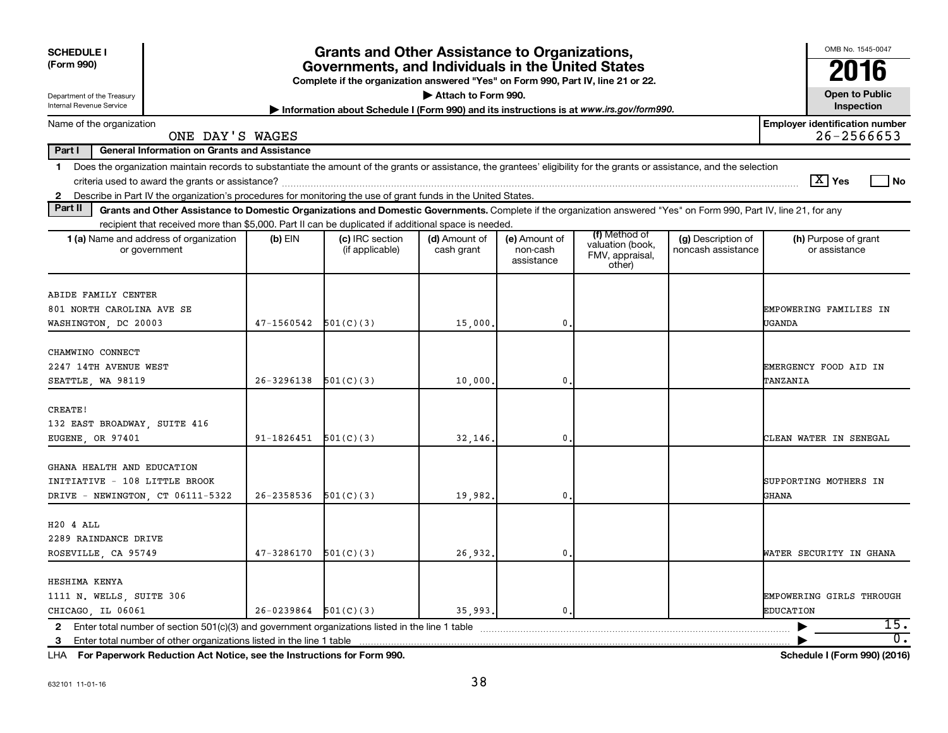| <b>Grants and Other Assistance to Organizations,</b><br><b>SCHEDULE I</b>                                                                                                                                                                                                                                     |                                                                                                                                                              |                                                                                         |                             |                                         |                                                                |                                          |                                                         |  |  |  |  |  |  |  |
|---------------------------------------------------------------------------------------------------------------------------------------------------------------------------------------------------------------------------------------------------------------------------------------------------------------|--------------------------------------------------------------------------------------------------------------------------------------------------------------|-----------------------------------------------------------------------------------------|-----------------------------|-----------------------------------------|----------------------------------------------------------------|------------------------------------------|---------------------------------------------------------|--|--|--|--|--|--|--|
| (Form 990)                                                                                                                                                                                                                                                                                                    | Governments, and Individuals in the United States<br>Complete if the organization answered "Yes" on Form 990, Part IV, line 21 or 22.<br>Attach to Form 990. |                                                                                         |                             |                                         |                                                                |                                          |                                                         |  |  |  |  |  |  |  |
| Department of the Treasury<br>Internal Revenue Service                                                                                                                                                                                                                                                        |                                                                                                                                                              | Information about Schedule I (Form 990) and its instructions is at www.irs.gov/form990. |                             |                                         |                                                                |                                          | <b>Open to Public</b><br>Inspection                     |  |  |  |  |  |  |  |
| Name of the organization<br>ONE DAY'S WAGES                                                                                                                                                                                                                                                                   |                                                                                                                                                              |                                                                                         |                             |                                         |                                                                |                                          | <b>Employer identification number</b><br>$26 - 2566653$ |  |  |  |  |  |  |  |
| Part I<br><b>General Information on Grants and Assistance</b>                                                                                                                                                                                                                                                 |                                                                                                                                                              |                                                                                         |                             |                                         |                                                                |                                          |                                                         |  |  |  |  |  |  |  |
| Does the organization maintain records to substantiate the amount of the grants or assistance, the grantees' eligibility for the grants or assistance, and the selection<br>$\mathbf 1$<br>Describe in Part IV the organization's procedures for monitoring the use of grant funds in the United States.<br>2 |                                                                                                                                                              |                                                                                         |                             |                                         |                                                                |                                          | $\boxed{\text{X}}$ Yes<br>l No                          |  |  |  |  |  |  |  |
| Part II                                                                                                                                                                                                                                                                                                       |                                                                                                                                                              |                                                                                         |                             |                                         |                                                                |                                          |                                                         |  |  |  |  |  |  |  |
| Grants and Other Assistance to Domestic Organizations and Domestic Governments. Complete if the organization answered "Yes" on Form 990, Part IV, line 21, for any<br>recipient that received more than \$5,000. Part II can be duplicated if additional space is needed.                                     |                                                                                                                                                              |                                                                                         |                             |                                         |                                                                |                                          |                                                         |  |  |  |  |  |  |  |
| 1 (a) Name and address of organization<br>or government                                                                                                                                                                                                                                                       | $(b)$ EIN                                                                                                                                                    | (c) IRC section<br>(if applicable)                                                      | (d) Amount of<br>cash grant | (e) Amount of<br>non-cash<br>assistance | (f) Method of<br>valuation (book,<br>FMV, appraisal,<br>other) | (g) Description of<br>noncash assistance | (h) Purpose of grant<br>or assistance                   |  |  |  |  |  |  |  |
| ABIDE FAMILY CENTER<br>801 NORTH CAROLINA AVE SE<br>WASHINGTON, DC 20003                                                                                                                                                                                                                                      | 47-1560542                                                                                                                                                   | 501(C)(3)                                                                               | 15,000                      | 0                                       |                                                                |                                          | EMPOWERING FAMILIES IN<br>UGANDA                        |  |  |  |  |  |  |  |
| CHAMWINO CONNECT<br>2247 14TH AVENUE WEST<br>SEATTLE, WA 98119                                                                                                                                                                                                                                                | 26-3296138                                                                                                                                                   | 501(C)(3)                                                                               | 10,000                      | $\mathbf 0$                             |                                                                |                                          | EMERGENCY FOOD AID IN<br>TANZANIA                       |  |  |  |  |  |  |  |
| CREATE!<br>132 EAST BROADWAY, SUITE 416<br>EUGENE, OR 97401                                                                                                                                                                                                                                                   | $91 - 1826451$                                                                                                                                               | 501(C)(3)                                                                               | 32,146.                     | 0                                       |                                                                |                                          | CLEAN WATER IN SENEGAL                                  |  |  |  |  |  |  |  |
| GHANA HEALTH AND EDUCATION<br>INITIATIVE - 108 LITTLE BROOK<br>DRIVE - NEWINGTON, CT 06111-5322                                                                                                                                                                                                               | 26-2358536                                                                                                                                                   | 501(C)(3)                                                                               | 19,982.                     | $\mathbf{0}$                            |                                                                |                                          | SUPPORTING MOTHERS IN<br><b>GHANA</b>                   |  |  |  |  |  |  |  |
| <b>H20 4 ALL</b><br>2289 RAINDANCE DRIVE<br>ROSEVILLE, CA 95749                                                                                                                                                                                                                                               | 47-3286170                                                                                                                                                   | 501(C)(3)                                                                               | 26,932.                     | 0                                       |                                                                |                                          | WATER SECURITY IN GHANA                                 |  |  |  |  |  |  |  |
| HESHIMA KENYA<br>1111 N. WELLS, SUITE 306<br>CHICAGO, IL 06061                                                                                                                                                                                                                                                | $26 - 0239864$                                                                                                                                               | 501(C)(3)                                                                               | 35,993.                     | 0.                                      |                                                                |                                          | EMPOWERING GIRLS THROUGH<br><b>EDUCATION</b>            |  |  |  |  |  |  |  |
|                                                                                                                                                                                                                                                                                                               |                                                                                                                                                              |                                                                                         |                             |                                         |                                                                |                                          | 15.                                                     |  |  |  |  |  |  |  |
| .                                                                                                                                                                                                                                                                                                             |                                                                                                                                                              |                                                                                         |                             |                                         |                                                                |                                          | $\overline{0}$ .<br>A A A                               |  |  |  |  |  |  |  |

**For Paperwork Reduction Act Notice, see the Instructions for Form 990. Schedule I (Form 990) (2016)** LHA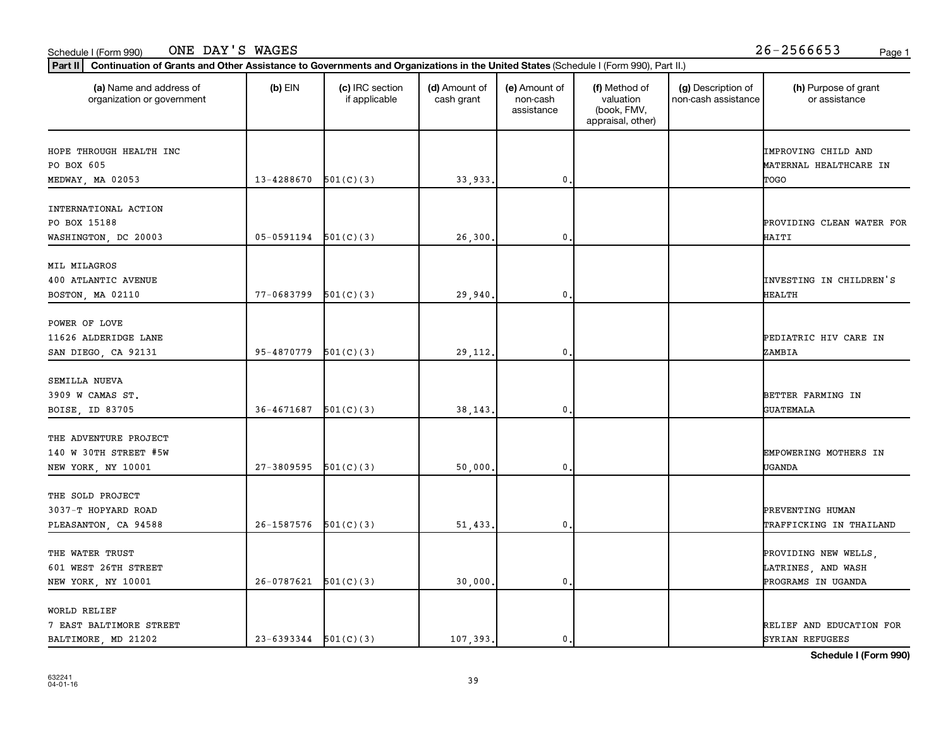## Schedule I (Form 990) Page 1

| (a) Name and address of<br>organization or government                | $(b)$ EIN                | (c) IRC section<br>if applicable | (d) Amount of<br>cash grant | (e) Amount of<br>non-cash<br>assistance | (f) Method of<br>valuation<br>(book, FMV,<br>appraisal, other) | (g) Description of<br>non-cash assistance | (h) Purpose of grant<br>or assistance                            |
|----------------------------------------------------------------------|--------------------------|----------------------------------|-----------------------------|-----------------------------------------|----------------------------------------------------------------|-------------------------------------------|------------------------------------------------------------------|
| HOPE THROUGH HEALTH INC<br>PO BOX 605                                |                          |                                  |                             |                                         |                                                                |                                           | IMPROVING CHILD AND<br>MATERNAL HEALTHCARE IN                    |
| MEDWAY, MA 02053                                                     | 13-4288670               | 501(C)(3)                        | 33,933.                     | 0                                       |                                                                |                                           | TOGO                                                             |
| INTERNATIONAL ACTION<br>PO BOX 15188<br>WASHINGTON, DC 20003         | $05-0591194$ $501(C)(3)$ |                                  | 26,300                      | 0                                       |                                                                |                                           | PROVIDING CLEAN WATER FOR<br>HAITI                               |
| MIL MILAGROS<br>400 ATLANTIC AVENUE<br>BOSTON, MA 02110              | 77-0683799               | 501(C)(3)                        | 29,940                      | $\mathbf{0}$                            |                                                                |                                           | INVESTING IN CHILDREN'S<br>HEALTH                                |
| POWER OF LOVE<br>11626 ALDERIDGE LANE<br>SAN DIEGO, CA 92131         | 95-4870779               | 501(C)(3)                        | 29, 112.                    | $\mathbf{0}$                            |                                                                |                                           | PEDIATRIC HIV CARE IN<br>ZAMBIA                                  |
| SEMILLA NUEVA<br>3909 W CAMAS ST.<br>BOISE, ID 83705                 | 36-4671687               | 501(C)(3)                        | 38,143                      | 0                                       |                                                                |                                           | BETTER FARMING IN<br><b>GUATEMALA</b>                            |
| THE ADVENTURE PROJECT<br>140 W 30TH STREET #5W<br>NEW YORK, NY 10001 | 27-3809595               | 501(C)(3)                        | 50,000                      | 0                                       |                                                                |                                           | EMPOWERING MOTHERS IN<br>UGANDA                                  |
| THE SOLD PROJECT<br>3037-T HOPYARD ROAD<br>PLEASANTON, CA 94588      | 26-1587576               | 501(C)(3)                        | 51,433.                     | $\mathbf{0}$                            |                                                                |                                           | PREVENTING HUMAN<br>TRAFFICKING IN THAILAND                      |
| THE WATER TRUST<br>601 WEST 26TH STREET<br>NEW YORK, NY 10001        | $26-0787621$ $501(C)(3)$ |                                  | 30,000.                     | $\mathbf{0}$                            |                                                                |                                           | PROVIDING NEW WELLS,<br>LATRINES, AND WASH<br>PROGRAMS IN UGANDA |
| WORLD RELIEF<br>7 EAST BALTIMORE STREET<br>BALTIMORE, MD 21202       | $23-6393344$ $501(C)(3)$ |                                  | 107.393.                    | 0.                                      |                                                                |                                           | RELIEF AND EDUCATION FOR<br>SYRIAN REFUGEES                      |

**Schedule I (Form 990)**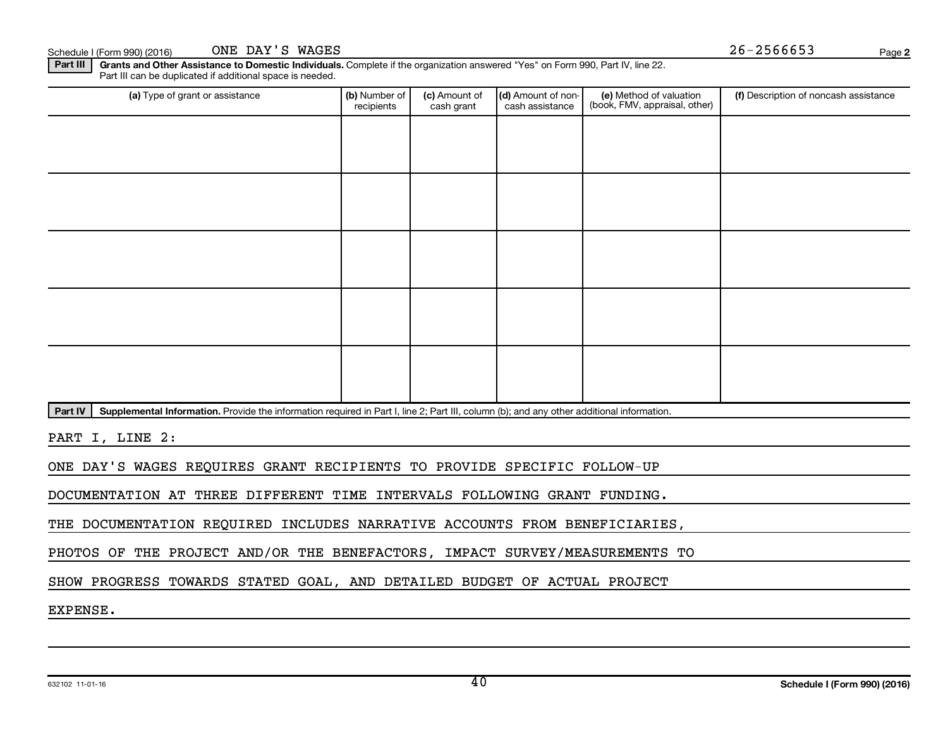Schedule I (Form 990) (2016) ONE DAY'S WAGES  $26-2566653$ ONE DAY'S WAGES

Part III | Grants and Other Assistance to Domestic Individuals. Complete if the organization answered "Yes" on Form 990, Part IV, line 22. Part III can be duplicated if additional space is needed.

| (a) Type of grant or assistance                                                                                                                      | (b) Number of<br>recipients | (c) Amount of<br>cash grant | (d) Amount of non-<br>cash assistance | (e) Method of valuation<br>(book, FMV, appraisal, other) | (f) Description of noncash assistance |
|------------------------------------------------------------------------------------------------------------------------------------------------------|-----------------------------|-----------------------------|---------------------------------------|----------------------------------------------------------|---------------------------------------|
|                                                                                                                                                      |                             |                             |                                       |                                                          |                                       |
|                                                                                                                                                      |                             |                             |                                       |                                                          |                                       |
|                                                                                                                                                      |                             |                             |                                       |                                                          |                                       |
|                                                                                                                                                      |                             |                             |                                       |                                                          |                                       |
|                                                                                                                                                      |                             |                             |                                       |                                                          |                                       |
|                                                                                                                                                      |                             |                             |                                       |                                                          |                                       |
|                                                                                                                                                      |                             |                             |                                       |                                                          |                                       |
|                                                                                                                                                      |                             |                             |                                       |                                                          |                                       |
|                                                                                                                                                      |                             |                             |                                       |                                                          |                                       |
|                                                                                                                                                      |                             |                             |                                       |                                                          |                                       |
| Supplemental Information. Provide the information required in Part I, line 2; Part III, column (b); and any other additional information.<br>Part IV |                             |                             |                                       |                                                          |                                       |

PART I, LINE 2:

ONE DAY'S WAGES REQUIRES GRANT RECIPIENTS TO PROVIDE SPECIFIC FOLLOW-UP

DOCUMENTATION AT THREE DIFFERENT TIME INTERVALS FOLLOWING GRANT FUNDING.

THE DOCUMENTATION REQUIRED INCLUDES NARRATIVE ACCOUNTS FROM BENEFICIARIES,

PHOTOS OF THE PROJECT AND/OR THE BENEFACTORS, IMPACT SURVEY/MEASUREMENTS TO

SHOW PROGRESS TOWARDS STATED GOAL, AND DETAILED BUDGET OF ACTUAL PROJECT

EXPENSE.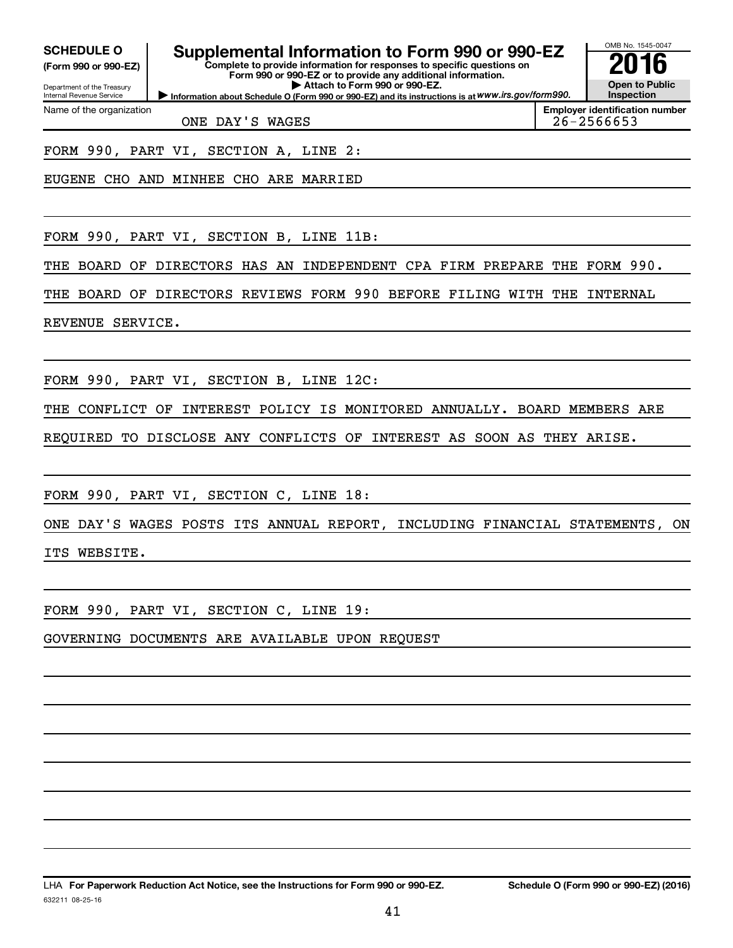**(Form 990 or 990-EZ)**

Department of the Treasury Internal Revenue Service

Name of the organization

# **SCHEDULE O Supplemental Information to Form 990 or 990-EZ 2016**

**Information about Schedule O (Form 990 or 990-EZ) and its instructions is at WWW.irs.gov/form990. Complete to provide information for responses to specific questions on Form 990 or 990-EZ or to provide any additional information. | Attach to Form 990 or 990-EZ.**



ONE DAY'S WAGES 26-2566653

FORM 990, PART VI, SECTION A, LINE 2:

EUGENE CHO AND MINHEE CHO ARE MARRIED

FORM 990, PART VI, SECTION B, LINE 11B:

THE BOARD OF DIRECTORS HAS AN INDEPENDENT CPA FIRM PREPARE THE FORM 990.

THE BOARD OF DIRECTORS REVIEWS FORM 990 BEFORE FILING WITH THE INTERNAL

REVENUE SERVICE.

FORM 990, PART VI, SECTION B, LINE 12C:

THE CONFLICT OF INTEREST POLICY IS MONITORED ANNUALLY. BOARD MEMBERS ARE

REQUIRED TO DISCLOSE ANY CONFLICTS OF INTEREST AS SOON AS THEY ARISE.

FORM 990, PART VI, SECTION C, LINE 18:

ONE DAY'S WAGES POSTS ITS ANNUAL REPORT, INCLUDING FINANCIAL STATEMENTS, ON ITS WEBSITE.

FORM 990, PART VI, SECTION C, LINE 19:

GOVERNING DOCUMENTS ARE AVAILABLE UPON REQUEST